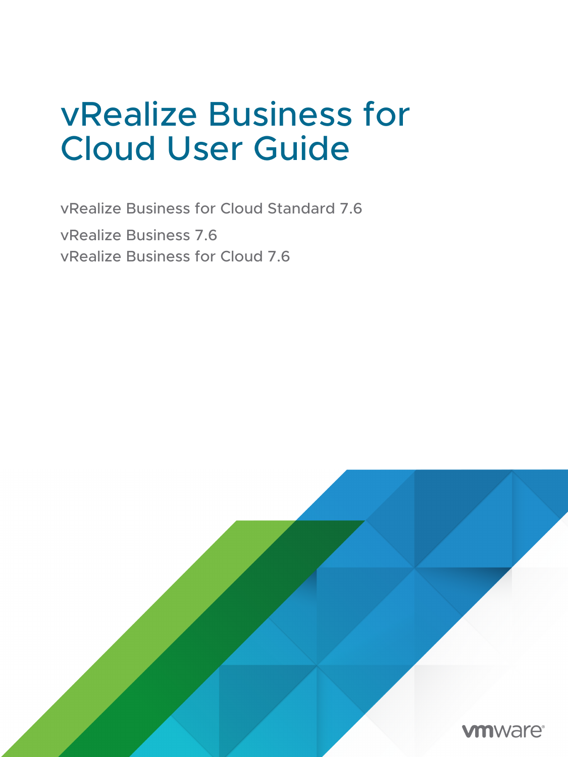# vRealize Business for Cloud User Guide

vRealize Business for Cloud Standard 7.6 vRealize Business 7.6 vRealize Business for Cloud 7.6

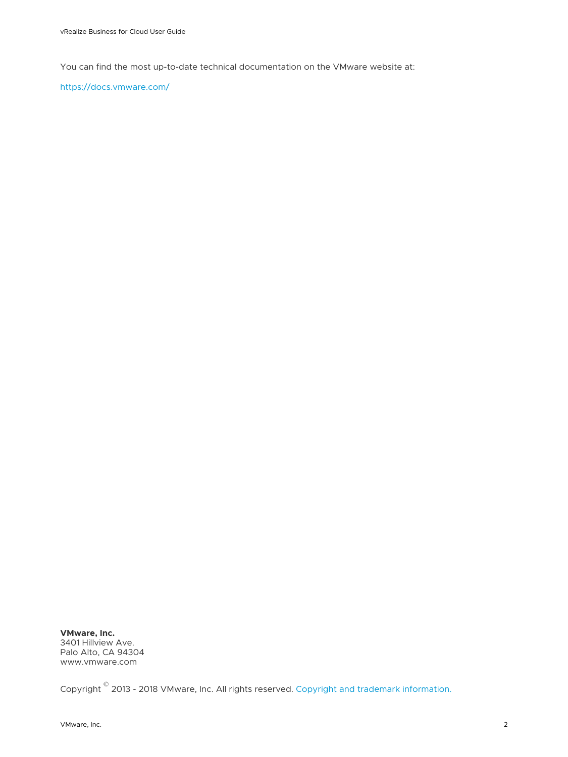You can find the most up-to-date technical documentation on the VMware website at:

<https://docs.vmware.com/>

**VMware, Inc.** 3401 Hillview Ave. Palo Alto, CA 94304 www.vmware.com

Copyright  $^\copyright$  2013 - 2018 VMware, Inc. All rights reserved. [Copyright and trademark information.](http://pubs.vmware.com/copyright-trademark.html)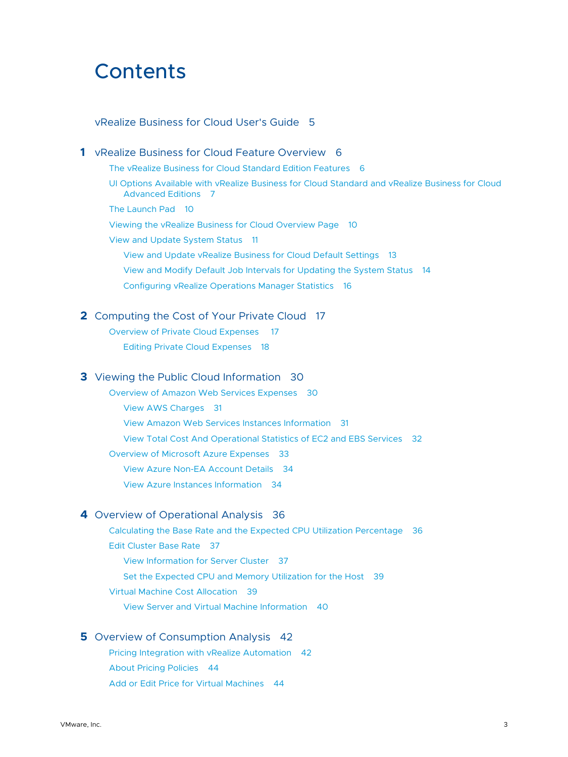# **Contents**

#### [vRealize Business for Cloud User's Guide](#page-4-0) 5

**1** [vRealize Business for Cloud Feature Overview](#page-5-0) 6 [The vRealize Business for Cloud Standard Edition Features](#page-5-0) 6 [UI Options Available with vRealize Business for Cloud Standard and vRealize Business for Cloud](#page-6-0) [Advanced Editions](#page-6-0) 7 [The Launch Pad](#page-9-0) 10 [Viewing the vRealize Business for Cloud Overview Page](#page-9-0) 10 [View and Update System Status](#page-10-0) 11 [View and Update vRealize Business for Cloud Default Settings](#page-12-0) 13 [View and Modify Default Job Intervals for Updating the System Status](#page-13-0) 14 [Configuring vRealize Operations Manager Statistics](#page-15-0) 16 **2** [Computing the Cost of Your Private Cloud](#page-16-0) 17 [Overview of Private Cloud Expenses 17](#page-16-0) [Editing Private Cloud Expenses](#page-17-0) 18 **3** [Viewing the Public Cloud Information](#page-29-0) 30 [Overview of Amazon Web Services Expenses](#page-29-0) 30 [View AWS Charges](#page-30-0) 31 [View Amazon Web Services Instances Information](#page-30-0) 31 [View Total Cost And Operational Statistics of EC2 and EBS Services](#page-31-0) 32 [Overview of Microsoft Azure Expenses](#page-32-0) 33 [View Azure Non-EA Account Details](#page-33-0) 34 [View Azure Instances Information](#page-33-0) 34 **4** [Overview of Operational Analysis](#page-35-0) 36 [Calculating the Base Rate and the Expected CPU Utilization Percentage](#page-35-0) 36

[Edit Cluster Base Rate](#page-36-0) 37 [View Information for Server Cluster](#page-36-0) 37 [Set the Expected CPU and Memory Utilization for the Host](#page-38-0) 39 [Virtual Machine Cost Allocation](#page-38-0) 39 [View Server and Virtual Machine Information](#page-39-0) 40

#### **5** [Overview of Consumption Analysis](#page-41-0) 42

[Pricing Integration with vRealize Automation](#page-41-0) 42 [About Pricing Policies](#page-43-0) 44 [Add or Edit Price for Virtual Machines](#page-43-0) 44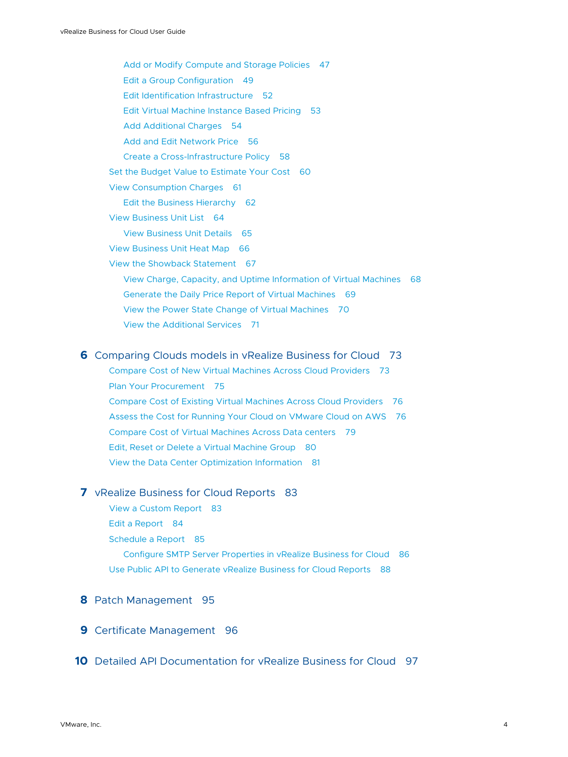[Add or Modify Compute and Storage Policies](#page-46-0) 47 [Edit a Group Configuration](#page-48-0) 49 [Edit Identification Infrastructure](#page-51-0) 52 [Edit Virtual Machine Instance Based Pricing](#page-52-0) 53 [Add Additional Charges](#page-53-0) 54 [Add and Edit Network Price](#page-55-0) 56 [Create a Cross-Infrastructure Policy](#page-57-0) 58 [Set the Budget Value to Estimate Your Cost](#page-59-0) 60 [View Consumption Charges](#page-60-0) 61 [Edit the Business Hierarchy](#page-61-0) 62 [View Business Unit List](#page-63-0) 64 [View Business Unit Details](#page-64-0) 65 [View Business Unit Heat Map](#page-65-0) 66 [View the Showback Statement](#page-66-0) 67 [View Charge, Capacity, and Uptime Information of Virtual Machines](#page-67-0) 68 [Generate the Daily Price Report of Virtual Machines](#page-68-0) 69 [View the Power State Change of Virtual Machines](#page-69-0) 70 [View the Additional Services](#page-70-0) 71

#### **6** [Comparing Clouds models in vRealize Business for Cloud](#page-72-0) 73

[Compare Cost of New Virtual Machines Across Cloud Providers](#page-72-0) 73 [Plan Your Procurement](#page-74-0) 75 [Compare Cost of Existing Virtual Machines Across Cloud Providers](#page-75-0) 76 [Assess the Cost for Running Your Cloud on VMware Cloud on AWS](#page-75-0) 76 [Compare Cost of Virtual Machines Across Data centers](#page-78-0) 79 [Edit, Reset or Delete a Virtual Machine Group](#page-79-0) 80 [View the Data Center Optimization Information](#page-80-0) 81

#### **7** [vRealize Business for Cloud Reports](#page-82-0) 83

[View a Custom Report](#page-82-0) 83 [Edit a Report](#page-83-0) 84 [Schedule a Report](#page-84-0) 85 [Configure SMTP Server Properties in vRealize Business for Cloud](#page-85-0) 86 [Use Public API to Generate vRealize Business for Cloud Reports](#page-87-0) 88

#### **8** [Patch Management](#page-94-0) 95

**9** [Certificate Management](#page-95-0) 96

**10** [Detailed API Documentation for vRealize Business for Cloud](#page-96-0) 97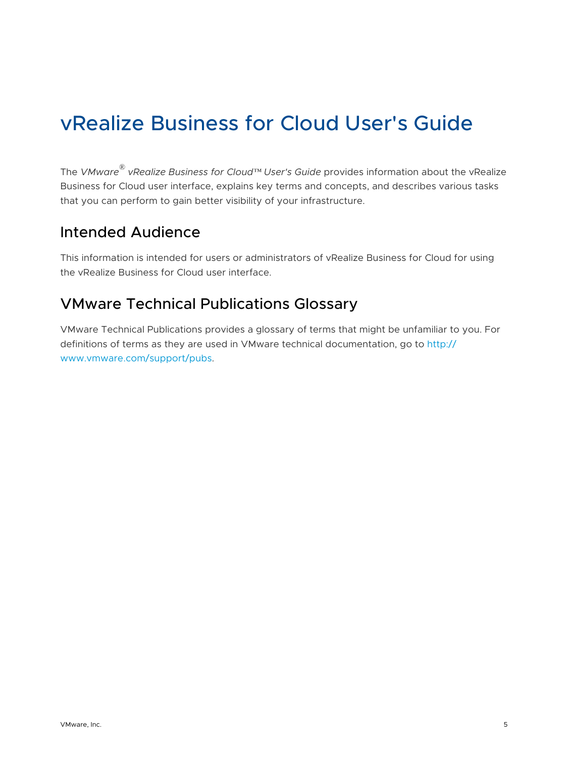# <span id="page-4-0"></span>vRealize Business for Cloud User's Guide

The *VMware® vRealize Business for Cloud™ User's Guide* provides information about the vRealize Business for Cloud user interface, explains key terms and concepts, and describes various tasks that you can perform to gain better visibility of your infrastructure.

# Intended Audience

This information is intended for users or administrators of vRealize Business for Cloud for using the vRealize Business for Cloud user interface.

# VMware Technical Publications Glossary

VMware Technical Publications provides a glossary of terms that might be unfamiliar to you. For definitions of terms as they are used in VMware technical documentation, go to [http://](http://www.vmware.com/support/pubs) [www.vmware.com/support/pubs.](http://www.vmware.com/support/pubs)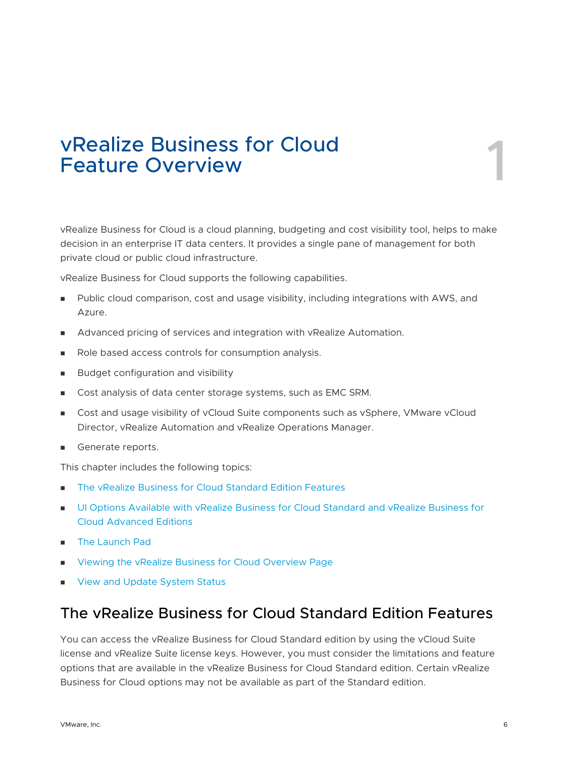# <span id="page-5-0"></span>vRealize Business for Cloud<br>Feature Overview

vRealize Business for Cloud is a cloud planning, budgeting and cost visibility tool, helps to make decision in an enterprise IT data centers. It provides a single pane of management for both private cloud or public cloud infrastructure.

vRealize Business for Cloud supports the following capabilities.

- **n** Public cloud comparison, cost and usage visibility, including integrations with AWS, and Azure.
- **Advanced pricing of services and integration with vRealize Automation.**
- n Role based access controls for consumption analysis.
- **Budget configuration and visibility**
- **n** Cost analysis of data center storage systems, such as EMC SRM.
- **n** Cost and usage visibility of vCloud Suite components such as vSphere, VMware vCloud Director, vRealize Automation and vRealize Operations Manager.
- Generate reports.

This chapter includes the following topics:

- The vRealize Business for Cloud Standard Edition Features
- **n** [UI Options Available with vRealize Business for Cloud Standard and vRealize Business for](#page-6-0) [Cloud Advanced Editions](#page-6-0)
- [The Launch Pad](#page-9-0)
- <sup>n</sup> [Viewing the vRealize Business for Cloud Overview Page](#page-9-0)
- **n** [View and Update System Status](#page-10-0)

# The vRealize Business for Cloud Standard Edition Features

You can access the vRealize Business for Cloud Standard edition by using the vCloud Suite license and vRealize Suite license keys. However, you must consider the limitations and feature options that are available in the vRealize Business for Cloud Standard edition. Certain vRealize Business for Cloud options may not be available as part of the Standard edition.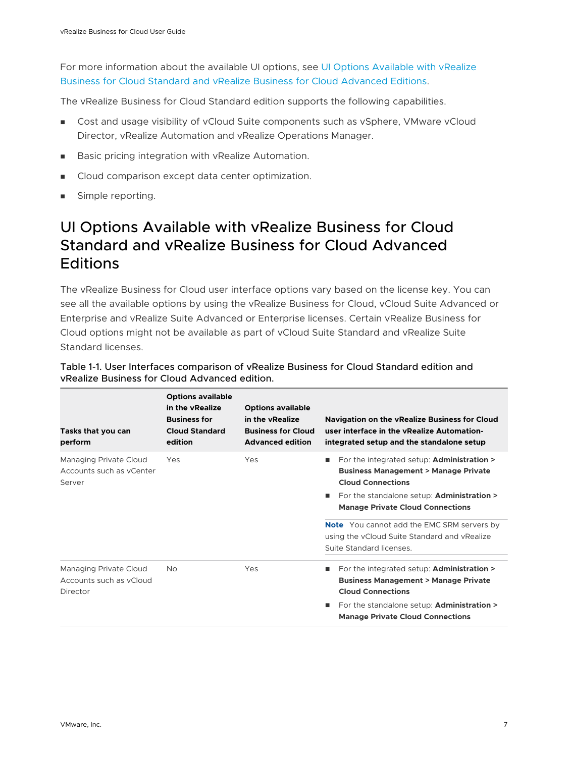<span id="page-6-0"></span>For more information about the available UI options, see UI Options Available with vRealize Business for Cloud Standard and vRealize Business for Cloud Advanced Editions.

The vRealize Business for Cloud Standard edition supports the following capabilities.

- **n** Cost and usage visibility of vCloud Suite components such as vSphere, VMware vCloud Director, vRealize Automation and vRealize Operations Manager.
- Basic pricing integration with vRealize Automation.
- **n** Cloud comparison except data center optimization.
- **n** Simple reporting.

# UI Options Available with vRealize Business for Cloud Standard and vRealize Business for Cloud Advanced **Editions**

The vRealize Business for Cloud user interface options vary based on the license key. You can see all the available options by using the vRealize Business for Cloud, vCloud Suite Advanced or Enterprise and vRealize Suite Advanced or Enterprise licenses. Certain vRealize Business for Cloud options might not be available as part of vCloud Suite Standard and vRealize Suite Standard licenses.

| Tasks that you can<br>perform                                 | <b>Options available</b><br>in the vRealize<br><b>Business for</b><br><b>Cloud Standard</b><br>edition | <b>Options available</b><br>in the vRealize<br><b>Business for Cloud</b><br><b>Advanced edition</b> | <b>Navigation on the vRealize Business for Cloud</b><br>user interface in the vRealize Automation-<br>integrated setup and the standalone setup                                                                                       |
|---------------------------------------------------------------|--------------------------------------------------------------------------------------------------------|-----------------------------------------------------------------------------------------------------|---------------------------------------------------------------------------------------------------------------------------------------------------------------------------------------------------------------------------------------|
| Managing Private Cloud<br>Accounts such as yCenter<br>Server  | Yes                                                                                                    | Yes                                                                                                 | For the integrated setup: <b>Administration &gt;</b><br>٠<br><b>Business Management &gt; Manage Private</b><br><b>Cloud Connections</b>                                                                                               |
|                                                               |                                                                                                        |                                                                                                     | For the standalone setup: <b>Administration &gt;</b><br>ш<br><b>Manage Private Cloud Connections</b>                                                                                                                                  |
|                                                               |                                                                                                        |                                                                                                     | <b>Note</b> You cannot add the EMC SRM servers by<br>using the vCloud Suite Standard and vRealize<br>Suite Standard licenses.                                                                                                         |
| Managing Private Cloud<br>Accounts such as yCloud<br>Director | <b>No</b>                                                                                              | Yes                                                                                                 | For the integrated setup: Administration ><br>п<br><b>Business Management &gt; Manage Private</b><br><b>Cloud Connections</b><br>For the standalone setup: <b>Administration &gt;</b><br>٠<br><b>Manage Private Cloud Connections</b> |

#### Table 1-1. User Interfaces comparison of vRealize Business for Cloud Standard edition and vRealize Business for Cloud Advanced edition.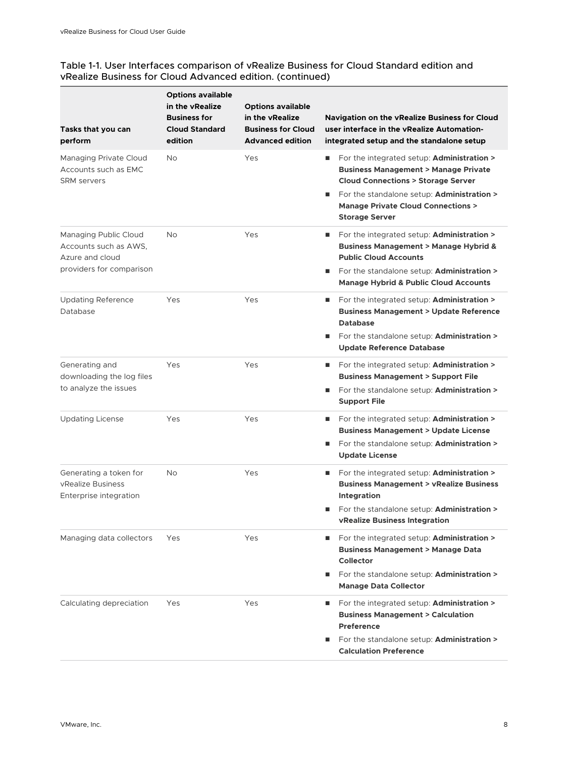÷

#### Table 1-1. User Interfaces comparison of vRealize Business for Cloud Standard edition and vRealize Business for Cloud Advanced edition. (continued)

| Tasks that you can<br>perform                                                                 | <b>Options available</b><br>in the vRealize<br><b>Business for</b><br><b>Cloud Standard</b><br>edition | <b>Options available</b><br>in the vRealize<br><b>Business for Cloud</b><br><b>Advanced edition</b> | <b>Navigation on the vRealize Business for Cloud</b><br>user interface in the vRealize Automation-<br>integrated setup and the standalone setup                                                                                                                                         |
|-----------------------------------------------------------------------------------------------|--------------------------------------------------------------------------------------------------------|-----------------------------------------------------------------------------------------------------|-----------------------------------------------------------------------------------------------------------------------------------------------------------------------------------------------------------------------------------------------------------------------------------------|
| Managing Private Cloud<br>Accounts such as EMC<br><b>SRM</b> servers                          | <b>No</b>                                                                                              | Yes                                                                                                 | For the integrated setup: Administration ><br>ш<br><b>Business Management &gt; Manage Private</b><br><b>Cloud Connections &gt; Storage Server</b><br>For the standalone setup: <b>Administration &gt;</b><br>ш<br><b>Manage Private Cloud Connections &gt;</b><br><b>Storage Server</b> |
| Managing Public Cloud<br>Accounts such as AWS.<br>Azure and cloud<br>providers for comparison | <b>No</b>                                                                                              | Yes                                                                                                 | For the integrated setup: <b>Administration &gt;</b><br>ш<br><b>Business Management &gt; Manage Hybrid &amp;</b><br><b>Public Cloud Accounts</b><br>For the standalone setup: <b>Administration &gt;</b><br>п<br><b>Manage Hybrid &amp; Public Cloud Accounts</b>                       |
| <b>Updating Reference</b><br>Database                                                         | Yes                                                                                                    | Yes                                                                                                 | For the integrated setup: Administration ><br>ш<br><b>Business Management &gt; Update Reference</b><br><b>Database</b><br>For the standalone setup: <b>Administration &gt;</b><br>and the<br><b>Update Reference Database</b>                                                           |
| Generating and<br>downloading the log files<br>to analyze the issues                          | Yes                                                                                                    | Yes                                                                                                 | For the integrated setup: Administration ><br>ш<br><b>Business Management &gt; Support File</b><br>For the standalone setup: <b>Administration &gt;</b><br><b>Support File</b>                                                                                                          |
| <b>Updating License</b>                                                                       | Yes                                                                                                    | Yes                                                                                                 | For the integrated setup: Administration ><br>ш<br><b>Business Management &gt; Update License</b><br>For the standalone setup: <b>Administration &gt;</b><br>ш<br><b>Update License</b>                                                                                                 |
| Generating a token for<br>vRealize Business<br>Enterprise integration                         | No                                                                                                     | Yes                                                                                                 | For the integrated setup: <b>Administration &gt;</b><br>ш<br><b>Business Management &gt; vRealize Business</b><br><b>Integration</b><br>For the standalone setup: <b>Administration &gt;</b><br>vRealize Business Integration                                                           |
| Managing data collectors                                                                      | Yes                                                                                                    | Yes                                                                                                 | For the integrated setup: <b>Administration &gt;</b><br>ш<br><b>Business Management &gt; Manage Data</b><br>Collector<br>For the standalone setup: <b>Administration &gt;</b><br><b>Manage Data Collector</b>                                                                           |
| Calculating depreciation                                                                      | Yes                                                                                                    | Yes                                                                                                 | For the integrated setup: Administration ><br>ш<br><b>Business Management &gt; Calculation</b><br><b>Preference</b><br>For the standalone setup: Administration ><br><b>Calculation Preference</b>                                                                                      |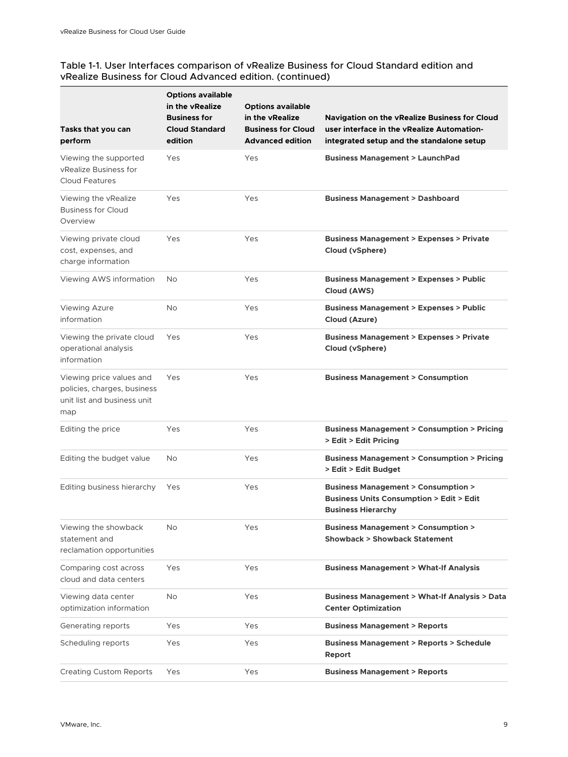÷

#### Table 1-1. User Interfaces comparison of vRealize Business for Cloud Standard edition and vRealize Business for Cloud Advanced edition. (continued)

| Tasks that you can<br>perform                                                                 | <b>Options available</b><br>in the vRealize<br><b>Business for</b><br><b>Cloud Standard</b><br>edition | <b>Options available</b><br>in the vRealize<br><b>Business for Cloud</b><br><b>Advanced edition</b> | Navigation on the vRealize Business for Cloud<br>user interface in the vRealize Automation-<br>integrated setup and the standalone setup |
|-----------------------------------------------------------------------------------------------|--------------------------------------------------------------------------------------------------------|-----------------------------------------------------------------------------------------------------|------------------------------------------------------------------------------------------------------------------------------------------|
| Viewing the supported<br>vRealize Business for<br><b>Cloud Features</b>                       | Yes                                                                                                    | Yes                                                                                                 | <b>Business Management &gt; LaunchPad</b>                                                                                                |
| Viewing the vRealize<br><b>Business for Cloud</b><br>Overview                                 | Yes                                                                                                    | Yes                                                                                                 | <b>Business Management &gt; Dashboard</b>                                                                                                |
| Viewing private cloud<br>cost, expenses, and<br>charge information                            | Yes                                                                                                    | Yes                                                                                                 | <b>Business Management &gt; Expenses &gt; Private</b><br>Cloud (vSphere)                                                                 |
| Viewing AWS information                                                                       | <b>No</b>                                                                                              | Yes                                                                                                 | <b>Business Management &gt; Expenses &gt; Public</b><br>Cloud (AWS)                                                                      |
| <b>Viewing Azure</b><br>information                                                           | <b>No</b>                                                                                              | Yes                                                                                                 | <b>Business Management &gt; Expenses &gt; Public</b><br>Cloud (Azure)                                                                    |
| Viewing the private cloud<br>operational analysis<br>information                              | Yes                                                                                                    | Yes                                                                                                 | <b>Business Management &gt; Expenses &gt; Private</b><br>Cloud (vSphere)                                                                 |
| Viewing price values and<br>policies, charges, business<br>unit list and business unit<br>map | Yes                                                                                                    | Yes                                                                                                 | <b>Business Management &gt; Consumption</b>                                                                                              |
| Editing the price                                                                             | Yes                                                                                                    | Yes                                                                                                 | <b>Business Management &gt; Consumption &gt; Pricing</b><br>> Edit > Edit Pricing                                                        |
| Editing the budget value                                                                      | No                                                                                                     | Yes                                                                                                 | <b>Business Management &gt; Consumption &gt; Pricing</b><br>> Edit > Edit Budget                                                         |
| Editing business hierarchy                                                                    | Yes                                                                                                    | Yes                                                                                                 | <b>Business Management &gt; Consumption &gt;</b><br><b>Business Units Consumption &gt; Edit &gt; Edit</b><br><b>Business Hierarchy</b>   |
| Viewing the showback<br>statement and<br>reclamation opportunities                            | No                                                                                                     | Yes                                                                                                 | <b>Business Management &gt; Consumption &gt;</b><br><b>Showback &gt; Showback Statement</b>                                              |
| Comparing cost across<br>cloud and data centers                                               | Yes                                                                                                    | Yes                                                                                                 | <b>Business Management &gt; What-If Analysis</b>                                                                                         |
| Viewing data center<br>optimization information                                               | No                                                                                                     | Yes                                                                                                 | <b>Business Management &gt; What-If Analysis &gt; Data</b><br><b>Center Optimization</b>                                                 |
| Generating reports                                                                            | Yes                                                                                                    | Yes                                                                                                 | <b>Business Management &gt; Reports</b>                                                                                                  |
| Scheduling reports                                                                            | Yes                                                                                                    | Yes                                                                                                 | <b>Business Management &gt; Reports &gt; Schedule</b><br>Report                                                                          |
| <b>Creating Custom Reports</b>                                                                | Yes                                                                                                    | Yes                                                                                                 | <b>Business Management &gt; Reports</b>                                                                                                  |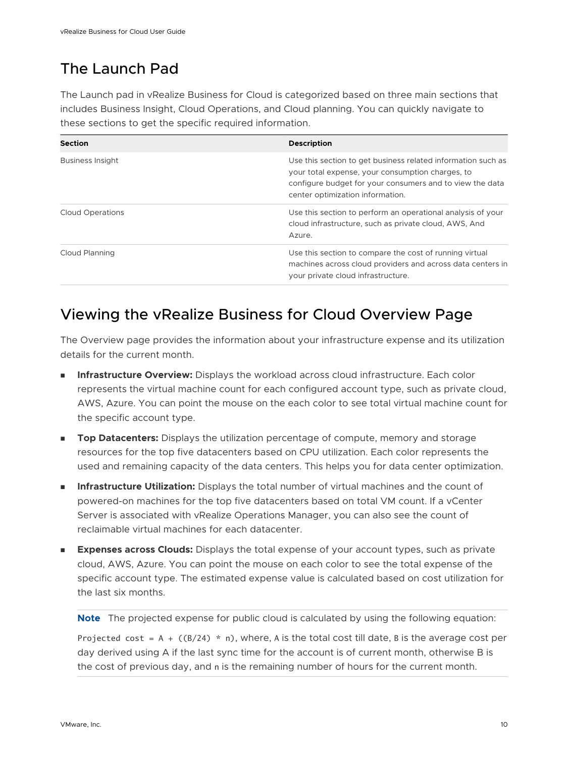# <span id="page-9-0"></span>The Launch Pad

The Launch pad in vRealize Business for Cloud is categorized based on three main sections that includes Business Insight, Cloud Operations, and Cloud planning. You can quickly navigate to these sections to get the specific required information.

| Section                 | <b>Description</b>                                                                                                                                                                                               |
|-------------------------|------------------------------------------------------------------------------------------------------------------------------------------------------------------------------------------------------------------|
| <b>Business Insight</b> | Use this section to get business related information such as<br>your total expense, your consumption charges, to<br>configure budget for your consumers and to view the data<br>center optimization information. |
| <b>Cloud Operations</b> | Use this section to perform an operational analysis of your<br>cloud infrastructure, such as private cloud, AWS, And<br>Azure.                                                                                   |
| Cloud Planning          | Use this section to compare the cost of running virtual<br>machines across cloud providers and across data centers in<br>your private cloud infrastructure.                                                      |

# Viewing the vRealize Business for Cloud Overview Page

The Overview page provides the information about your infrastructure expense and its utilization details for the current month.

- **n Infrastructure Overview:** Displays the workload across cloud infrastructure. Each color represents the virtual machine count for each configured account type, such as private cloud, AWS, Azure. You can point the mouse on the each color to see total virtual machine count for the specific account type.
- **Top Datacenters:** Displays the utilization percentage of compute, memory and storage resources for the top five datacenters based on CPU utilization. Each color represents the used and remaining capacity of the data centers. This helps you for data center optimization.
- **n Infrastructure Utilization:** Displays the total number of virtual machines and the count of powered-on machines for the top five datacenters based on total VM count. If a vCenter Server is associated with vRealize Operations Manager, you can also see the count of reclaimable virtual machines for each datacenter.
- **Expenses across Clouds:** Displays the total expense of your account types, such as private cloud, AWS, Azure. You can point the mouse on each color to see the total expense of the specific account type. The estimated expense value is calculated based on cost utilization for the last six months.

**Note** The projected expense for public cloud is calculated by using the following equation:

Projected cost = A +  $((B/24) * n)$ , where, A is the total cost till date, B is the average cost per day derived using A if the last sync time for the account is of current month, otherwise B is the cost of previous day, and n is the remaining number of hours for the current month.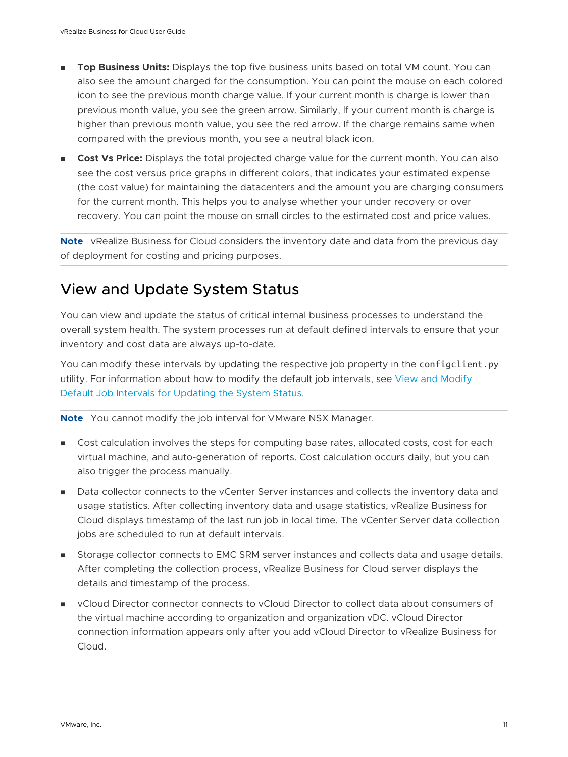- <span id="page-10-0"></span>**Top Business Units:** Displays the top five business units based on total VM count. You can also see the amount charged for the consumption. You can point the mouse on each colored icon to see the previous month charge value. If your current month is charge is lower than previous month value, you see the green arrow. Similarly, If your current month is charge is higher than previous month value, you see the red arrow. If the charge remains same when compared with the previous month, you see a neutral black icon.
- **Cost Vs Price:** Displays the total projected charge value for the current month. You can also see the cost versus price graphs in different colors, that indicates your estimated expense (the cost value) for maintaining the datacenters and the amount you are charging consumers for the current month. This helps you to analyse whether your under recovery or over recovery. You can point the mouse on small circles to the estimated cost and price values.

**Note** vRealize Business for Cloud considers the inventory date and data from the previous day of deployment for costing and pricing purposes.

# View and Update System Status

You can view and update the status of critical internal business processes to understand the overall system health. The system processes run at default defined intervals to ensure that your inventory and cost data are always up-to-date.

You can modify these intervals by updating the respective job property in the configclient.py utility. For information about how to modify the default job intervals, see [View and Modify](#page-13-0)  [Default Job Intervals for Updating the System Status.](#page-13-0)

**Note** You cannot modify the job interval for VMware NSX Manager.

- **n** Cost calculation involves the steps for computing base rates, allocated costs, cost for each virtual machine, and auto-generation of reports. Cost calculation occurs daily, but you can also trigger the process manually.
- n Data collector connects to the vCenter Server instances and collects the inventory data and usage statistics. After collecting inventory data and usage statistics, vRealize Business for Cloud displays timestamp of the last run job in local time. The vCenter Server data collection jobs are scheduled to run at default intervals.
- **Storage collector connects to EMC SRM server instances and collects data and usage details.** After completing the collection process, vRealize Business for Cloud server displays the details and timestamp of the process.
- **n** vCloud Director connector connects to vCloud Director to collect data about consumers of the virtual machine according to organization and organization vDC. vCloud Director connection information appears only after you add vCloud Director to vRealize Business for Cloud.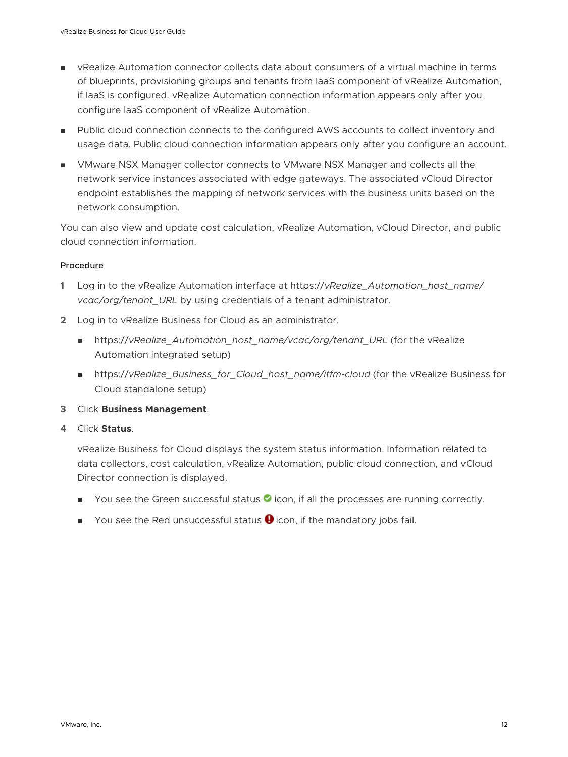- **n** vRealize Automation connector collects data about consumers of a virtual machine in terms of blueprints, provisioning groups and tenants from IaaS component of vRealize Automation, if IaaS is configured. vRealize Automation connection information appears only after you configure IaaS component of vRealize Automation.
- n Public cloud connection connects to the configured AWS accounts to collect inventory and usage data. Public cloud connection information appears only after you configure an account.
- <sup>n</sup> VMware NSX Manager collector connects to VMware NSX Manager and collects all the network service instances associated with edge gateways. The associated vCloud Director endpoint establishes the mapping of network services with the business units based on the network consumption.

You can also view and update cost calculation, vRealize Automation, vCloud Director, and public cloud connection information.

#### Procedure

- **1** Log in to the vRealize Automation interface at https://*vRealize\_Automation\_host\_name/ vcac/org/tenant\_URL* by using credentials of a tenant administrator.
- **2** Log in to vRealize Business for Cloud as an administrator.
	- <sup>n</sup> https://*vRealize\_Automation\_host\_name/vcac/org/tenant\_URL* (for the vRealize Automation integrated setup)
	- n https://vRealize\_Business\_for\_Cloud\_host\_name/itfm-cloud (for the vRealize Business for Cloud standalone setup)
- **3** Click **Business Management**.
- **4** Click **Status**.

vRealize Business for Cloud displays the system status information. Information related to data collectors, cost calculation, vRealize Automation, public cloud connection, and vCloud Director connection is displayed.

- $\blacksquare$  You see the Green successful status  $\lozenge$  icon, if all the processes are running correctly.
- $\blacksquare$  You see the Red unsuccessful status  $\blacksquare$  icon, if the mandatory jobs fail.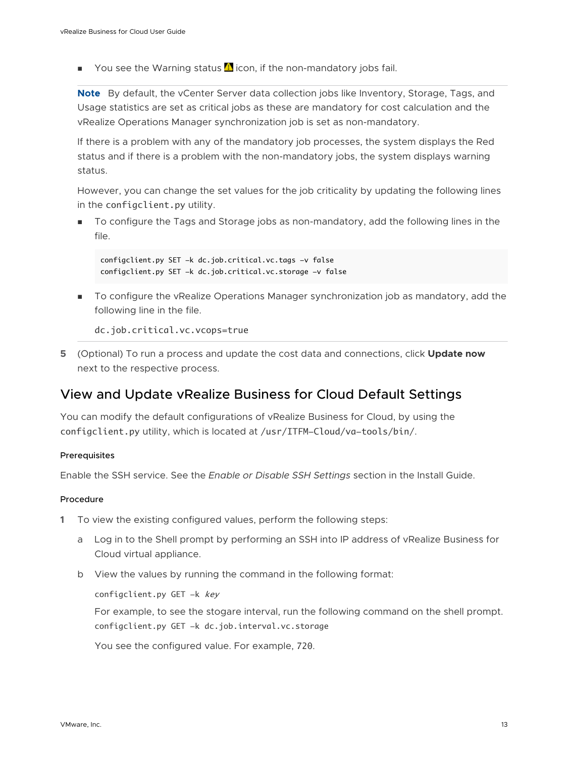<span id="page-12-0"></span> $\blacksquare$  You see the Warning status  $\blacksquare$  icon, if the non-mandatory jobs fail.

**Note** By default, the vCenter Server data collection jobs like Inventory, Storage, Tags, and Usage statistics are set as critical jobs as these are mandatory for cost calculation and the vRealize Operations Manager synchronization job is set as non-mandatory.

If there is a problem with any of the mandatory job processes, the system displays the Red status and if there is a problem with the non-mandatory jobs, the system displays warning status.

However, you can change the set values for the job criticality by updating the following lines in the configclient.py utility.

<sup>n</sup> To configure the Tags and Storage jobs as non-mandatory, add the following lines in the file.

```
configclient.py SET -k dc.job.critical.vc.tags -v false
configclient.py SET -k dc.job.critical.vc.storage -v false
```
**n** To configure the vRealize Operations Manager synchronization job as mandatory, add the following line in the file.

dc.job.critical.vc.vcops=true

**5** (Optional) To run a process and update the cost data and connections, click **Update now**  next to the respective process.

## View and Update vRealize Business for Cloud Default Settings

You can modify the default configurations of vRealize Business for Cloud, by using the configclient.py utility, which is located at /usr/ITFM-Cloud/va-tools/bin/.

#### **Prerequisites**

Enable the SSH service. See the *Enable or Disable SSH Settings* section in the Install Guide.

#### Procedure

- **1** To view the existing configured values, perform the following steps:
	- a Log in to the Shell prompt by performing an SSH into IP address of vRealize Business for Cloud virtual appliance.
	- b View the values by running the command in the following format:

configclient.py GET -k key

For example, to see the stogare interval, run the following command on the shell prompt. configclient.py GET -k dc.job.interval.vc.storage

You see the configured value. For example, 720.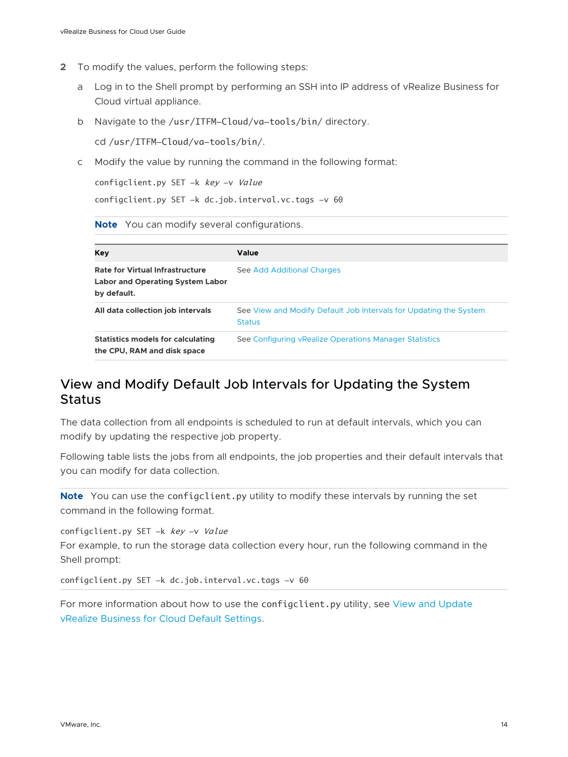- <span id="page-13-0"></span>**2** To modify the values, perform the following steps:
	- a Log in to the Shell prompt by performing an SSH into IP address of vRealize Business for Cloud virtual appliance.
	- b Navigate to the /usr/ITFM-Cloud/va-tools/bin/ directory.

cd /usr/ITFM-Cloud/va-tools/bin/.

c Modify the value by running the command in the following format:

configclient.py SET -k key -v Value

configclient.py SET -k dc.job.interval.vc.tags -v 60

**Note** You can modify several configurations.

| Kev                                                                                              | Value                                                                              |
|--------------------------------------------------------------------------------------------------|------------------------------------------------------------------------------------|
| <b>Rate for Virtual Infrastructure</b><br><b>Labor and Operating System Labor</b><br>by default. | See Add Additional Charges                                                         |
| All data collection job intervals                                                                | See View and Modify Default Job Intervals for Updating the System<br><b>Status</b> |
| <b>Statistics models for calculating</b><br>the CPU, RAM and disk space                          | See Configuring vRealize Operations Manager Statistics                             |

# View and Modify Default Job Intervals for Updating the System **Status**

The data collection from all endpoints is scheduled to run at default intervals, which you can modify by updating the respective job property.

Following table lists the jobs from all endpoints, the job properties and their default intervals that you can modify for data collection.

**Note** You can use the configclient.py utility to modify these intervals by running the set command in the following format.

configclient.py SET -k key -v Value

For example, to run the storage data collection every hour, run the following command in the Shell prompt:

configclient.py SET -k dc.job.interval.vc.tags -v 60

For more information about how to use the configclient.py utility, see [View and Update](#page-12-0) [vRealize Business for Cloud Default Settings.](#page-12-0)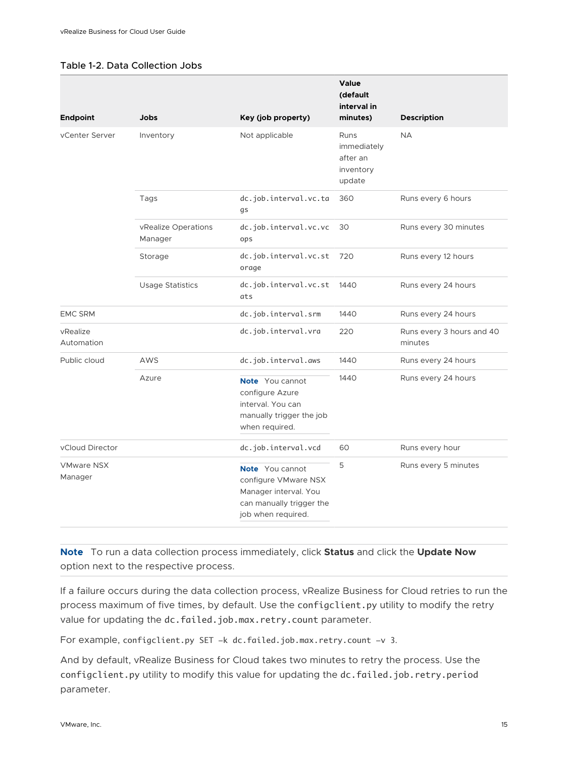#### Table 1-2. Data Collection Jobs

|                              |                                |                                                                                                                           | Value<br>(default<br>interval in                       |                                      |
|------------------------------|--------------------------------|---------------------------------------------------------------------------------------------------------------------------|--------------------------------------------------------|--------------------------------------|
| <b>Endpoint</b>              | <b>Jobs</b>                    | Key (job property)                                                                                                        | minutes)                                               | <b>Description</b>                   |
| vCenter Server               | Inventory                      | Not applicable                                                                                                            | Runs<br>immediately<br>after an<br>inventory<br>update | <b>NA</b>                            |
|                              | Tags                           | dc.job.interval.vc.ta<br>gs                                                                                               | 360                                                    | Runs every 6 hours                   |
|                              | vRealize Operations<br>Manager | dc.job.interval.vc.vc<br>ops                                                                                              | 30                                                     | Runs every 30 minutes                |
|                              | Storage                        | dc.job.interval.vc.st<br>orage                                                                                            | 720                                                    | Runs every 12 hours                  |
|                              | <b>Usage Statistics</b>        | dc.job.interval.vc.st<br>ats                                                                                              | 1440                                                   | Runs every 24 hours                  |
| <b>EMC SRM</b>               |                                | dc.job.interval.srm                                                                                                       | 1440                                                   | Runs every 24 hours                  |
| vRealize<br>Automation       |                                | dc.job.interval.vra                                                                                                       | 220                                                    | Runs every 3 hours and 40<br>minutes |
| Public cloud                 | AWS                            | dc.job.interval.aws                                                                                                       | 1440                                                   | Runs every 24 hours                  |
|                              | Azure                          | <b>Note</b> You cannot<br>configure Azure<br>interval. You can<br>manually trigger the job<br>when required.              | 1440                                                   | Runs every 24 hours                  |
| vCloud Director              |                                | dc.job.interval.vcd                                                                                                       | 60                                                     | Runs every hour                      |
| <b>VMware NSX</b><br>Manager |                                | <b>Note</b> You cannot<br>configure VMware NSX<br>Manager interval. You<br>can manually trigger the<br>job when required. | 5                                                      | Runs every 5 minutes                 |

**Note** To run a data collection process immediately, click **Status** and click the **Update Now**  option next to the respective process.

If a failure occurs during the data collection process, vRealize Business for Cloud retries to run the process maximum of five times, by default. Use the configclient.py utility to modify the retry value for updating the dc.failed.job.max.retry.count parameter.

For example, configclient.py SET -k dc.failed.job.max.retry.count -v 3.

And by default, vRealize Business for Cloud takes two minutes to retry the process. Use the configclient.py utility to modify this value for updating the dc.failed.job.retry.period parameter.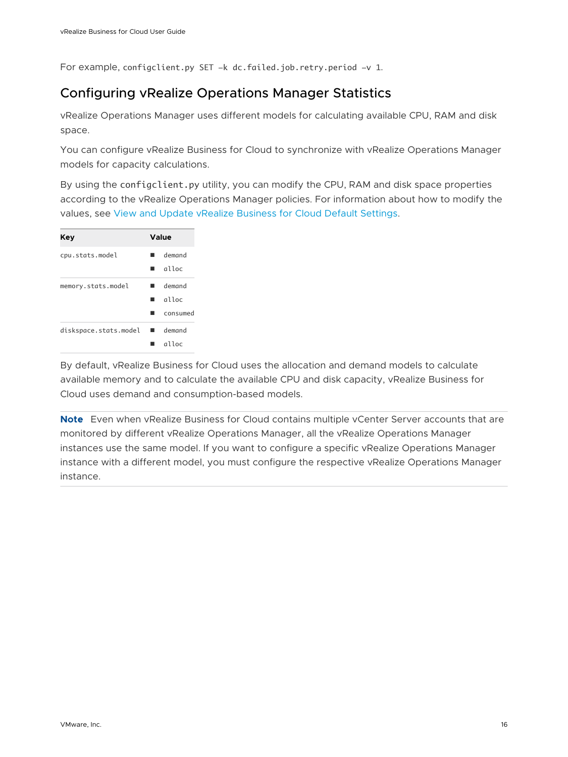<span id="page-15-0"></span>For example, configclient.py SET -k dc.failed.job.retry.period -v 1.

# Configuring vRealize Operations Manager Statistics

vRealize Operations Manager uses different models for calculating available CPU, RAM and disk space.

You can configure vRealize Business for Cloud to synchronize with vRealize Operations Manager models for capacity calculations.

By using the configclient.py utility, you can modify the CPU, RAM and disk space properties according to the vRealize Operations Manager policies. For information about how to modify the values, see [View and Update vRealize Business for Cloud Default Settings.](#page-12-0)

| Key                   | Value                            |
|-----------------------|----------------------------------|
| cpu.stats.model       | demand<br>alloc<br>٠             |
| memory.stats.model    | demand<br>alloc<br>٠<br>consumed |
| diskspace.stats.model | demand<br>alloc                  |

By default, vRealize Business for Cloud uses the allocation and demand models to calculate available memory and to calculate the available CPU and disk capacity, vRealize Business for Cloud uses demand and consumption-based models.

**Note** Even when vRealize Business for Cloud contains multiple vCenter Server accounts that are monitored by different vRealize Operations Manager, all the vRealize Operations Manager instances use the same model. If you want to configure a specific vRealize Operations Manager instance with a different model, you must configure the respective vRealize Operations Manager instance.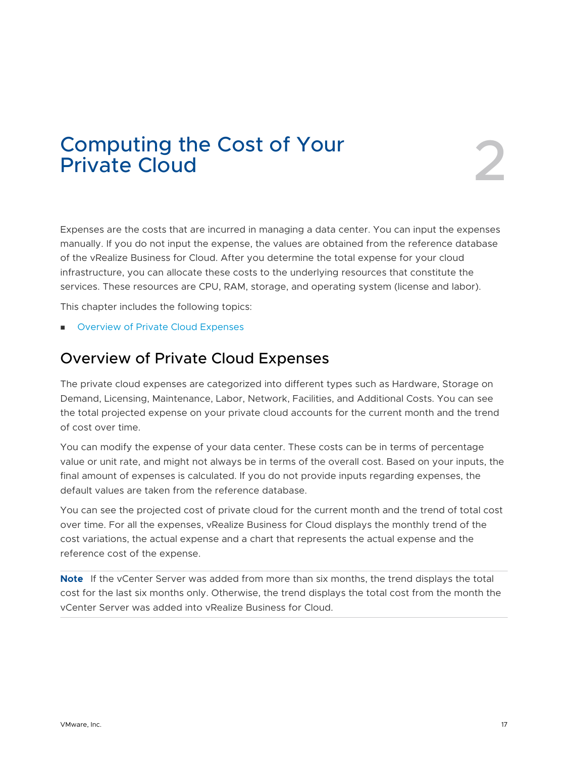# <span id="page-16-0"></span>Computing the Cost of Your<br>Private Cloud

Expenses are the costs that are incurred in managing a data center. You can input the expenses manually. If you do not input the expense, the values are obtained from the reference database of the vRealize Business for Cloud. After you determine the total expense for your cloud infrastructure, you can allocate these costs to the underlying resources that constitute the services. These resources are CPU, RAM, storage, and operating system (license and labor).

This chapter includes the following topics:

**n** Overview of Private Cloud Expenses

# Overview of Private Cloud Expenses

The private cloud expenses are categorized into different types such as Hardware, Storage on Demand, Licensing, Maintenance, Labor, Network, Facilities, and Additional Costs. You can see the total projected expense on your private cloud accounts for the current month and the trend of cost over time.

You can modify the expense of your data center. These costs can be in terms of percentage value or unit rate, and might not always be in terms of the overall cost. Based on your inputs, the final amount of expenses is calculated. If you do not provide inputs regarding expenses, the default values are taken from the reference database.

You can see the projected cost of private cloud for the current month and the trend of total cost over time. For all the expenses, vRealize Business for Cloud displays the monthly trend of the cost variations, the actual expense and a chart that represents the actual expense and the reference cost of the expense.

**Note** If the vCenter Server was added from more than six months, the trend displays the total cost for the last six months only. Otherwise, the trend displays the total cost from the month the vCenter Server was added into vRealize Business for Cloud.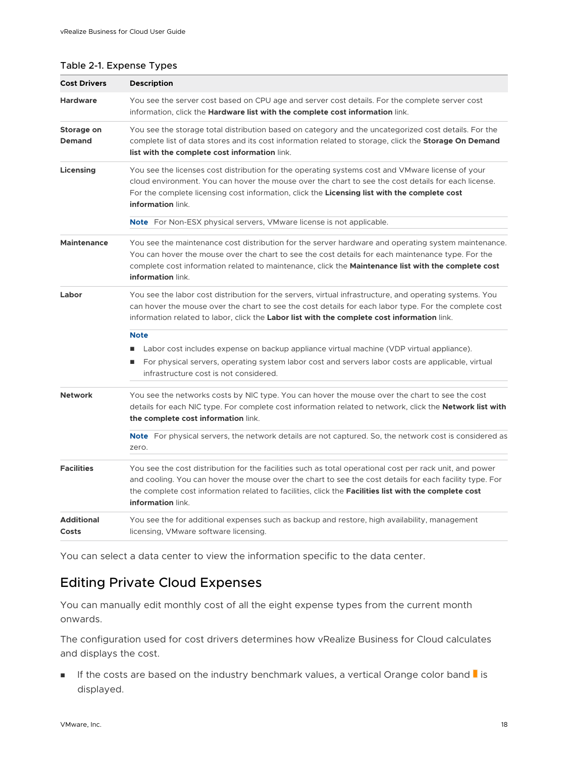#### <span id="page-17-0"></span>Table 2-1. Expense Types

| <b>Cost Drivers</b>         | <b>Description</b>                                                                                                                                                                                                                                                                                                                                |
|-----------------------------|---------------------------------------------------------------------------------------------------------------------------------------------------------------------------------------------------------------------------------------------------------------------------------------------------------------------------------------------------|
| <b>Hardware</b>             | You see the server cost based on CPU age and server cost details. For the complete server cost<br>information, click the Hardware list with the complete cost information link.                                                                                                                                                                   |
| Storage on<br><b>Demand</b> | You see the storage total distribution based on category and the uncategorized cost details. For the<br>complete list of data stores and its cost information related to storage, click the Storage On Demand<br>list with the complete cost information link.                                                                                    |
| Licensing                   | You see the licenses cost distribution for the operating systems cost and VMware license of your<br>cloud environment. You can hover the mouse over the chart to see the cost details for each license.<br>For the complete licensing cost information, click the Licensing list with the complete cost<br>information link.                      |
|                             | <b>Note</b> For Non-ESX physical servers, VMware license is not applicable.                                                                                                                                                                                                                                                                       |
| <b>Maintenance</b>          | You see the maintenance cost distribution for the server hardware and operating system maintenance.<br>You can hover the mouse over the chart to see the cost details for each maintenance type. For the<br>complete cost information related to maintenance, click the Maintenance list with the complete cost<br>information link.              |
| Labor                       | You see the labor cost distribution for the servers, virtual infrastructure, and operating systems. You<br>can hover the mouse over the chart to see the cost details for each labor type. For the complete cost<br>information related to labor, click the Labor list with the complete cost information link.                                   |
|                             | <b>Note</b>                                                                                                                                                                                                                                                                                                                                       |
|                             | Labor cost includes expense on backup appliance virtual machine (VDP virtual appliance).<br>ш<br>For physical servers, operating system labor cost and servers labor costs are applicable, virtual<br>ш<br>infrastructure cost is not considered.                                                                                                 |
| <b>Network</b>              | You see the networks costs by NIC type. You can hover the mouse over the chart to see the cost<br>details for each NIC type. For complete cost information related to network, click the Network list with<br>the complete cost information link.                                                                                                 |
|                             | Note For physical servers, the network details are not captured. So, the network cost is considered as<br>zero.                                                                                                                                                                                                                                   |
| <b>Facilities</b>           | You see the cost distribution for the facilities such as total operational cost per rack unit, and power<br>and cooling. You can hover the mouse over the chart to see the cost details for each facility type. For<br>the complete cost information related to facilities, click the Facilities list with the complete cost<br>information link. |
| <b>Additional</b><br>Costs  | You see the for additional expenses such as backup and restore, high availability, management<br>licensing, VMware software licensing.                                                                                                                                                                                                            |

You can select a data center to view the information specific to the data center.

# Editing Private Cloud Expenses

You can manually edit monthly cost of all the eight expense types from the current month onwards.

The configuration used for cost drivers determines how vRealize Business for Cloud calculates and displays the cost.

**n** If the costs are based on the industry benchmark values, a vertical Orange color band  $\blacksquare$  is displayed.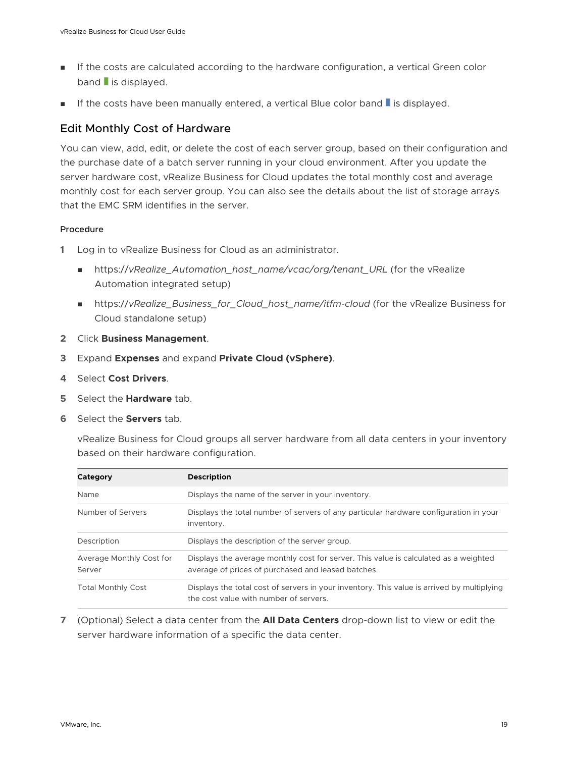- **n** If the costs are calculated according to the hardware configuration, a vertical Green color  $band$  is displayed.
- **n** If the costs have been manually entered, a vertical Blue color band **I** is displayed.

#### Edit Monthly Cost of Hardware

You can view, add, edit, or delete the cost of each server group, based on their configuration and the purchase date of a batch server running in your cloud environment. After you update the server hardware cost, vRealize Business for Cloud updates the total monthly cost and average monthly cost for each server group. You can also see the details about the list of storage arrays that the EMC SRM identifies in the server.

#### Procedure

- **1** Log in to vRealize Business for Cloud as an administrator.
	- https://*vRealize\_Automation\_host\_name/vcac/org/tenant\_URL* (for the vRealize Automation integrated setup)
	- https://vRealize\_Business\_for\_Cloud\_host\_name/itfm-cloud (for the vRealize Business for Cloud standalone setup)
- **2** Click **Business Management**.
- **3** Expand **Expenses** and expand **Private Cloud (vSphere)**.
- **4** Select **Cost Drivers**.
- **5** Select the **Hardware** tab.
- **6** Select the **Servers** tab.

vRealize Business for Cloud groups all server hardware from all data centers in your inventory based on their hardware configuration.

| Category                           | <b>Description</b>                                                                                                                         |
|------------------------------------|--------------------------------------------------------------------------------------------------------------------------------------------|
| Name                               | Displays the name of the server in your inventory.                                                                                         |
| Number of Servers                  | Displays the total number of servers of any particular hardware configuration in your<br>inventory.                                        |
| Description                        | Displays the description of the server group.                                                                                              |
| Average Monthly Cost for<br>Server | Displays the average monthly cost for server. This value is calculated as a weighted<br>average of prices of purchased and leased batches. |
| <b>Total Monthly Cost</b>          | Displays the total cost of servers in your inventory. This value is arrived by multiplying<br>the cost value with number of servers        |

**7** (Optional) Select a data center from the **All Data Centers** drop-down list to view or edit the server hardware information of a specific the data center.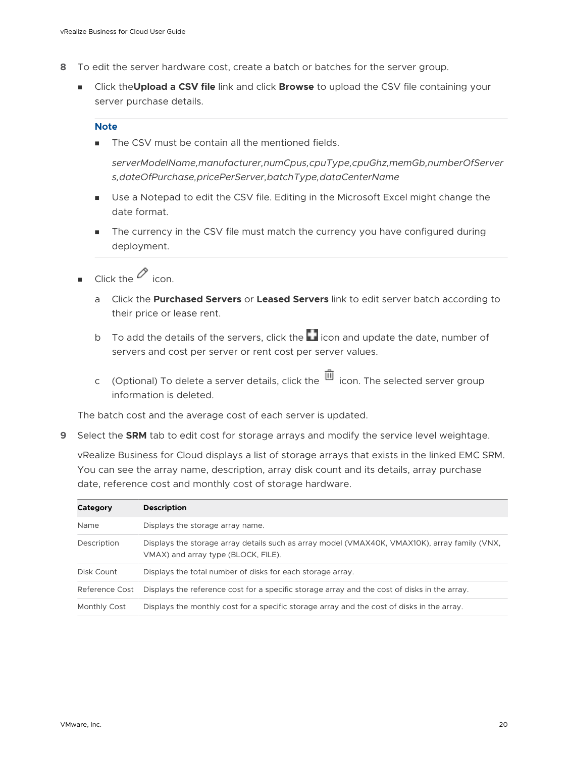- **8** To edit the server hardware cost, create a batch or batches for the server group.
	- **n** Click the **Upload a CSV file** link and click **Browse** to upload the CSV file containing your server purchase details.

#### **Note**

The CSV must be contain all the mentioned fields.

*serverModelName,manufacturer,numCpus,cpuType,cpuGhz,memGb,numberOfServer s,dateOfPurchase,pricePerServer,batchType,dataCenterName*

- <sup>n</sup> Use a Notepad to edit the CSV file. Editing in the Microsoft Excel might change the date format.
- The currency in the CSV file must match the currency you have configured during deployment.
- Click the  $\oslash$  icon.
	- a Click the **Purchased Servers** or **Leased Servers** link to edit server batch according to their price or lease rent.
	- b To add the details of the servers, click the  $\Box$  icon and update the date, number of servers and cost per server or rent cost per server values.
	- c (Optional) To delete a server details, click the  $\overline{11}$  icon. The selected server group information is deleted.

The batch cost and the average cost of each server is updated.

**9** Select the **SRM** tab to edit cost for storage arrays and modify the service level weightage.

vRealize Business for Cloud displays a list of storage arrays that exists in the linked EMC SRM. You can see the array name, description, array disk count and its details, array purchase date, reference cost and monthly cost of storage hardware.

| Category       | <b>Description</b>                                                                                                                   |
|----------------|--------------------------------------------------------------------------------------------------------------------------------------|
| Name           | Displays the storage array name.                                                                                                     |
| Description    | Displays the storage array details such as array model (VMAX40K, VMAX10K), array family (VNX,<br>VMAX) and array type (BLOCK, FILE). |
| Disk Count     | Displays the total number of disks for each storage array.                                                                           |
| Reference Cost | Displays the reference cost for a specific storage array and the cost of disks in the array.                                         |
| Monthly Cost   | Displays the monthly cost for a specific storage array and the cost of disks in the array.                                           |
|                |                                                                                                                                      |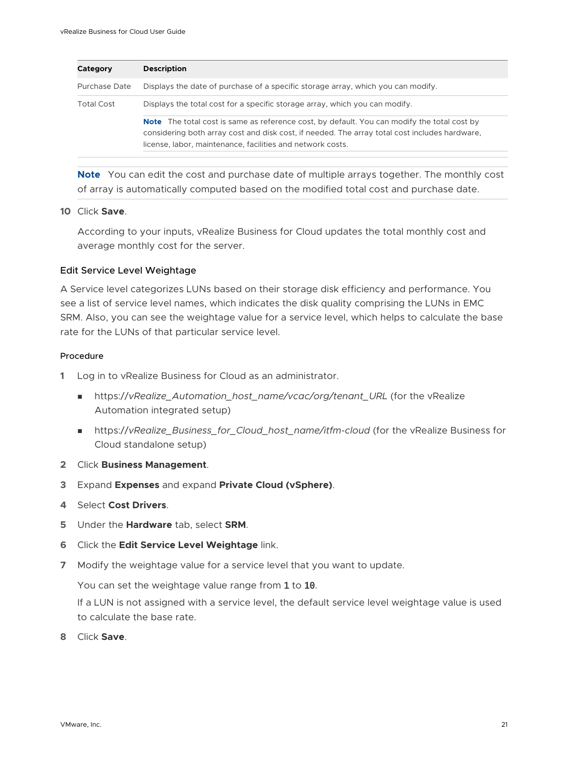| Category          | <b>Description</b>                                                                                                                                                                                                                                                |
|-------------------|-------------------------------------------------------------------------------------------------------------------------------------------------------------------------------------------------------------------------------------------------------------------|
| Purchase Date     | Displays the date of purchase of a specific storage array, which you can modify.                                                                                                                                                                                  |
| <b>Total Cost</b> | Displays the total cost for a specific storage array, which you can modify.                                                                                                                                                                                       |
|                   | <b>Note</b> The total cost is same as reference cost, by default. You can modify the total cost by<br>considering both array cost and disk cost, if needed. The array total cost includes hardware,<br>license, labor, maintenance, facilities and network costs. |

**Note** You can edit the cost and purchase date of multiple arrays together. The monthly cost of array is automatically computed based on the modified total cost and purchase date.

#### **10** Click **Save**.

According to your inputs, vRealize Business for Cloud updates the total monthly cost and average monthly cost for the server.

#### Edit Service Level Weightage

A Service level categorizes LUNs based on their storage disk efficiency and performance. You see a list of service level names, which indicates the disk quality comprising the LUNs in EMC SRM. Also, you can see the weightage value for a service level, which helps to calculate the base rate for the LUNs of that particular service level.

#### Procedure

- **1** Log in to vRealize Business for Cloud as an administrator.
	- <sup>n</sup> https://*vRealize\_Automation\_host\_name/vcac/org/tenant\_URL* (for the vRealize Automation integrated setup)
	- https://vRealize\_Business\_for\_Cloud\_host\_name/itfm-cloud (for the vRealize Business for Cloud standalone setup)
- **2** Click **Business Management**.
- **3** Expand **Expenses** and expand **Private Cloud (vSphere)**.
- **4** Select **Cost Drivers**.
- **5** Under the **Hardware** tab, select **SRM**.
- **6** Click the **Edit Service Level Weightage** link.
- **7** Modify the weightage value for a service level that you want to update.

You can set the weightage value range from 1 to 10.

If a LUN is not assigned with a service level, the default service level weightage value is used to calculate the base rate.

**8** Click **Save**.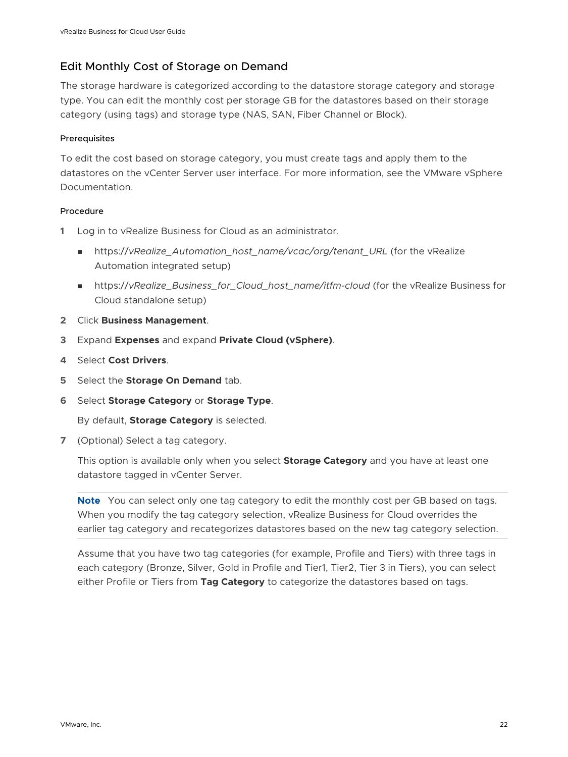#### Edit Monthly Cost of Storage on Demand

The storage hardware is categorized according to the datastore storage category and storage type. You can edit the monthly cost per storage GB for the datastores based on their storage category (using tags) and storage type (NAS, SAN, Fiber Channel or Block).

#### **Prerequisites**

To edit the cost based on storage category, you must create tags and apply them to the datastores on the vCenter Server user interface. For more information, see the VMware vSphere Documentation.

#### Procedure

- **1** Log in to vRealize Business for Cloud as an administrator.
	- nttps://vRealize\_Automation\_host\_name/vcac/org/tenant\_URL (for the vRealize Automation integrated setup)
	- n https://vRealize\_Business\_for\_Cloud\_host\_name/itfm-cloud (for the vRealize Business for Cloud standalone setup)
- **2** Click **Business Management**.
- **3** Expand **Expenses** and expand **Private Cloud (vSphere)**.
- **4** Select **Cost Drivers**.
- **5** Select the **Storage On Demand** tab.
- **6** Select **Storage Category** or **Storage Type**.

By default, **Storage Category** is selected.

**7** (Optional) Select a tag category.

This option is available only when you select **Storage Category** and you have at least one datastore tagged in vCenter Server.

**Note** You can select only one tag category to edit the monthly cost per GB based on tags. When you modify the tag category selection, vRealize Business for Cloud overrides the earlier tag category and recategorizes datastores based on the new tag category selection.

Assume that you have two tag categories (for example, Profile and Tiers) with three tags in each category (Bronze, Silver, Gold in Profile and Tier1, Tier2, Tier 3 in Tiers), you can select either Profile or Tiers from **Tag Category** to categorize the datastores based on tags.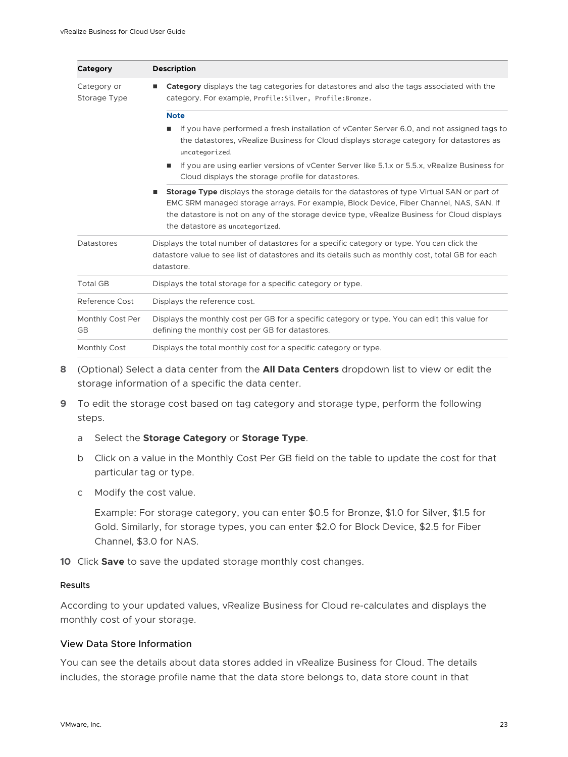| Category                    | <b>Description</b>                                                                                                                                                                                                                                                                                                              |  |
|-----------------------------|---------------------------------------------------------------------------------------------------------------------------------------------------------------------------------------------------------------------------------------------------------------------------------------------------------------------------------|--|
| Category or<br>Storage Type | <b>Category</b> displays the tag categories for datastores and also the tags associated with the<br>■<br>category. For example, Profile: Silver, Profile: Bronze.                                                                                                                                                               |  |
|                             | <b>Note</b>                                                                                                                                                                                                                                                                                                                     |  |
|                             | If you have performed a fresh installation of yCenter Server 6.0, and not assigned tags to<br>the datastores, yRealize Business for Cloud displays storage category for datastores as<br>uncategorized.                                                                                                                         |  |
|                             | If you are using earlier versions of vCenter Server like 5.1.x or 5.5.x, vRealize Business for<br>Cloud displays the storage profile for datastores.                                                                                                                                                                            |  |
|                             | <b>Storage Type</b> displays the storage details for the datastores of type Virtual SAN or part of<br>EMC SRM managed storage arrays. For example, Block Device, Fiber Channel, NAS, SAN. If<br>the datastore is not on any of the storage device type, vRealize Business for Cloud displays<br>the datastore as uncategorized. |  |
| <b>Datastores</b>           | Displays the total number of datastores for a specific category or type. You can click the<br>datastore value to see list of datastores and its details such as monthly cost, total GB for each<br>datastore.                                                                                                                   |  |
| <b>Total GB</b>             | Displays the total storage for a specific category or type.                                                                                                                                                                                                                                                                     |  |
| Reference Cost              | Displays the reference cost.                                                                                                                                                                                                                                                                                                    |  |
| Monthly Cost Per<br>GB      | Displays the monthly cost per GB for a specific category or type. You can edit this value for<br>defining the monthly cost per GB for datastores.                                                                                                                                                                               |  |
| Monthly Cost                | Displays the total monthly cost for a specific category or type.                                                                                                                                                                                                                                                                |  |

- **8** (Optional) Select a data center from the **All Data Centers** dropdown list to view or edit the storage information of a specific the data center.
- **9** To edit the storage cost based on tag category and storage type, perform the following steps.

#### a Select the **Storage Category** or **Storage Type**.

- b Click on a value in the Monthly Cost Per GB field on the table to update the cost for that particular tag or type.
- c Modify the cost value.

Example: For storage category, you can enter \$0.5 for Bronze, \$1.0 for Silver, \$1.5 for Gold. Similarly, for storage types, you can enter \$2.0 for Block Device, \$2.5 for Fiber Channel, \$3.0 for NAS.

**10** Click **Save** to save the updated storage monthly cost changes.

#### Results

According to your updated values, vRealize Business for Cloud re-calculates and displays the monthly cost of your storage.

#### View Data Store Information

You can see the details about data stores added in vRealize Business for Cloud. The details includes, the storage profile name that the data store belongs to, data store count in that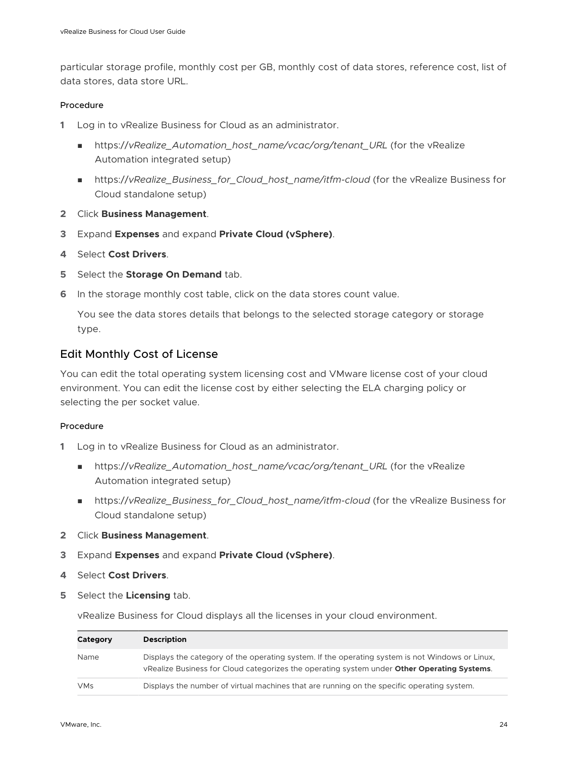particular storage profile, monthly cost per GB, monthly cost of data stores, reference cost, list of data stores, data store URL.

#### Procedure

- **1** Log in to vRealize Business for Cloud as an administrator.
	- https://vRealize\_Automation\_host\_name/vcac/org/tenant\_URL (for the vRealize Automation integrated setup)
	- n https://vRealize\_Business\_for\_Cloud\_host\_name/itfm-cloud (for the vRealize Business for Cloud standalone setup)
- **2** Click **Business Management**.
- **3** Expand **Expenses** and expand **Private Cloud (vSphere)**.
- **4** Select **Cost Drivers**.
- **5** Select the **Storage On Demand** tab.
- **6** In the storage monthly cost table, click on the data stores count value.

You see the data stores details that belongs to the selected storage category or storage type.

#### Edit Monthly Cost of License

You can edit the total operating system licensing cost and VMware license cost of your cloud environment. You can edit the license cost by either selecting the ELA charging policy or selecting the per socket value.

#### Procedure

- **1** Log in to vRealize Business for Cloud as an administrator.
	- nttps://*vRealize* Automation host name/vcac/org/tenant URL (for the vRealize Automation integrated setup)
	- n https://vRealize\_Business\_for\_Cloud\_host\_name/itfm-cloud (for the vRealize Business for Cloud standalone setup)
- **2** Click **Business Management**.
- **3** Expand **Expenses** and expand **Private Cloud (vSphere)**.
- **4** Select **Cost Drivers**.
- **5** Select the **Licensing** tab.

vRealize Business for Cloud displays all the licenses in your cloud environment.

| Category   | <b>Description</b>                                                                                                                                                                             |
|------------|------------------------------------------------------------------------------------------------------------------------------------------------------------------------------------------------|
| Name       | Displays the category of the operating system. If the operating system is not Windows or Linux,<br>vRealize Business for Cloud categorizes the operating system under Other Operating Systems. |
| <b>VMs</b> | Displays the number of virtual machines that are running on the specific operating system.                                                                                                     |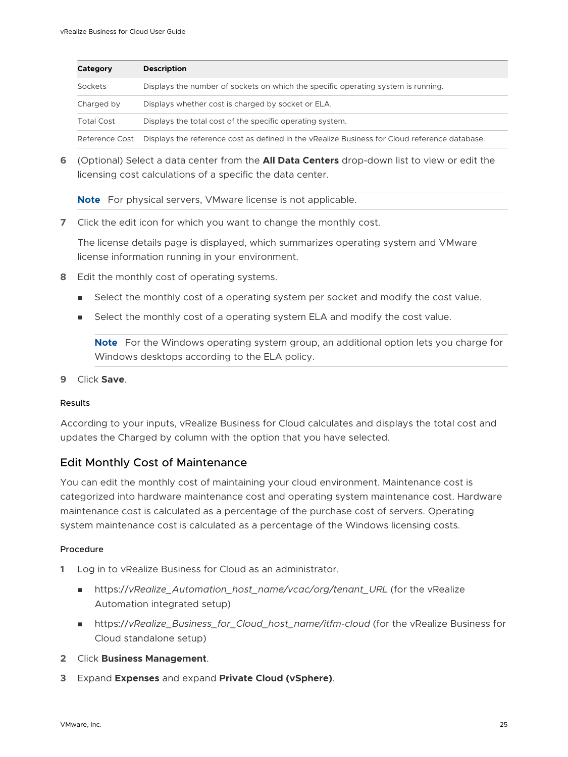| Category          | <b>Description</b>                                                                            |
|-------------------|-----------------------------------------------------------------------------------------------|
| Sockets           | Displays the number of sockets on which the specific operating system is running.             |
| Charged by        | Displays whether cost is charged by socket or ELA.                                            |
| <b>Total Cost</b> | Displays the total cost of the specific operating system.                                     |
| Reference Cost    | Displays the reference cost as defined in the vRealize Business for Cloud reference database. |

**6** (Optional) Select a data center from the **All Data Centers** drop-down list to view or edit the licensing cost calculations of a specific the data center.

**Note** For physical servers, VMware license is not applicable.

**7** Click the edit icon for which you want to change the monthly cost.

The license details page is displayed, which summarizes operating system and VMware license information running in your environment.

- **8** Edit the monthly cost of operating systems.
	- **EXECT** Select the monthly cost of a operating system per socket and modify the cost value.
	- **EXE** Select the monthly cost of a operating system ELA and modify the cost value.

**Note** For the Windows operating system group, an additional option lets you charge for Windows desktops according to the ELA policy.

**9** Click **Save**.

#### Results

According to your inputs, vRealize Business for Cloud calculates and displays the total cost and updates the Charged by column with the option that you have selected.

#### Edit Monthly Cost of Maintenance

You can edit the monthly cost of maintaining your cloud environment. Maintenance cost is categorized into hardware maintenance cost and operating system maintenance cost. Hardware maintenance cost is calculated as a percentage of the purchase cost of servers. Operating system maintenance cost is calculated as a percentage of the Windows licensing costs.

#### Procedure

- **1** Log in to vRealize Business for Cloud as an administrator.
	- nttps://vRealize\_Automation\_host\_name/vcac/org/tenant\_URL (for the vRealize Automation integrated setup)
	- https://vRealize\_Business\_for\_Cloud\_host\_name/itfm-cloud (for the vRealize Business for Cloud standalone setup)
- **2** Click **Business Management**.
- **3** Expand **Expenses** and expand **Private Cloud (vSphere)**.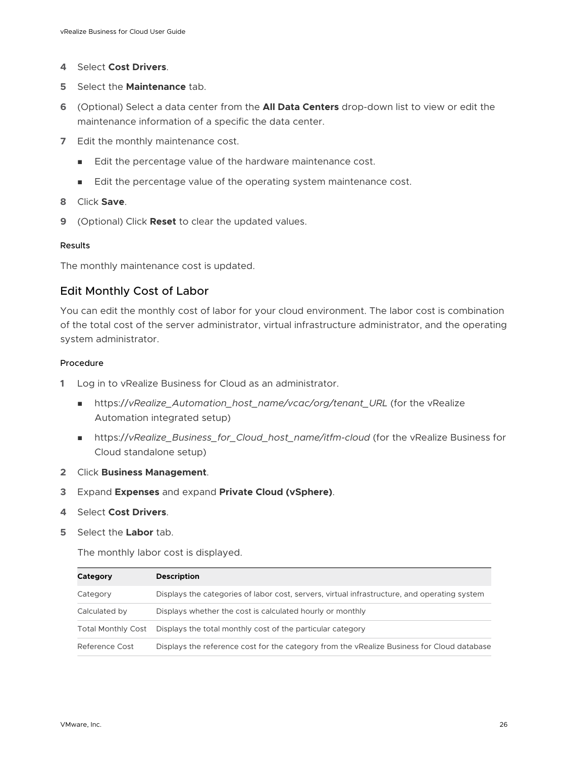- **4** Select **Cost Drivers**.
- **5** Select the **Maintenance** tab.
- **6** (Optional) Select a data center from the **All Data Centers** drop-down list to view or edit the maintenance information of a specific the data center.
- **7** Edit the monthly maintenance cost.
	- Edit the percentage value of the hardware maintenance cost.
	- Edit the percentage value of the operating system maintenance cost.
- **8** Click **Save**.
- **9** (Optional) Click **Reset** to clear the updated values.

#### Results

The monthly maintenance cost is updated.

#### Edit Monthly Cost of Labor

You can edit the monthly cost of labor for your cloud environment. The labor cost is combination of the total cost of the server administrator, virtual infrastructure administrator, and the operating system administrator.

#### Procedure

- **1** Log in to vRealize Business for Cloud as an administrator.
	- https://vRealize\_Automation\_host\_name/vcac/org/tenant\_URL (for the vRealize Automation integrated setup)
	- https://vRealize\_Business\_for\_Cloud\_host\_name/itfm-cloud (for the vRealize Business for Cloud standalone setup)
- **2** Click **Business Management**.
- **3** Expand **Expenses** and expand **Private Cloud (vSphere)**.
- **4** Select **Cost Drivers**.
- **5** Select the **Labor** tab.

The monthly labor cost is displayed.

| Category                  | <b>Description</b>                                                                           |
|---------------------------|----------------------------------------------------------------------------------------------|
| Category                  | Displays the categories of labor cost, servers, virtual infrastructure, and operating system |
| Calculated by             | Displays whether the cost is calculated hourly or monthly                                    |
| <b>Total Monthly Cost</b> | Displays the total monthly cost of the particular category                                   |
| Reference Cost            | Displays the reference cost for the category from the yRealize Business for Cloud database   |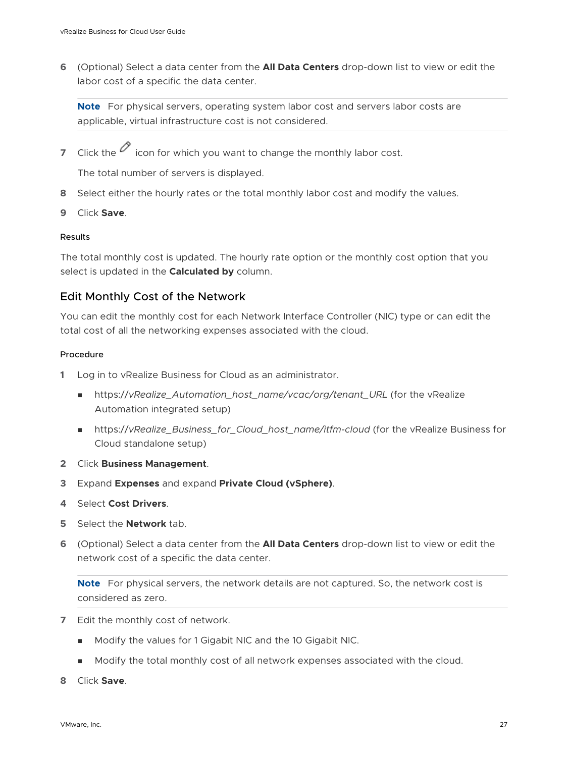**6** (Optional) Select a data center from the **All Data Centers** drop-down list to view or edit the labor cost of a specific the data center.

**Note** For physical servers, operating system labor cost and servers labor costs are applicable, virtual infrastructure cost is not considered.

**7** Click the  $\emptyset$  icon for which you want to change the monthly labor cost.

The total number of servers is displayed.

- **8** Select either the hourly rates or the total monthly labor cost and modify the values.
- **9** Click **Save**.

#### Results

The total monthly cost is updated. The hourly rate option or the monthly cost option that you select is updated in the **Calculated by** column.

#### Edit Monthly Cost of the Network

You can edit the monthly cost for each Network Interface Controller (NIC) type or can edit the total cost of all the networking expenses associated with the cloud.

#### Procedure

- **1** Log in to vRealize Business for Cloud as an administrator.
	- nttps://vRealize\_Automation\_host\_name/vcac/org/tenant\_URL (for the vRealize Automation integrated setup)
	- n https://vRealize\_Business\_for\_Cloud\_host\_name/itfm-cloud (for the vRealize Business for Cloud standalone setup)
- **2** Click **Business Management**.
- **3** Expand **Expenses** and expand **Private Cloud (vSphere)**.
- **4** Select **Cost Drivers**.
- **5** Select the **Network** tab.
- **6** (Optional) Select a data center from the **All Data Centers** drop-down list to view or edit the network cost of a specific the data center.

**Note** For physical servers, the network details are not captured. So, the network cost is considered as zero.

- **7** Edit the monthly cost of network.
	- <sup>n</sup> Modify the values for 1 Gigabit NIC and the 10 Gigabit NIC.
	- <sup>n</sup> Modify the total monthly cost of all network expenses associated with the cloud.
- **8** Click **Save**.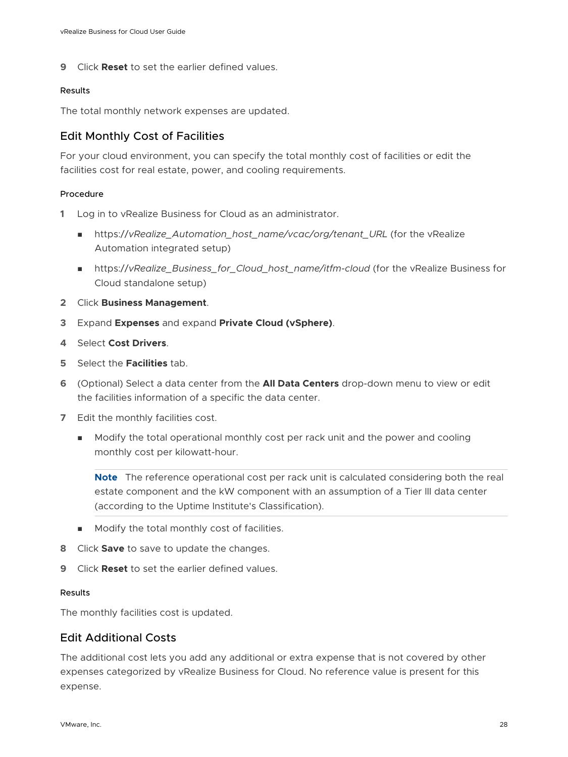**9** Click **Reset** to set the earlier defined values.

#### Results

The total monthly network expenses are updated.

#### Edit Monthly Cost of Facilities

For your cloud environment, you can specify the total monthly cost of facilities or edit the facilities cost for real estate, power, and cooling requirements.

#### Procedure

- **1** Log in to vRealize Business for Cloud as an administrator.
	- nttps://*vRealize* Automation host name/vcac/org/tenant URL (for the vRealize Automation integrated setup)
	- https://vRealize\_Business\_for\_Cloud\_host\_name/itfm-cloud (for the vRealize Business for Cloud standalone setup)
- **2** Click **Business Management**.
- **3** Expand **Expenses** and expand **Private Cloud (vSphere)**.
- **4** Select **Cost Drivers**.
- **5** Select the **Facilities** tab.
- **6** (Optional) Select a data center from the **All Data Centers** drop-down menu to view or edit the facilities information of a specific the data center.
- **7** Edit the monthly facilities cost.
	- <sup>n</sup> Modify the total operational monthly cost per rack unit and the power and cooling monthly cost per kilowatt-hour.

**Note** The reference operational cost per rack unit is calculated considering both the real estate component and the kW component with an assumption of a Tier III data center (according to the Uptime Institute's Classification).

- $\blacksquare$  Modify the total monthly cost of facilities.
- **8** Click **Save** to save to update the changes.
- **9** Click **Reset** to set the earlier defined values.

#### Results

The monthly facilities cost is updated.

#### Edit Additional Costs

The additional cost lets you add any additional or extra expense that is not covered by other expenses categorized by vRealize Business for Cloud. No reference value is present for this expense.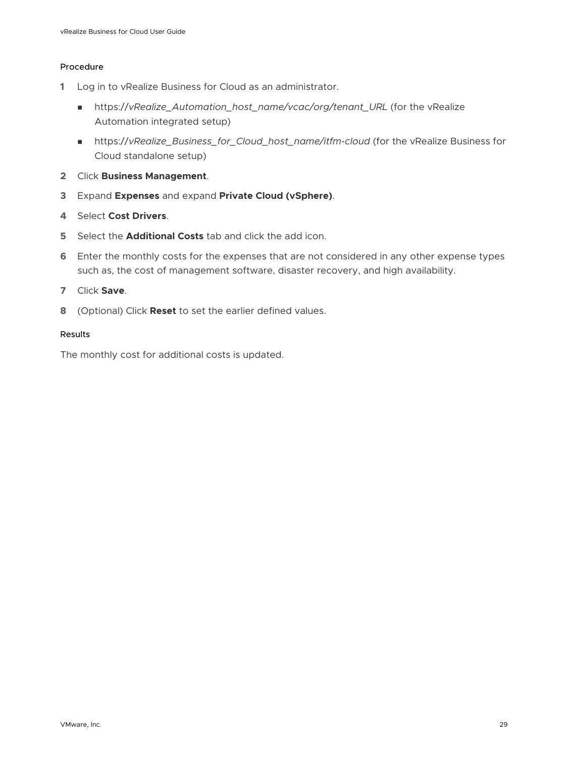#### Procedure

- **1** Log in to vRealize Business for Cloud as an administrator.
	- <sup>n</sup> https://*vRealize\_Automation\_host\_name/vcac/org/tenant\_URL* (for the vRealize Automation integrated setup)
	- <sup>n</sup> https://*vRealize\_Business\_for\_Cloud\_host\_name/itfm-cloud* (for the vRealize Business for Cloud standalone setup)
- **2** Click **Business Management**.
- **3** Expand **Expenses** and expand **Private Cloud (vSphere)**.
- **4** Select **Cost Drivers**.
- **5** Select the **Additional Costs** tab and click the add icon.
- **6** Enter the monthly costs for the expenses that are not considered in any other expense types such as, the cost of management software, disaster recovery, and high availability.
- **7** Click **Save**.
- **8** (Optional) Click **Reset** to set the earlier defined values.

#### Results

The monthly cost for additional costs is updated.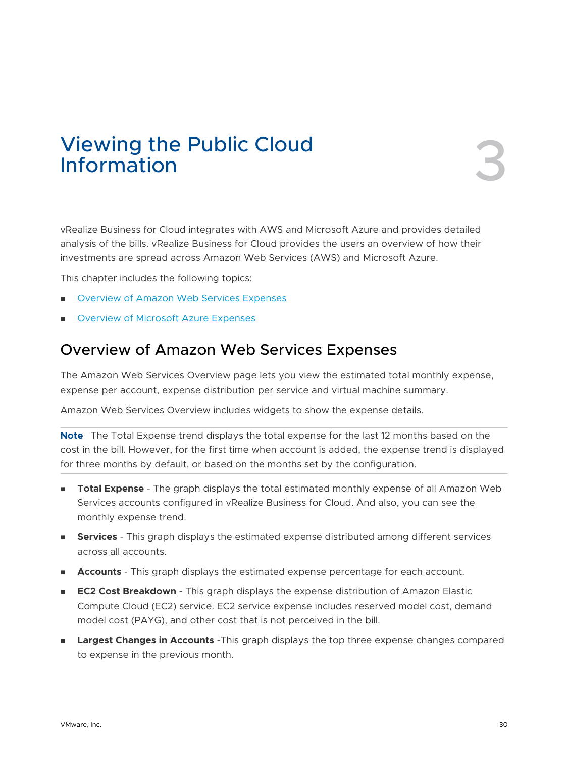# <span id="page-29-0"></span>Viewing the Public Cloud<br>Information 3

vRealize Business for Cloud integrates with AWS and Microsoft Azure and provides detailed analysis of the bills. vRealize Business for Cloud provides the users an overview of how their investments are spread across Amazon Web Services (AWS) and Microsoft Azure.

This chapter includes the following topics:

- **n** Overview of Amazon Web Services Expenses
- **n** [Overview of Microsoft Azure Expenses](#page-32-0)

# Overview of Amazon Web Services Expenses

The Amazon Web Services Overview page lets you view the estimated total monthly expense, expense per account, expense distribution per service and virtual machine summary.

Amazon Web Services Overview includes widgets to show the expense details.

**Note** The Total Expense trend displays the total expense for the last 12 months based on the cost in the bill. However, for the first time when account is added, the expense trend is displayed for three months by default, or based on the months set by the configuration.

- **Total Expense** The graph displays the total estimated monthly expense of all Amazon Web Services accounts configured in vRealize Business for Cloud. And also, you can see the monthly expense trend.
- **Services** This graph displays the estimated expense distributed among different services across all accounts.
- **Accounts** This graph displays the estimated expense percentage for each account.
- **EC2 Cost Breakdown** This graph displays the expense distribution of Amazon Elastic Compute Cloud (EC2) service. EC2 service expense includes reserved model cost, demand model cost (PAYG), and other cost that is not perceived in the bill.
- **Largest Changes in Accounts** -This graph displays the top three expense changes compared to expense in the previous month.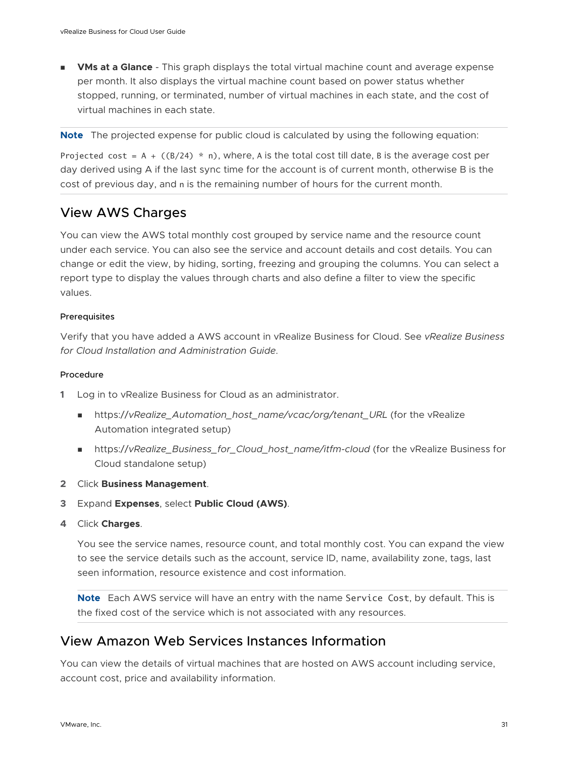<span id="page-30-0"></span>**NMs at a Glance** - This graph displays the total virtual machine count and average expense per month. It also displays the virtual machine count based on power status whether stopped, running, or terminated, number of virtual machines in each state, and the cost of virtual machines in each state.

**Note** The projected expense for public cloud is calculated by using the following equation:

Projected cost =  $A + ((B/24) * n)$ , where, A is the total cost till date, B is the average cost per day derived using A if the last sync time for the account is of current month, otherwise B is the cost of previous day, and n is the remaining number of hours for the current month.

## View AWS Charges

You can view the AWS total monthly cost grouped by service name and the resource count under each service. You can also see the service and account details and cost details. You can change or edit the view, by hiding, sorting, freezing and grouping the columns. You can select a report type to display the values through charts and also define a filter to view the specific values.

#### Prerequisites

Verify that you have added a AWS account in vRealize Business for Cloud. See *vRealize Business for Cloud Installation and Administration Guide*.

#### Procedure

- **1** Log in to vRealize Business for Cloud as an administrator.
	- nttps://vRealize\_Automation\_host\_name/vcac/org/tenant\_URL (for the vRealize Automation integrated setup)
	- n https://vRealize\_Business\_for\_Cloud\_host\_name/itfm-cloud (for the vRealize Business for Cloud standalone setup)
- **2** Click **Business Management**.
- **3** Expand **Expenses**, select **Public Cloud (AWS)**.
- **4** Click **Charges**.

You see the service names, resource count, and total monthly cost. You can expand the view to see the service details such as the account, service ID, name, availability zone, tags, last seen information, resource existence and cost information.

**Note** Each AWS service will have an entry with the name Service Cost, by default. This is the fixed cost of the service which is not associated with any resources.

## View Amazon Web Services Instances Information

You can view the details of virtual machines that are hosted on AWS account including service, account cost, price and availability information.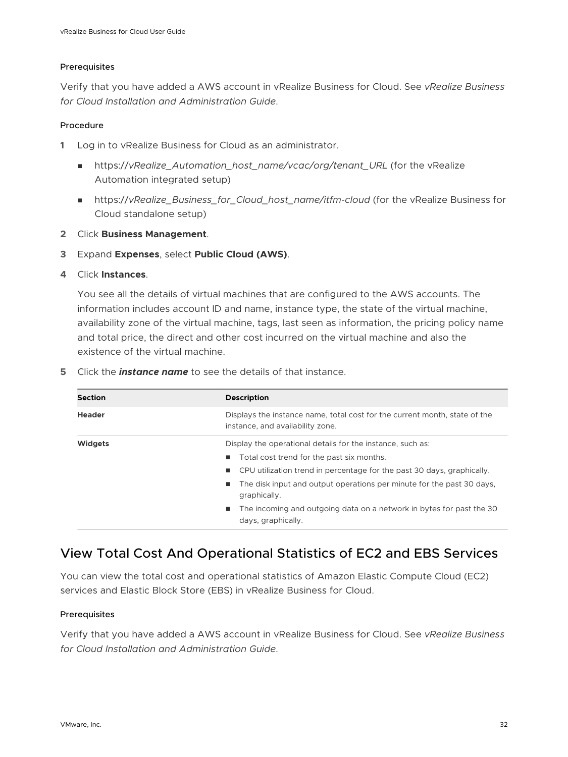#### <span id="page-31-0"></span>Prerequisites

Verify that you have added a AWS account in vRealize Business for Cloud. See *vRealize Business for Cloud Installation and Administration Guide*.

#### Procedure

- **1** Log in to vRealize Business for Cloud as an administrator.
	- nttps://vRealize\_Automation\_host\_name/vcac/org/tenant\_URL (for the vRealize Automation integrated setup)
	- https://vRealize\_Business\_for\_Cloud\_host\_name/itfm-cloud (for the vRealize Business for Cloud standalone setup)
- **2** Click **Business Management**.
- **3** Expand **Expenses**, select **Public Cloud (AWS)**.
- **4** Click **Instances**.

You see all the details of virtual machines that are configured to the AWS accounts. The information includes account ID and name, instance type, the state of the virtual machine, availability zone of the virtual machine, tags, last seen as information, the pricing policy name and total price, the direct and other cost incurred on the virtual machine and also the existence of the virtual machine.

| <b>Section</b> | <b>Description</b>                                                                                                                                                                                                                                                                                |
|----------------|---------------------------------------------------------------------------------------------------------------------------------------------------------------------------------------------------------------------------------------------------------------------------------------------------|
| <b>Header</b>  | Displays the instance name, total cost for the current month, state of the<br>instance, and availability zone.                                                                                                                                                                                    |
| <b>Widgets</b> | Display the operational details for the instance, such as:<br>Total cost trend for the past six months.<br>CPU utilization trend in percentage for the past 30 days, graphically.<br>$\blacksquare$<br>The disk input and output operations per minute for the past 30 days,<br>ш<br>graphically. |
|                | The incoming and outgoing data on a network in bytes for past the 30<br>$\blacksquare$<br>days, graphically.                                                                                                                                                                                      |

**5** Click the *instance name* to see the details of that instance.

# View Total Cost And Operational Statistics of EC2 and EBS Services

You can view the total cost and operational statistics of Amazon Elastic Compute Cloud (EC2) services and Elastic Block Store (EBS) in vRealize Business for Cloud.

#### Prerequisites

Verify that you have added a AWS account in vRealize Business for Cloud. See *vRealize Business for Cloud Installation and Administration Guide*.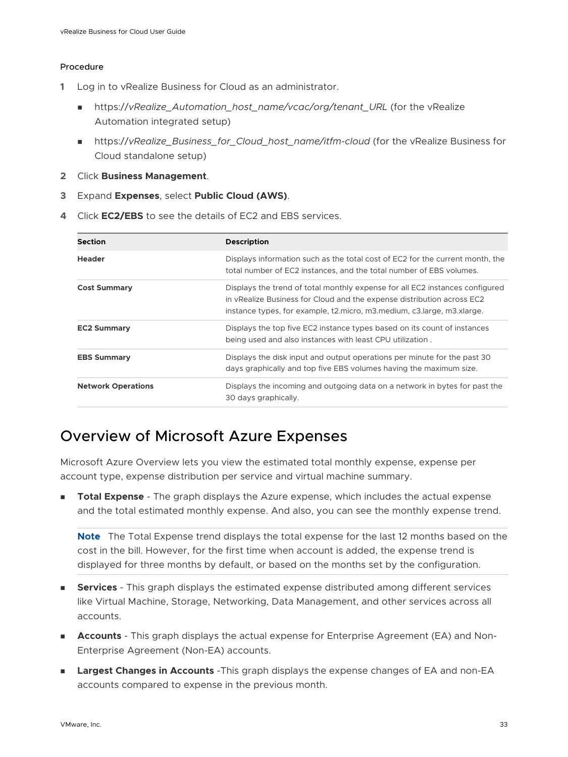#### <span id="page-32-0"></span>Procedure

- **1** Log in to vRealize Business for Cloud as an administrator.
	- n https://vRealize Automation host\_name/vcac/org/tenant\_URL (for the vRealize Automation integrated setup)
	- https://vRealize\_Business\_for\_Cloud\_host\_name/itfm-cloud (for the vRealize Business for Cloud standalone setup)
- **2** Click **Business Management**.
- **3** Expand **Expenses**, select **Public Cloud (AWS)**.
- **4** Click **EC2/EBS** to see the details of EC2 and EBS services.

| <b>Section</b>            | <b>Description</b>                                                                                                                                                                                                                   |
|---------------------------|--------------------------------------------------------------------------------------------------------------------------------------------------------------------------------------------------------------------------------------|
| <b>Header</b>             | Displays information such as the total cost of EC2 for the current month, the<br>total number of EC2 instances, and the total number of EBS volumes.                                                                                 |
| <b>Cost Summary</b>       | Displays the trend of total monthly expense for all EC2 instances configured<br>in vRealize Business for Cloud and the expense distribution across EC2<br>instance types, for example, t2. micro, m3. medium, c3. large, m3. xlarge. |
| <b>EC2 Summary</b>        | Displays the top five EC2 instance types based on its count of instances<br>being used and also instances with least CPU utilization.                                                                                                |
| <b>EBS Summary</b>        | Displays the disk input and output operations per minute for the past 30<br>days graphically and top five EBS volumes having the maximum size.                                                                                       |
| <b>Network Operations</b> | Displays the incoming and outgoing data on a network in bytes for past the<br>30 days graphically.                                                                                                                                   |

# Overview of Microsoft Azure Expenses

Microsoft Azure Overview lets you view the estimated total monthly expense, expense per account type, expense distribution per service and virtual machine summary.

**Total Expense** - The graph displays the Azure expense, which includes the actual expense and the total estimated monthly expense. And also, you can see the monthly expense trend.

**Note** The Total Expense trend displays the total expense for the last 12 months based on the cost in the bill. However, for the first time when account is added, the expense trend is displayed for three months by default, or based on the months set by the configuration.

- **Services** This graph displays the estimated expense distributed among different services like Virtual Machine, Storage, Networking, Data Management, and other services across all accounts.
- Accounts This graph displays the actual expense for Enterprise Agreement (EA) and Non-Enterprise Agreement (Non-EA) accounts.
- **n Largest Changes in Accounts** -This graph displays the expense changes of EA and non-EA accounts compared to expense in the previous month.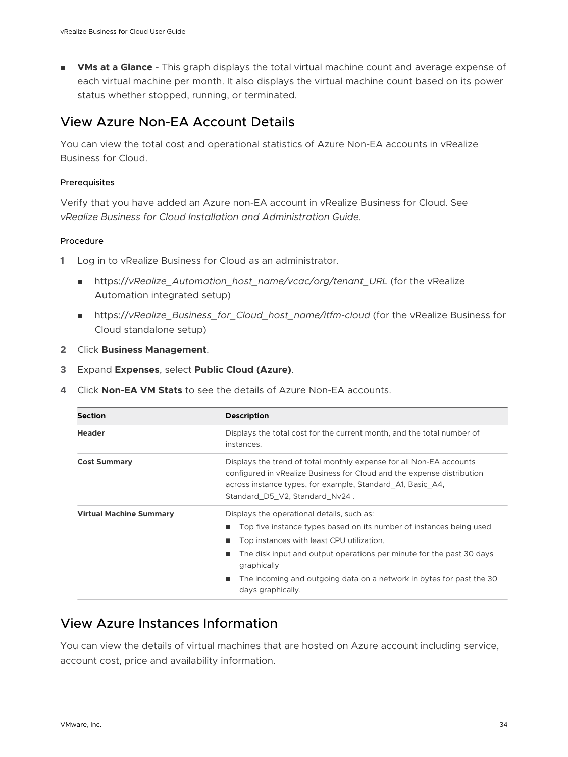<span id="page-33-0"></span>**NMs at a Glance** - This graph displays the total virtual machine count and average expense of each virtual machine per month. It also displays the virtual machine count based on its power status whether stopped, running, or terminated.

## View Azure Non-EA Account Details

You can view the total cost and operational statistics of Azure Non-EA accounts in vRealize Business for Cloud.

#### Prerequisites

Verify that you have added an Azure non-EA account in vRealize Business for Cloud. See *vRealize Business for Cloud Installation and Administration Guide*.

#### Procedure

- **1** Log in to vRealize Business for Cloud as an administrator.
	- https://vRealize\_Automation\_host\_name/vcac/org/tenant\_URL (for the vRealize Automation integrated setup)
	- <sup>n</sup> https://*vRealize\_Business\_for\_Cloud\_host\_name/itfm-cloud* (for the vRealize Business for Cloud standalone setup)
- **2** Click **Business Management**.
- **3** Expand **Expenses**, select **Public Cloud (Azure)**.
- **4** Click **Non-EA VM Stats** to see the details of Azure Non-EA accounts.

| <b>Section</b>                 | <b>Description</b>                                                                                                                                                                                                                                                                                                                                           |
|--------------------------------|--------------------------------------------------------------------------------------------------------------------------------------------------------------------------------------------------------------------------------------------------------------------------------------------------------------------------------------------------------------|
| <b>Header</b>                  | Displays the total cost for the current month, and the total number of<br>instances.                                                                                                                                                                                                                                                                         |
| <b>Cost Summary</b>            | Displays the trend of total monthly expense for all Non-EA accounts<br>configured in vRealize Business for Cloud and the expense distribution<br>across instance types, for example, Standard A1, Basic A4,<br>Standard D5 V2, Standard Nv24.                                                                                                                |
| <b>Virtual Machine Summary</b> | Displays the operational details, such as:<br>Top five instance types based on its number of instances being used<br>п<br>Top instances with least CPU utilization.<br>The disk input and output operations per minute for the past 30 days<br>graphically<br>The incoming and outgoing data on a network in bytes for past the 30<br>ш<br>days graphically. |

## View Azure Instances Information

You can view the details of virtual machines that are hosted on Azure account including service, account cost, price and availability information.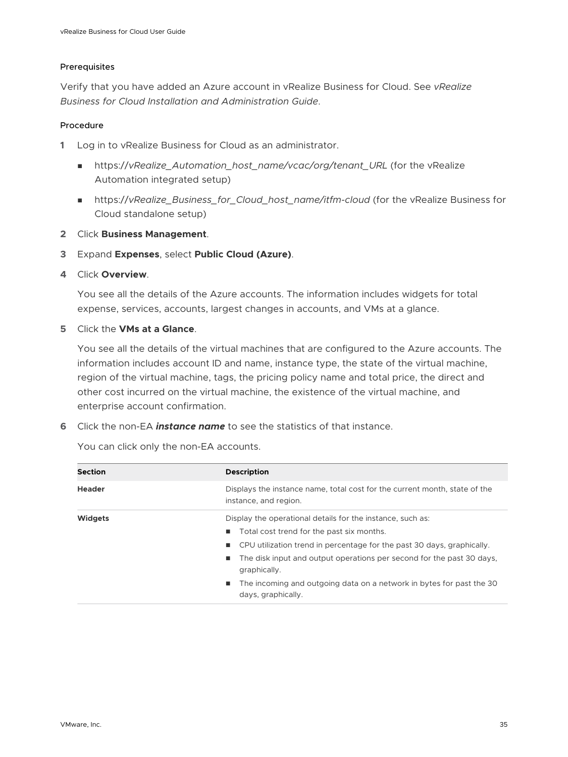#### Prerequisites

Verify that you have added an Azure account in vRealize Business for Cloud. See *vRealize Business for Cloud Installation and Administration Guide*.

#### Procedure

**1** Log in to vRealize Business for Cloud as an administrator.

- nttps://vRealize\_Automation\_host\_name/vcac/org/tenant\_URL (for the vRealize Automation integrated setup)
- <sup>n</sup> https://*vRealize\_Business\_for\_Cloud\_host\_name/itfm-cloud* (for the vRealize Business for Cloud standalone setup)
- **2** Click **Business Management**.
- **3** Expand **Expenses**, select **Public Cloud (Azure)**.
- **4** Click **Overview**.

You see all the details of the Azure accounts. The information includes widgets for total expense, services, accounts, largest changes in accounts, and VMs at a glance.

**5** Click the **VMs at a Glance**.

You see all the details of the virtual machines that are configured to the Azure accounts. The information includes account ID and name, instance type, the state of the virtual machine, region of the virtual machine, tags, the pricing policy name and total price, the direct and other cost incurred on the virtual machine, the existence of the virtual machine, and enterprise account confirmation.

**6** Click the non-EA *instance name* to see the statistics of that instance.

You can click only the non-EA accounts.

| <b>Section</b> | <b>Description</b>                                                                                                                                                                                                                                                                                                                                                                           |
|----------------|----------------------------------------------------------------------------------------------------------------------------------------------------------------------------------------------------------------------------------------------------------------------------------------------------------------------------------------------------------------------------------------------|
| <b>Header</b>  | Displays the instance name, total cost for the current month, state of the<br>instance, and region.                                                                                                                                                                                                                                                                                          |
| <b>Widgets</b> | Display the operational details for the instance, such as:<br>Total cost trend for the past six months.<br>٠<br>CPU utilization trend in percentage for the past 30 days, graphically.<br>٠<br>The disk input and output operations per second for the past 30 days,<br>٠<br>graphically.<br>The incoming and outgoing data on a network in bytes for past the 30<br>п<br>days, graphically. |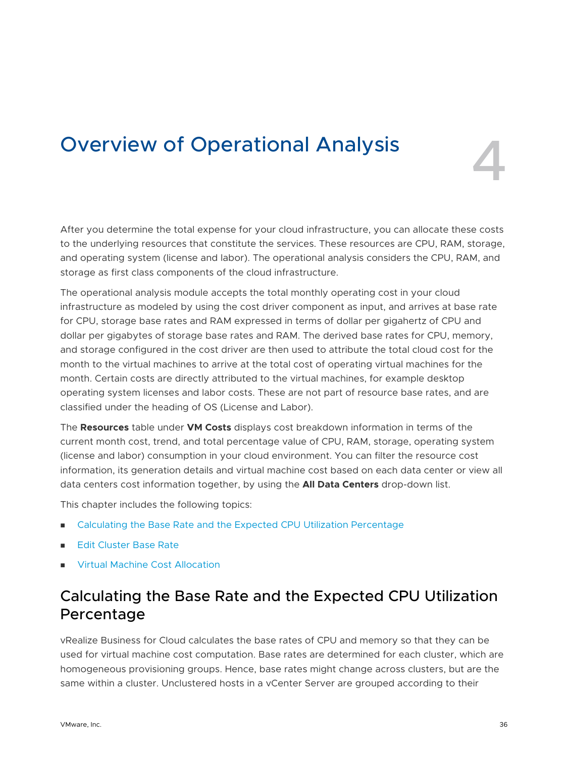# <span id="page-35-0"></span>Overview of Operational Analysis 4

After you determine the total expense for your cloud infrastructure, you can allocate these costs to the underlying resources that constitute the services. These resources are CPU, RAM, storage, and operating system (license and labor). The operational analysis considers the CPU, RAM, and storage as first class components of the cloud infrastructure.

The operational analysis module accepts the total monthly operating cost in your cloud infrastructure as modeled by using the cost driver component as input, and arrives at base rate for CPU, storage base rates and RAM expressed in terms of dollar per gigahertz of CPU and dollar per gigabytes of storage base rates and RAM. The derived base rates for CPU, memory, and storage configured in the cost driver are then used to attribute the total cloud cost for the month to the virtual machines to arrive at the total cost of operating virtual machines for the month. Certain costs are directly attributed to the virtual machines, for example desktop operating system licenses and labor costs. These are not part of resource base rates, and are classified under the heading of OS (License and Labor).

The **Resources** table under **VM Costs** displays cost breakdown information in terms of the current month cost, trend, and total percentage value of CPU, RAM, storage, operating system (license and labor) consumption in your cloud environment. You can filter the resource cost information, its generation details and virtual machine cost based on each data center or view all data centers cost information together, by using the **All Data Centers** drop-down list.

This chapter includes the following topics:

- <sup>n</sup> Calculating the Base Rate and the Expected CPU Utilization Percentage
- **[Edit Cluster Base Rate](#page-36-0)**
- **[Virtual Machine Cost Allocation](#page-38-0)**

# Calculating the Base Rate and the Expected CPU Utilization Percentage

vRealize Business for Cloud calculates the base rates of CPU and memory so that they can be used for virtual machine cost computation. Base rates are determined for each cluster, which are homogeneous provisioning groups. Hence, base rates might change across clusters, but are the same within a cluster. Unclustered hosts in a vCenter Server are grouped according to their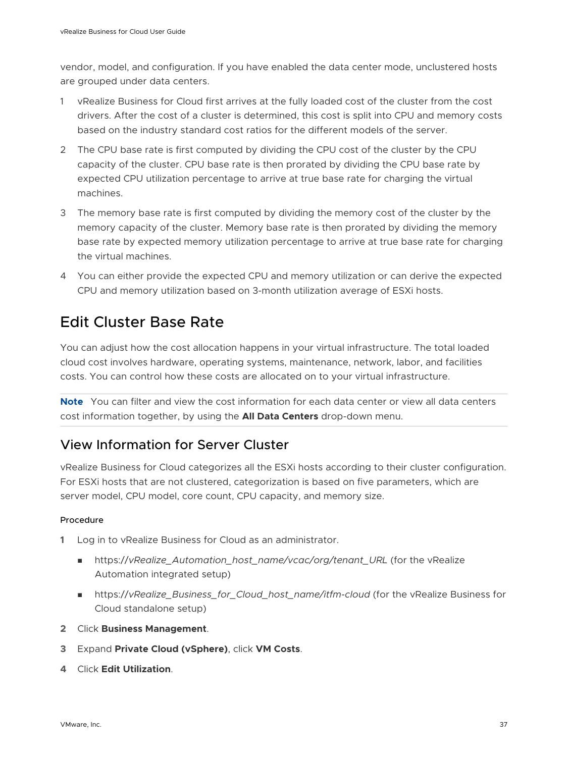vendor, model, and configuration. If you have enabled the data center mode, unclustered hosts are grouped under data centers.

- 1 vRealize Business for Cloud first arrives at the fully loaded cost of the cluster from the cost drivers. After the cost of a cluster is determined, this cost is split into CPU and memory costs based on the industry standard cost ratios for the different models of the server.
- 2 The CPU base rate is first computed by dividing the CPU cost of the cluster by the CPU capacity of the cluster. CPU base rate is then prorated by dividing the CPU base rate by expected CPU utilization percentage to arrive at true base rate for charging the virtual machines.
- 3 The memory base rate is first computed by dividing the memory cost of the cluster by the memory capacity of the cluster. Memory base rate is then prorated by dividing the memory base rate by expected memory utilization percentage to arrive at true base rate for charging the virtual machines.
- 4 You can either provide the expected CPU and memory utilization or can derive the expected CPU and memory utilization based on 3-month utilization average of ESXi hosts.

# Edit Cluster Base Rate

You can adjust how the cost allocation happens in your virtual infrastructure. The total loaded cloud cost involves hardware, operating systems, maintenance, network, labor, and facilities costs. You can control how these costs are allocated on to your virtual infrastructure.

**Note** You can filter and view the cost information for each data center or view all data centers cost information together, by using the **All Data Centers** drop-down menu.

## View Information for Server Cluster

vRealize Business for Cloud categorizes all the ESXi hosts according to their cluster configuration. For ESXi hosts that are not clustered, categorization is based on five parameters, which are server model, CPU model, core count, CPU capacity, and memory size.

### Procedure

- **1** Log in to vRealize Business for Cloud as an administrator.
	- https://vRealize\_Automation\_host\_name/vcac/org/tenant\_URL (for the vRealize Automation integrated setup)
	- https://vRealize\_Business\_for\_Cloud\_host\_name/itfm-cloud (for the vRealize Business for Cloud standalone setup)
- **2** Click **Business Management**.
- **3** Expand **Private Cloud (vSphere)**, click **VM Costs**.
- **4** Click **Edit Utilization**.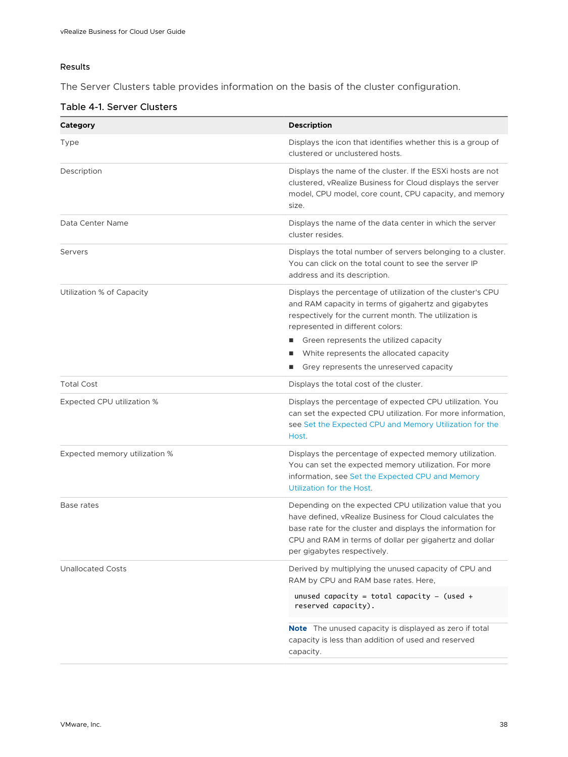### Results

The Server Clusters table provides information on the basis of the cluster configuration.

### Table 4-1. Server Clusters

| Category                      | <b>Description</b>                                                                                                                                                                                                                                                                                                                                |
|-------------------------------|---------------------------------------------------------------------------------------------------------------------------------------------------------------------------------------------------------------------------------------------------------------------------------------------------------------------------------------------------|
| Type                          | Displays the icon that identifies whether this is a group of<br>clustered or unclustered hosts.                                                                                                                                                                                                                                                   |
| Description                   | Displays the name of the cluster. If the ESXi hosts are not<br>clustered, vRealize Business for Cloud displays the server<br>model, CPU model, core count, CPU capacity, and memory<br>size.                                                                                                                                                      |
| Data Center Name              | Displays the name of the data center in which the server<br>cluster resides.                                                                                                                                                                                                                                                                      |
| Servers                       | Displays the total number of servers belonging to a cluster.<br>You can click on the total count to see the server IP<br>address and its description.                                                                                                                                                                                             |
| Utilization % of Capacity     | Displays the percentage of utilization of the cluster's CPU<br>and RAM capacity in terms of gigahertz and gigabytes<br>respectively for the current month. The utilization is<br>represented in different colors:<br>Green represents the utilized capacity<br>White represents the allocated capacity<br>Grey represents the unreserved capacity |
| <b>Total Cost</b>             | Displays the total cost of the cluster.                                                                                                                                                                                                                                                                                                           |
| Expected CPU utilization %    | Displays the percentage of expected CPU utilization. You<br>can set the expected CPU utilization. For more information,<br>see Set the Expected CPU and Memory Utilization for the<br>Host.                                                                                                                                                       |
| Expected memory utilization % | Displays the percentage of expected memory utilization.<br>You can set the expected memory utilization. For more<br>information, see Set the Expected CPU and Memory<br>Utilization for the Host.                                                                                                                                                 |
| Base rates                    | Depending on the expected CPU utilization value that you<br>have defined, vRealize Business for Cloud calculates the<br>base rate for the cluster and displays the information for<br>CPU and RAM in terms of dollar per gigahertz and dollar<br>per gigabytes respectively.                                                                      |
| <b>Unallocated Costs</b>      | Derived by multiplying the unused capacity of CPU and<br>RAM by CPU and RAM base rates. Here,                                                                                                                                                                                                                                                     |
|                               | unused capacity = total capacity - (used +<br>reserved capacity).                                                                                                                                                                                                                                                                                 |
|                               | <b>Note</b> The unused capacity is displayed as zero if total<br>capacity is less than addition of used and reserved<br>capacity.                                                                                                                                                                                                                 |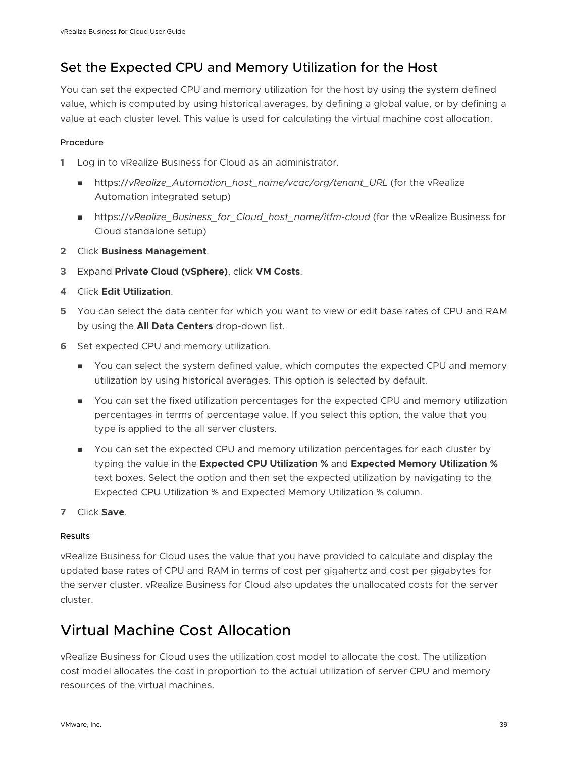# <span id="page-38-0"></span>Set the Expected CPU and Memory Utilization for the Host

You can set the expected CPU and memory utilization for the host by using the system defined value, which is computed by using historical averages, by defining a global value, or by defining a value at each cluster level. This value is used for calculating the virtual machine cost allocation.

### Procedure

- **1** Log in to vRealize Business for Cloud as an administrator.
	- https://vRealize\_Automation\_host\_name/vcac/org/tenant\_URL (for the vRealize Automation integrated setup)
	- n https://vRealize\_Business\_for\_Cloud\_host\_name/itfm-cloud (for the vRealize Business for Cloud standalone setup)
- **2** Click **Business Management**.
- **3** Expand **Private Cloud (vSphere)**, click **VM Costs**.
- **4** Click **Edit Utilization**.
- **5** You can select the data center for which you want to view or edit base rates of CPU and RAM by using the **All Data Centers** drop-down list.
- **6** Set expected CPU and memory utilization.
	- **n** You can select the system defined value, which computes the expected CPU and memory utilization by using historical averages. This option is selected by default.
	- <sup>n</sup> You can set the fixed utilization percentages for the expected CPU and memory utilization percentages in terms of percentage value. If you select this option, the value that you type is applied to the all server clusters.
	- <sup>n</sup> You can set the expected CPU and memory utilization percentages for each cluster by typing the value in the **Expected CPU Utilization %** and **Expected Memory Utilization %**  text boxes. Select the option and then set the expected utilization by navigating to the Expected CPU Utilization % and Expected Memory Utilization % column.
- **7** Click **Save**.

### Results

vRealize Business for Cloud uses the value that you have provided to calculate and display the updated base rates of CPU and RAM in terms of cost per gigahertz and cost per gigabytes for the server cluster. vRealize Business for Cloud also updates the unallocated costs for the server cluster.

# Virtual Machine Cost Allocation

vRealize Business for Cloud uses the utilization cost model to allocate the cost. The utilization cost model allocates the cost in proportion to the actual utilization of server CPU and memory resources of the virtual machines.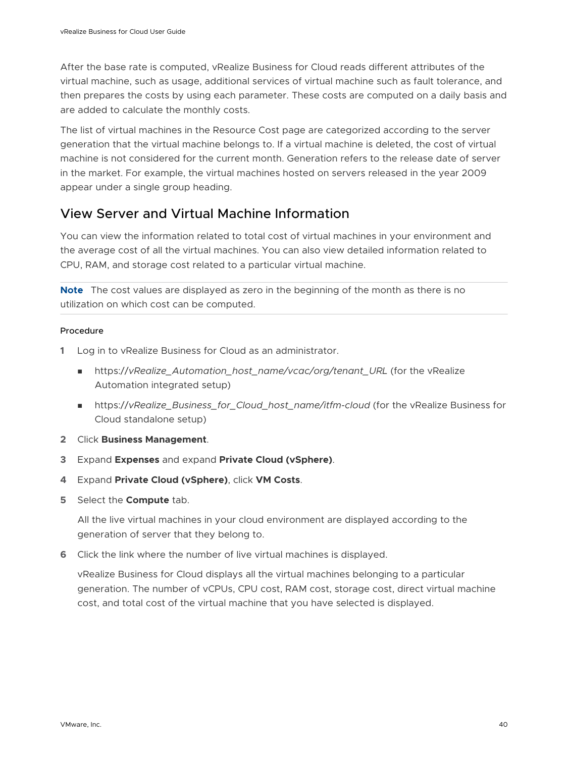After the base rate is computed, vRealize Business for Cloud reads different attributes of the virtual machine, such as usage, additional services of virtual machine such as fault tolerance, and then prepares the costs by using each parameter. These costs are computed on a daily basis and are added to calculate the monthly costs.

The list of virtual machines in the Resource Cost page are categorized according to the server generation that the virtual machine belongs to. If a virtual machine is deleted, the cost of virtual machine is not considered for the current month. Generation refers to the release date of server in the market. For example, the virtual machines hosted on servers released in the year 2009 appear under a single group heading.

# View Server and Virtual Machine Information

You can view the information related to total cost of virtual machines in your environment and the average cost of all the virtual machines. You can also view detailed information related to CPU, RAM, and storage cost related to a particular virtual machine.

**Note** The cost values are displayed as zero in the beginning of the month as there is no utilization on which cost can be computed.

### Procedure

- **1** Log in to vRealize Business for Cloud as an administrator.
	- https://vRealize\_Automation\_host\_name/vcac/org/tenant\_URL (for the vRealize Automation integrated setup)
	- https://vRealize\_Business\_for\_Cloud\_host\_name/itfm-cloud (for the vRealize Business for Cloud standalone setup)
- **2** Click **Business Management**.
- **3** Expand **Expenses** and expand **Private Cloud (vSphere)**.
- **4** Expand **Private Cloud (vSphere)**, click **VM Costs**.
- **5** Select the **Compute** tab.

All the live virtual machines in your cloud environment are displayed according to the generation of server that they belong to.

**6** Click the link where the number of live virtual machines is displayed.

vRealize Business for Cloud displays all the virtual machines belonging to a particular generation. The number of vCPUs, CPU cost, RAM cost, storage cost, direct virtual machine cost, and total cost of the virtual machine that you have selected is displayed.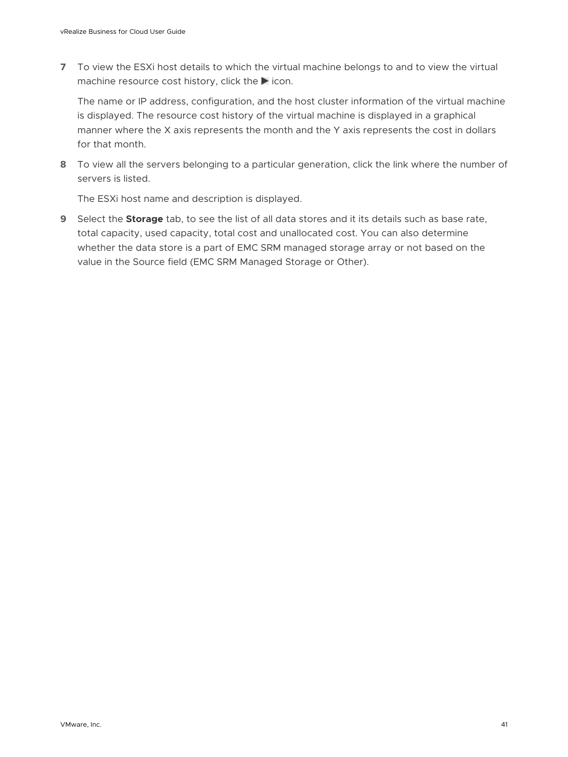**7** To view the ESXi host details to which the virtual machine belongs to and to view the virtual machine resource cost history, click the  $\blacktriangleright$  icon.

The name or IP address, configuration, and the host cluster information of the virtual machine is displayed. The resource cost history of the virtual machine is displayed in a graphical manner where the X axis represents the month and the Y axis represents the cost in dollars for that month.

**8** To view all the servers belonging to a particular generation, click the link where the number of servers is listed.

The ESXi host name and description is displayed.

**9** Select the **Storage** tab, to see the list of all data stores and it its details such as base rate, total capacity, used capacity, total cost and unallocated cost. You can also determine whether the data store is a part of EMC SRM managed storage array or not based on the value in the Source field (EMC SRM Managed Storage or Other).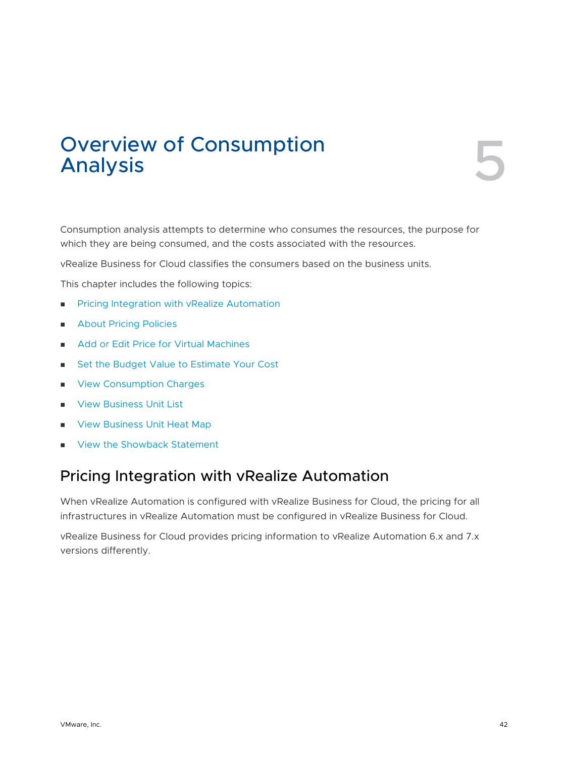# Overview of Consumption<br>Analysis

Consumption analysis attempts to determine who consumes the resources, the purpose for which they are being consumed, and the costs associated with the resources.

vRealize Business for Cloud classifies the consumers based on the business units.

This chapter includes the following topics:

- **n Pricing Integration with vRealize Automation**
- **n** [About Pricing Policies](#page-43-0)
- [Add or Edit Price for Virtual Machines](#page-43-0)
- [Set the Budget Value to Estimate Your Cost](#page-59-0)
- **n** [View Consumption Charges](#page-60-0)
- **n** [View Business Unit List](#page-63-0)
- **n** [View Business Unit Heat Map](#page-65-0)
- **No. 22 [View the Showback Statement](#page-66-0)**

# Pricing Integration with vRealize Automation

When vRealize Automation is configured with vRealize Business for Cloud, the pricing for all infrastructures in vRealize Automation must be configured in vRealize Business for Cloud.

vRealize Business for Cloud provides pricing information to vRealize Automation 6.x and 7.x versions differently.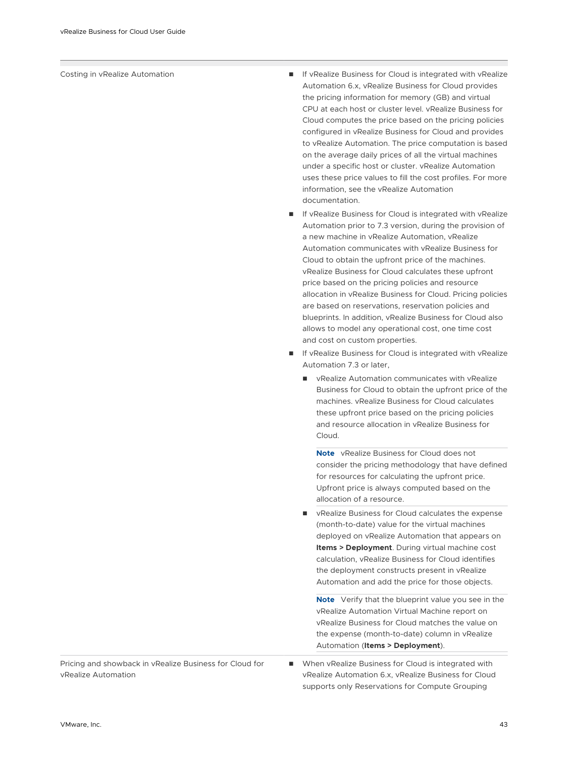- Costing in vRealize Automation **No. 2018 19 IF VREALIZE Business for Cloud is integrated with vRealize** Automation 6.x, vRealize Business for Cloud provides the pricing information for memory (GB) and virtual CPU at each host or cluster level. vRealize Business for Cloud computes the price based on the pricing policies configured in vRealize Business for Cloud and provides to vRealize Automation. The price computation is based on the average daily prices of all the virtual machines under a specific host or cluster. vRealize Automation uses these price values to fill the cost profiles. For more information, see the vRealize Automation documentation.
	- If vRealize Business for Cloud is integrated with vRealize Automation prior to 7.3 version, during the provision of a new machine in vRealize Automation, vRealize Automation communicates with vRealize Business for Cloud to obtain the upfront price of the machines. vRealize Business for Cloud calculates these upfront price based on the pricing policies and resource allocation in vRealize Business for Cloud. Pricing policies are based on reservations, reservation policies and blueprints. In addition, vRealize Business for Cloud also allows to model any operational cost, one time cost and cost on custom properties.
	- If vRealize Business for Cloud is integrated with vRealize Automation 7.3 or later,
		- vRealize Automation communicates with vRealize Business for Cloud to obtain the upfront price of the machines. vRealize Business for Cloud calculates these upfront price based on the pricing policies and resource allocation in vRealize Business for Cloud.

**Note** vRealize Business for Cloud does not consider the pricing methodology that have defined for resources for calculating the upfront price. Upfront price is always computed based on the allocation of a resource.

vRealize Business for Cloud calculates the expense (month-to-date) value for the virtual machines deployed on vRealize Automation that appears on **Items > Deployment**. During virtual machine cost calculation, vRealize Business for Cloud identifies the deployment constructs present in vRealize Automation and add the price for those objects.

**Note** Verify that the blueprint value you see in the vRealize Automation Virtual Machine report on vRealize Business for Cloud matches the value on the expense (month-to-date) column in vRealize Automation (**Items > Deployment**).

Pricing and showback in vRealize Business for Cloud for vRealize Automation

■ When vRealize Business for Cloud is integrated with vRealize Automation 6.x, vRealize Business for Cloud supports only Reservations for Compute Grouping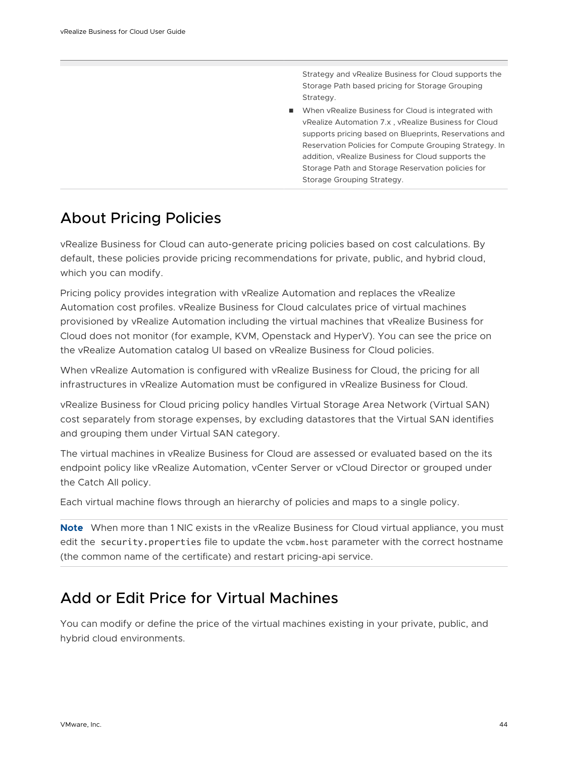Strategy and vRealize Business for Cloud supports the Storage Path based pricing for Storage Grouping Strategy.

**No When vRealize Business for Cloud is integrated with** vRealize Automation 7.x , vRealize Business for Cloud supports pricing based on Blueprints, Reservations and Reservation Policies for Compute Grouping Strategy. In addition, vRealize Business for Cloud supports the Storage Path and Storage Reservation policies for Storage Grouping Strategy.

# <span id="page-43-0"></span>About Pricing Policies

vRealize Business for Cloud can auto-generate pricing policies based on cost calculations. By default, these policies provide pricing recommendations for private, public, and hybrid cloud, which you can modify.

Pricing policy provides integration with vRealize Automation and replaces the vRealize Automation cost profiles. vRealize Business for Cloud calculates price of virtual machines provisioned by vRealize Automation including the virtual machines that vRealize Business for Cloud does not monitor (for example, KVM, Openstack and HyperV). You can see the price on the vRealize Automation catalog UI based on vRealize Business for Cloud policies.

When vRealize Automation is configured with vRealize Business for Cloud, the pricing for all infrastructures in vRealize Automation must be configured in vRealize Business for Cloud.

vRealize Business for Cloud pricing policy handles Virtual Storage Area Network (Virtual SAN) cost separately from storage expenses, by excluding datastores that the Virtual SAN identifies and grouping them under Virtual SAN category.

The virtual machines in vRealize Business for Cloud are assessed or evaluated based on the its endpoint policy like vRealize Automation, vCenter Server or vCloud Director or grouped under the Catch All policy.

Each virtual machine flows through an hierarchy of policies and maps to a single policy.

**Note** When more than 1 NIC exists in the vRealize Business for Cloud virtual appliance, you must edit the security.properties file to update the vcbm.host parameter with the correct hostname (the common name of the certificate) and restart pricing-api service.

# Add or Edit Price for Virtual Machines

You can modify or define the price of the virtual machines existing in your private, public, and hybrid cloud environments.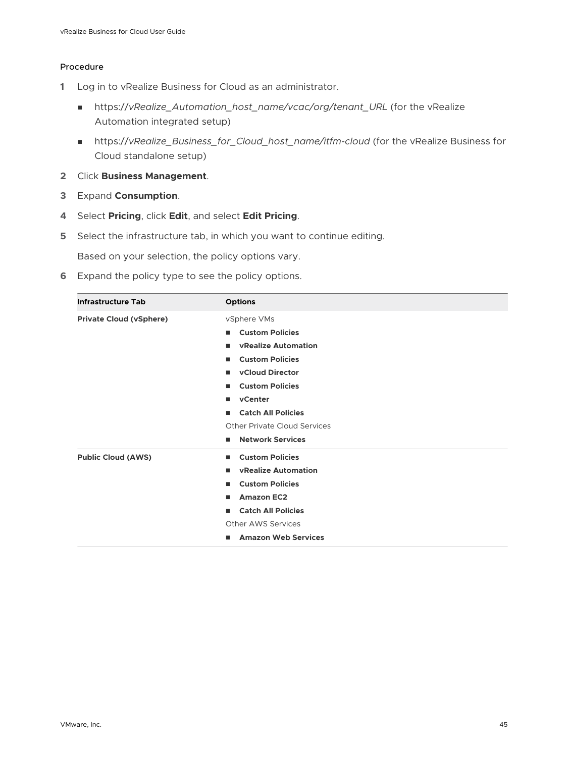### Procedure

- **1** Log in to vRealize Business for Cloud as an administrator.
	- <sup>n</sup> https://*vRealize\_Automation\_host\_name/vcac/org/tenant\_URL* (for the vRealize Automation integrated setup)
	- <sup>n</sup> https://*vRealize\_Business\_for\_Cloud\_host\_name/itfm-cloud* (for the vRealize Business for Cloud standalone setup)
- **2** Click **Business Management**.
- **3** Expand **Consumption**.
- **4** Select **Pricing**, click **Edit**, and select **Edit Pricing**.
- **5** Select the infrastructure tab, in which you want to continue editing.

Based on your selection, the policy options vary.

**6** Expand the policy type to see the policy options.

| <b>Infrastructure Tab</b>      | <b>Options</b>                                                                                                                                                                               |
|--------------------------------|----------------------------------------------------------------------------------------------------------------------------------------------------------------------------------------------|
| <b>Private Cloud (vSphere)</b> | vSphere VMs<br><b>Custom Policies</b><br>п.<br><b>vRealize Automation</b><br>ш<br><b>Custom Policies</b><br>٠<br><b>vCloud Director</b><br>п<br><b>Custom Policies</b><br>ш<br>vCenter<br>п. |
|                                | <b>Catch All Policies</b><br>п                                                                                                                                                               |
|                                | <b>Other Private Cloud Services</b>                                                                                                                                                          |
|                                | <b>Network Services</b>                                                                                                                                                                      |
| <b>Public Cloud (AWS)</b>      | <b>Custom Policies</b><br>٠                                                                                                                                                                  |
|                                | <b>vRealize Automation</b><br>٠                                                                                                                                                              |
|                                | <b>Custom Policies</b><br>п                                                                                                                                                                  |
|                                | <b>Amazon EC2</b><br>п                                                                                                                                                                       |
|                                | <b>Catch All Policies</b><br>٠                                                                                                                                                               |
|                                | <b>Other AWS Services</b>                                                                                                                                                                    |
|                                | <b>Amazon Web Services</b><br>٠                                                                                                                                                              |
|                                |                                                                                                                                                                                              |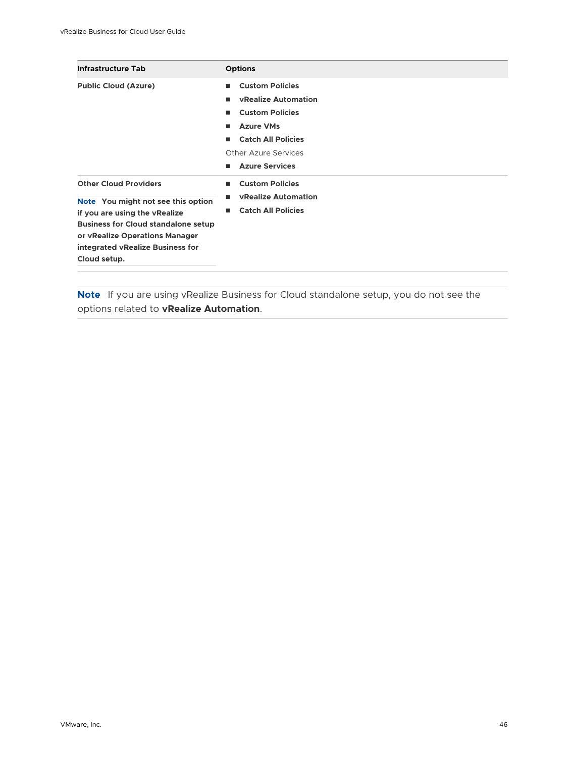| <b>Infrastructure Tab</b>                                                                                                                                                                                                               | <b>Options</b>                                                                                                                                                                                       |
|-----------------------------------------------------------------------------------------------------------------------------------------------------------------------------------------------------------------------------------------|------------------------------------------------------------------------------------------------------------------------------------------------------------------------------------------------------|
| <b>Public Cloud (Azure)</b>                                                                                                                                                                                                             | <b>Custom Policies</b><br>٠<br><b>vRealize Automation</b><br><b>Custom Policies</b><br>ш<br><b>Azure VMs</b><br>ш<br><b>Catch All Policies</b><br>ш<br>Other Azure Services<br><b>Azure Services</b> |
| <b>Other Cloud Providers</b><br>Note You might not see this option<br>if you are using the vRealize<br><b>Business for Cloud standalone setup</b><br>or vRealize Operations Manager<br>integrated vRealize Business for<br>Cloud setup. | <b>Custom Policies</b><br>ш<br><b>vRealize Automation</b><br>п<br><b>Catch All Policies</b><br>ш                                                                                                     |

**Note** If you are using vRealize Business for Cloud standalone setup, you do not see the options related to **vRealize Automation**.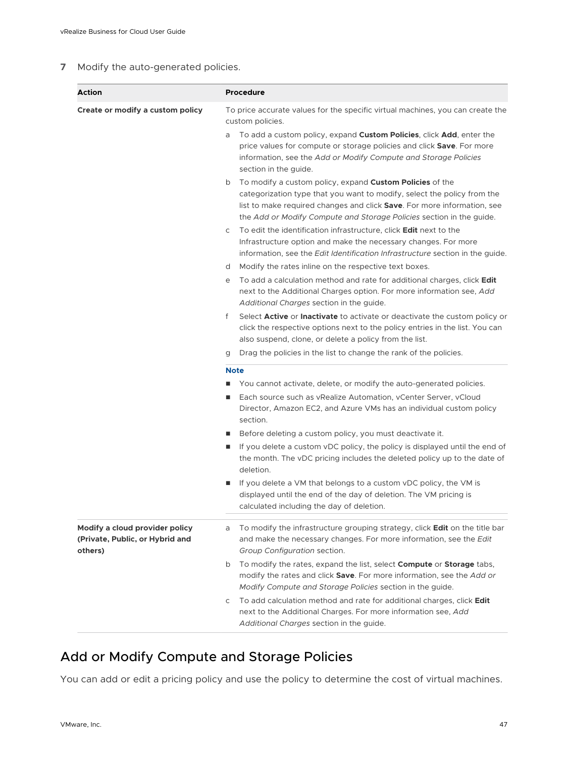### **7** Modify the auto-generated policies.

| Action                                                                       | <b>Procedure</b>                                                                                                                                                                                                                                                                                                                                                                                                                                                                                                                                                                                                                                                                                                                                                                                                                                                                                                                                                                                                                                                                                                                                                                                                                                                                                                                                                                                                                                                                                                                                                                                                                                                                                                                                                                                                                                                                                                                                                                                                                                                                                                                                                                                         |
|------------------------------------------------------------------------------|----------------------------------------------------------------------------------------------------------------------------------------------------------------------------------------------------------------------------------------------------------------------------------------------------------------------------------------------------------------------------------------------------------------------------------------------------------------------------------------------------------------------------------------------------------------------------------------------------------------------------------------------------------------------------------------------------------------------------------------------------------------------------------------------------------------------------------------------------------------------------------------------------------------------------------------------------------------------------------------------------------------------------------------------------------------------------------------------------------------------------------------------------------------------------------------------------------------------------------------------------------------------------------------------------------------------------------------------------------------------------------------------------------------------------------------------------------------------------------------------------------------------------------------------------------------------------------------------------------------------------------------------------------------------------------------------------------------------------------------------------------------------------------------------------------------------------------------------------------------------------------------------------------------------------------------------------------------------------------------------------------------------------------------------------------------------------------------------------------------------------------------------------------------------------------------------------------|
| Create or modify a custom policy                                             | To price accurate values for the specific virtual machines, you can create the<br>custom policies.<br>To add a custom policy, expand <b>Custom Policies</b> , click <b>Add</b> , enter the<br>a<br>price values for compute or storage policies and click Save. For more<br>information, see the Add or Modify Compute and Storage Policies<br>section in the guide.<br>To modify a custom policy, expand <b>Custom Policies</b> of the<br>b<br>categorization type that you want to modify, select the policy from the<br>list to make required changes and click <b>Save</b> . For more information, see<br>the Add or Modify Compute and Storage Policies section in the guide.<br>To edit the identification infrastructure, click <b>Edit</b> next to the<br>C<br>Infrastructure option and make the necessary changes. For more<br>information, see the Edit Identification Infrastructure section in the guide.<br>Modify the rates inline on the respective text boxes.<br>d<br>To add a calculation method and rate for additional charges, click Edit<br>е<br>next to the Additional Charges option. For more information see, Add<br>Additional Charges section in the guide.<br>f<br>Select <b>Active</b> or <b>Inactivate</b> to activate or deactivate the custom policy or<br>click the respective options next to the policy entries in the list. You can<br>also suspend, clone, or delete a policy from the list.<br>Drag the policies in the list to change the rank of the policies.<br>g<br><b>Note</b><br>You cannot activate, delete, or modify the auto-generated policies.<br>Each source such as vRealize Automation, vCenter Server, vCloud<br>п<br>Director, Amazon EC2, and Azure VMs has an individual custom policy<br>section.<br>Before deleting a custom policy, you must deactivate it.<br>п<br>If you delete a custom vDC policy, the policy is displayed until the end of<br>П<br>the month. The vDC pricing includes the deleted policy up to the date of<br>deletion.<br>If you delete a VM that belongs to a custom vDC policy, the VM is<br>п<br>displayed until the end of the day of deletion. The VM pricing is<br>calculated including the day of deletion. |
| Modify a cloud provider policy<br>(Private, Public, or Hybrid and<br>others) | To modify the infrastructure grouping strategy, click <b>Edit</b> on the title bar<br>a<br>and make the necessary changes. For more information, see the Edit<br>Group Configuration section.<br>To modify the rates, expand the list, select Compute or Storage tabs,<br>b<br>modify the rates and click Save. For more information, see the Add or<br>Modify Compute and Storage Policies section in the guide.<br>To add calculation method and rate for additional charges, click Edit<br>C<br>next to the Additional Charges. For more information see, Add<br>Additional Charges section in the guide.                                                                                                                                                                                                                                                                                                                                                                                                                                                                                                                                                                                                                                                                                                                                                                                                                                                                                                                                                                                                                                                                                                                                                                                                                                                                                                                                                                                                                                                                                                                                                                                             |

# Add or Modify Compute and Storage Policies

You can add or edit a pricing policy and use the policy to determine the cost of virtual machines.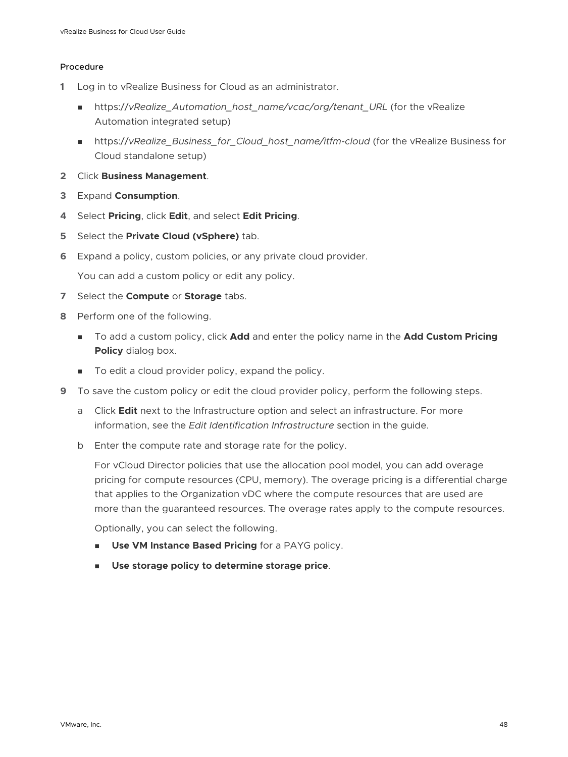### Procedure

- **1** Log in to vRealize Business for Cloud as an administrator.
	- n https://vRealize Automation host\_name/vcac/org/tenant\_URL (for the vRealize Automation integrated setup)
	- https://vRealize\_Business\_for\_Cloud\_host\_name/itfm-cloud (for the vRealize Business for Cloud standalone setup)
- **2** Click **Business Management**.
- **3** Expand **Consumption**.
- **4** Select **Pricing**, click **Edit**, and select **Edit Pricing**.
- **5** Select the **Private Cloud (vSphere)** tab.
- **6** Expand a policy, custom policies, or any private cloud provider.

You can add a custom policy or edit any policy.

- **7** Select the **Compute** or **Storage** tabs.
- **8** Perform one of the following.
	- To add a custom policy, click **Add** and enter the policy name in the **Add Custom Pricing Policy** dialog box.
	- To edit a cloud provider policy, expand the policy.
- **9** To save the custom policy or edit the cloud provider policy, perform the following steps.
	- a Click **Edit** next to the Infrastructure option and select an infrastructure. For more information, see the *Edit Identification Infrastructure* section in the guide.
	- b Enter the compute rate and storage rate for the policy.

For vCloud Director policies that use the allocation pool model, you can add overage pricing for compute resources (CPU, memory). The overage pricing is a differential charge that applies to the Organization vDC where the compute resources that are used are more than the guaranteed resources. The overage rates apply to the compute resources.

Optionally, you can select the following.

- **n** Use VM Instance Based Pricing for a PAYG policy.
- <sup>n</sup> **Use storage policy to determine storage price**.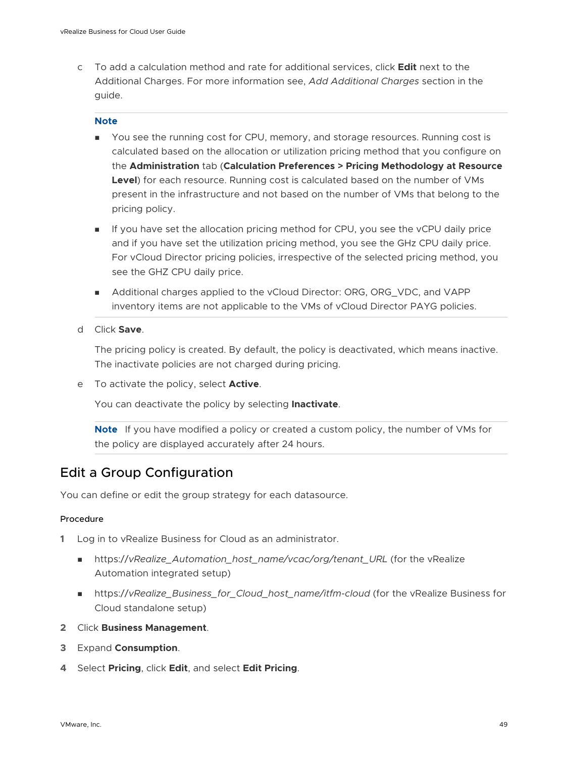c To add a calculation method and rate for additional services, click **Edit** next to the Additional Charges. For more information see, *Add Additional Charges* section in the guide.

### **Note**

- **n** You see the running cost for CPU, memory, and storage resources. Running cost is calculated based on the allocation or utilization pricing method that you configure on the **Administration** tab (**Calculation Preferences > Pricing Methodology at Resource Level**) for each resource. Running cost is calculated based on the number of VMs present in the infrastructure and not based on the number of VMs that belong to the pricing policy.
- **n** If you have set the allocation pricing method for CPU, you see the vCPU daily price and if you have set the utilization pricing method, you see the GHz CPU daily price. For vCloud Director pricing policies, irrespective of the selected pricing method, you see the GHZ CPU daily price.
- Additional charges applied to the vCloud Director: ORG, ORG, VDC, and VAPP inventory items are not applicable to the VMs of vCloud Director PAYG policies.
- d Click **Save**.

The pricing policy is created. By default, the policy is deactivated, which means inactive. The inactivate policies are not charged during pricing.

e To activate the policy, select **Active**.

You can deactivate the policy by selecting **Inactivate**.

**Note** If you have modified a policy or created a custom policy, the number of VMs for the policy are displayed accurately after 24 hours.

### Edit a Group Configuration

You can define or edit the group strategy for each datasource.

### Procedure

- **1** Log in to vRealize Business for Cloud as an administrator.
	- https://vRealize\_Automation\_host\_name/vcac/org/tenant\_URL (for the vRealize Automation integrated setup)
	- https://vRealize\_Business\_for\_Cloud\_host\_name/itfm-cloud (for the vRealize Business for Cloud standalone setup)
- **2** Click **Business Management**.
- **3** Expand **Consumption**.
- **4** Select **Pricing**, click **Edit**, and select **Edit Pricing**.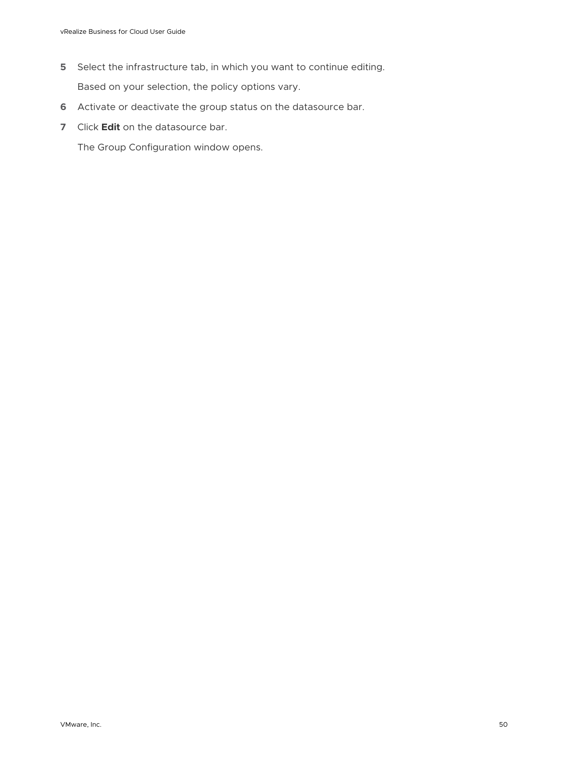- **5** Select the infrastructure tab, in which you want to continue editing. Based on your selection, the policy options vary.
- **6** Activate or deactivate the group status on the datasource bar.
- **7** Click **Edit** on the datasource bar.

The Group Configuration window opens.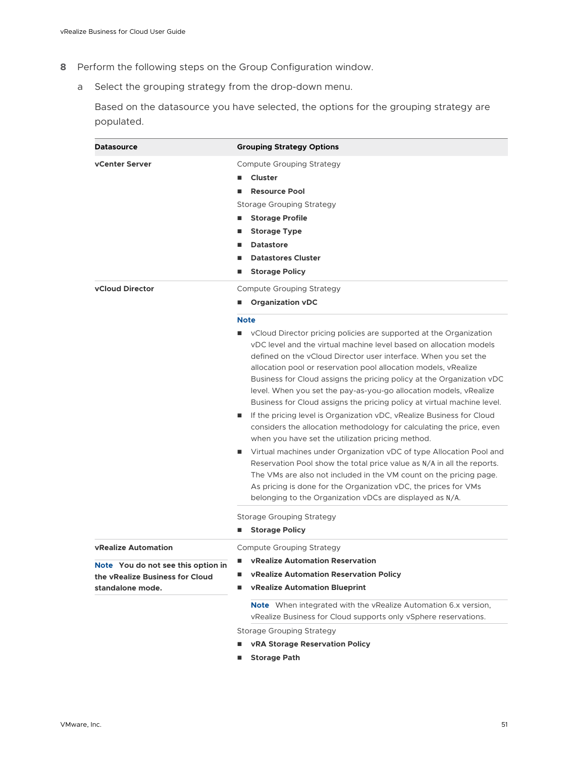- **8** Perform the following steps on the Group Configuration window.
	- a Select the grouping strategy from the drop-down menu.

Based on the datasource you have selected, the options for the grouping strategy are populated.

| <b>Datasource</b>                                                                                                       | <b>Grouping Strategy Options</b>                                                                                                                                                                                                                                                                                                                                                                                                                                                                                                                                                                                                                                                                                                                                                                                                                                                                                                                                                                                                                                                                               |
|-------------------------------------------------------------------------------------------------------------------------|----------------------------------------------------------------------------------------------------------------------------------------------------------------------------------------------------------------------------------------------------------------------------------------------------------------------------------------------------------------------------------------------------------------------------------------------------------------------------------------------------------------------------------------------------------------------------------------------------------------------------------------------------------------------------------------------------------------------------------------------------------------------------------------------------------------------------------------------------------------------------------------------------------------------------------------------------------------------------------------------------------------------------------------------------------------------------------------------------------------|
| <b>vCenter Server</b>                                                                                                   | Compute Grouping Strategy<br>Cluster<br><b>Resource Pool</b><br>■<br>Storage Grouping Strategy<br><b>Storage Profile</b><br>■<br><b>Storage Type</b><br>П<br><b>Datastore</b><br>■<br><b>Datastores Cluster</b><br>п<br><b>Storage Policy</b><br>■                                                                                                                                                                                                                                                                                                                                                                                                                                                                                                                                                                                                                                                                                                                                                                                                                                                             |
| <b>vCloud Director</b>                                                                                                  | Compute Grouping Strategy<br><b>Organization vDC</b>                                                                                                                                                                                                                                                                                                                                                                                                                                                                                                                                                                                                                                                                                                                                                                                                                                                                                                                                                                                                                                                           |
|                                                                                                                         | <b>Note</b><br>vCloud Director pricing policies are supported at the Organization<br>$\blacksquare$<br>yDC level and the virtual machine level based on allocation models<br>defined on the vCloud Director user interface. When you set the<br>allocation pool or reservation pool allocation models, vRealize<br>Business for Cloud assigns the pricing policy at the Organization vDC<br>level. When you set the pay-as-you-go allocation models, vRealize<br>Business for Cloud assigns the pricing policy at virtual machine level.<br>If the pricing level is Organization vDC, vRealize Business for Cloud<br>■<br>considers the allocation methodology for calculating the price, even<br>when you have set the utilization pricing method.<br>Virtual machines under Organization vDC of type Allocation Pool and<br>ш<br>Reservation Pool show the total price value as N/A in all the reports.<br>The VMs are also not included in the VM count on the pricing page.<br>As pricing is done for the Organization vDC, the prices for VMs<br>belonging to the Organization vDCs are displayed as N/A. |
|                                                                                                                         | Storage Grouping Strategy                                                                                                                                                                                                                                                                                                                                                                                                                                                                                                                                                                                                                                                                                                                                                                                                                                                                                                                                                                                                                                                                                      |
|                                                                                                                         | <b>Storage Policy</b><br>п                                                                                                                                                                                                                                                                                                                                                                                                                                                                                                                                                                                                                                                                                                                                                                                                                                                                                                                                                                                                                                                                                     |
| <b>vRealize Automation</b><br>Note You do not see this option in<br>the vRealize Business for Cloud<br>standalone mode. | Compute Grouping Strategy<br><b>vRealize Automation Reservation</b><br>vRealize Automation Reservation Policy<br>vRealize Automation Blueprint<br>п<br><b>Note</b> When integrated with the vRealize Automation 6.x version,<br>vRealize Business for Cloud supports only vSphere reservations.                                                                                                                                                                                                                                                                                                                                                                                                                                                                                                                                                                                                                                                                                                                                                                                                                |
|                                                                                                                         | <b>Storage Grouping Strategy</b><br><b>vRA Storage Reservation Policy</b><br>■                                                                                                                                                                                                                                                                                                                                                                                                                                                                                                                                                                                                                                                                                                                                                                                                                                                                                                                                                                                                                                 |

n **Storage Path**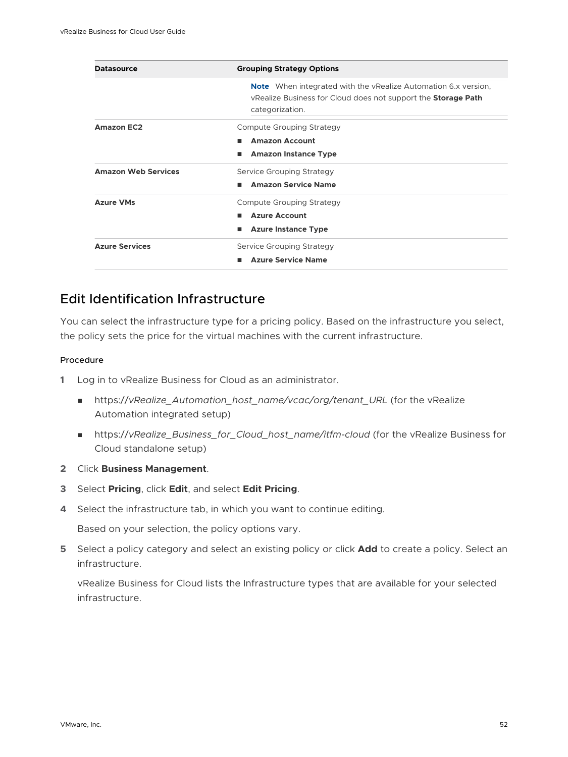| <b>Datasource</b>          | <b>Grouping Strategy Options</b>                                                                                                                                 |
|----------------------------|------------------------------------------------------------------------------------------------------------------------------------------------------------------|
|                            | <b>Note</b> When integrated with the vRealize Automation 6.x version,<br>vRealize Business for Cloud does not support the <b>Storage Path</b><br>categorization. |
| <b>Amazon EC2</b>          | Compute Grouping Strategy<br><b>Amazon Account</b><br>п<br><b>Amazon Instance Type</b><br>■                                                                      |
| <b>Amazon Web Services</b> | Service Grouping Strategy<br><b>Amazon Service Name</b><br>п                                                                                                     |
| <b>Azure VMs</b>           | Compute Grouping Strategy<br><b>Azure Account</b><br>ш<br><b>Azure Instance Type</b>                                                                             |
| <b>Azure Services</b>      | Service Grouping Strategy<br><b>Azure Service Name</b><br>▬                                                                                                      |

### Edit Identification Infrastructure

You can select the infrastructure type for a pricing policy. Based on the infrastructure you select, the policy sets the price for the virtual machines with the current infrastructure.

### Procedure

- **1** Log in to vRealize Business for Cloud as an administrator.
	- https://vRealize\_Automation\_host\_name/vcac/org/tenant\_URL (for the vRealize Automation integrated setup)
	- https://vRealize\_Business\_for\_Cloud\_host\_name/itfm-cloud (for the vRealize Business for Cloud standalone setup)
- **2** Click **Business Management**.
- **3** Select **Pricing**, click **Edit**, and select **Edit Pricing**.
- **4** Select the infrastructure tab, in which you want to continue editing.

Based on your selection, the policy options vary.

**5** Select a policy category and select an existing policy or click **Add** to create a policy. Select an infrastructure.

vRealize Business for Cloud lists the Infrastructure types that are available for your selected infrastructure.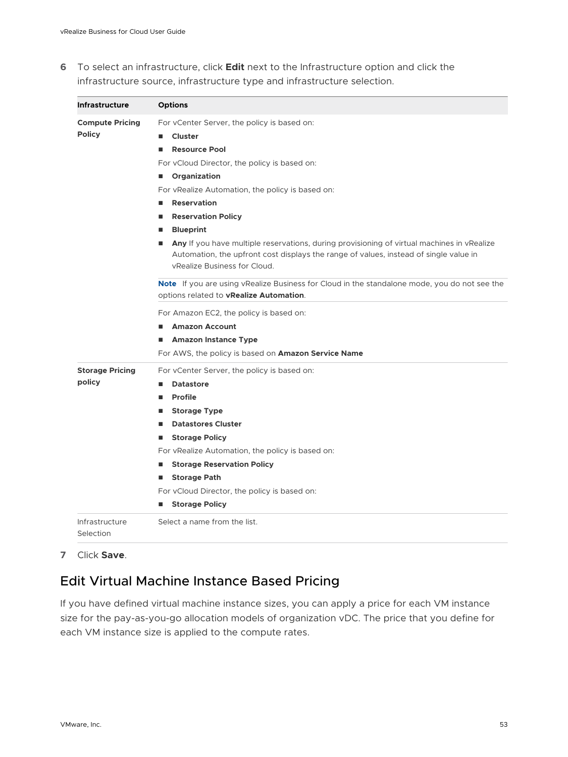**6** To select an infrastructure, click **Edit** next to the Infrastructure option and click the infrastructure source, infrastructure type and infrastructure selection.

| <b>Infrastructure</b>       | <b>Options</b>                                                                                                                                                                                                      |
|-----------------------------|---------------------------------------------------------------------------------------------------------------------------------------------------------------------------------------------------------------------|
| <b>Compute Pricing</b>      | For yCenter Server, the policy is based on:                                                                                                                                                                         |
| <b>Policy</b>               | <b>Cluster</b>                                                                                                                                                                                                      |
|                             | <b>Resource Pool</b>                                                                                                                                                                                                |
|                             | For vCloud Director, the policy is based on:                                                                                                                                                                        |
|                             | Organization                                                                                                                                                                                                        |
|                             | For vRealize Automation, the policy is based on:                                                                                                                                                                    |
|                             | <b>Reservation</b>                                                                                                                                                                                                  |
|                             | <b>Reservation Policy</b>                                                                                                                                                                                           |
|                             | <b>Blueprint</b>                                                                                                                                                                                                    |
|                             | Any If you have multiple reservations, during provisioning of virtual machines in vRealize<br>Automation, the upfront cost displays the range of values, instead of single value in<br>vRealize Business for Cloud. |
|                             | Note If you are using vRealize Business for Cloud in the standalone mode, you do not see the<br>options related to vRealize Automation.                                                                             |
|                             | For Amazon EC2, the policy is based on:                                                                                                                                                                             |
|                             | <b>Amazon Account</b>                                                                                                                                                                                               |
|                             | <b>Amazon Instance Type</b>                                                                                                                                                                                         |
|                             | For AWS, the policy is based on <b>Amazon Service Name</b>                                                                                                                                                          |
| <b>Storage Pricing</b>      | For vCenter Server, the policy is based on:                                                                                                                                                                         |
| policy                      | <b>Datastore</b>                                                                                                                                                                                                    |
|                             | Profile                                                                                                                                                                                                             |
|                             | <b>Storage Type</b>                                                                                                                                                                                                 |
|                             | <b>Datastores Cluster</b>                                                                                                                                                                                           |
|                             | <b>Storage Policy</b>                                                                                                                                                                                               |
|                             | For vRealize Automation, the policy is based on:                                                                                                                                                                    |
|                             | <b>Storage Reservation Policy</b>                                                                                                                                                                                   |
|                             | <b>Storage Path</b>                                                                                                                                                                                                 |
|                             | For vCloud Director, the policy is based on:                                                                                                                                                                        |
|                             | <b>Storage Policy</b>                                                                                                                                                                                               |
| Infrastructure<br>Selection | Select a name from the list.                                                                                                                                                                                        |

**7** Click **Save**.

### Edit Virtual Machine Instance Based Pricing

If you have defined virtual machine instance sizes, you can apply a price for each VM instance size for the pay-as-you-go allocation models of organization vDC. The price that you define for each VM instance size is applied to the compute rates.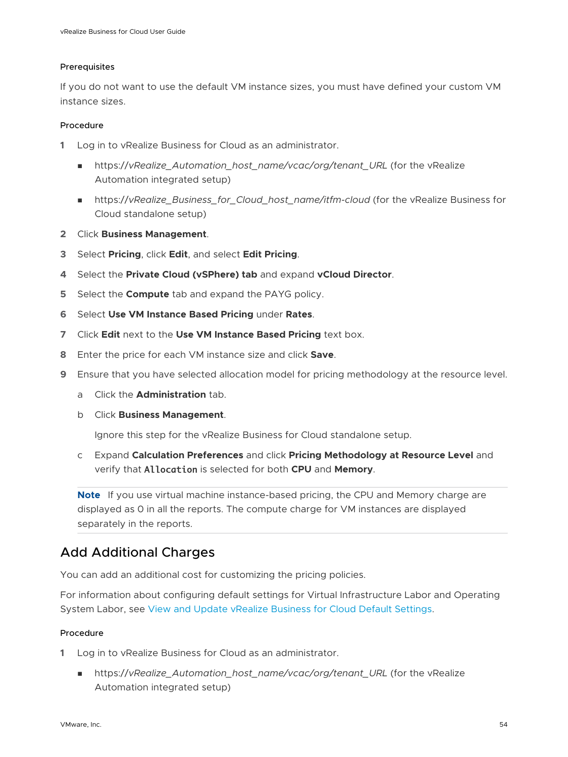### <span id="page-53-0"></span>Prerequisites

If you do not want to use the default VM instance sizes, you must have defined your custom VM instance sizes.

### Procedure

- **1** Log in to vRealize Business for Cloud as an administrator.
	- nttps://vRealize\_Automation\_host\_name/vcac/org/tenant\_URL (for the vRealize Automation integrated setup)
	- https://vRealize\_Business\_for\_Cloud\_host\_name/itfm-cloud (for the vRealize Business for Cloud standalone setup)
- **2** Click **Business Management**.
- **3** Select **Pricing**, click **Edit**, and select **Edit Pricing**.
- **4** Select the **Private Cloud (vSPhere) tab** and expand **vCloud Director**.
- **5** Select the **Compute** tab and expand the PAYG policy.
- **6** Select **Use VM Instance Based Pricing** under **Rates**.
- **7** Click **Edit** next to the **Use VM Instance Based Pricing** text box.
- **8** Enter the price for each VM instance size and click **Save**.
- **9** Ensure that you have selected allocation model for pricing methodology at the resource level.
	- a Click the **Administration** tab.
	- b Click **Business Management**.

Ignore this step for the vRealize Business for Cloud standalone setup.

c Expand **Calculation Preferences** and click **Pricing Methodology at Resource Level** and verify that Allocation is selected for both **CPU** and **Memory**.

**Note** If you use virtual machine instance-based pricing, the CPU and Memory charge are displayed as 0 in all the reports. The compute charge for VM instances are displayed separately in the reports.

### Add Additional Charges

You can add an additional cost for customizing the pricing policies.

For information about configuring default settings for Virtual Infrastructure Labor and Operating System Labor, see [View and Update vRealize Business for Cloud Default Settings.](#page-12-0)

### Procedure

- **1** Log in to vRealize Business for Cloud as an administrator.
	- https://vRealize\_Automation\_host\_name/vcac/org/tenant\_URL (for the vRealize Automation integrated setup)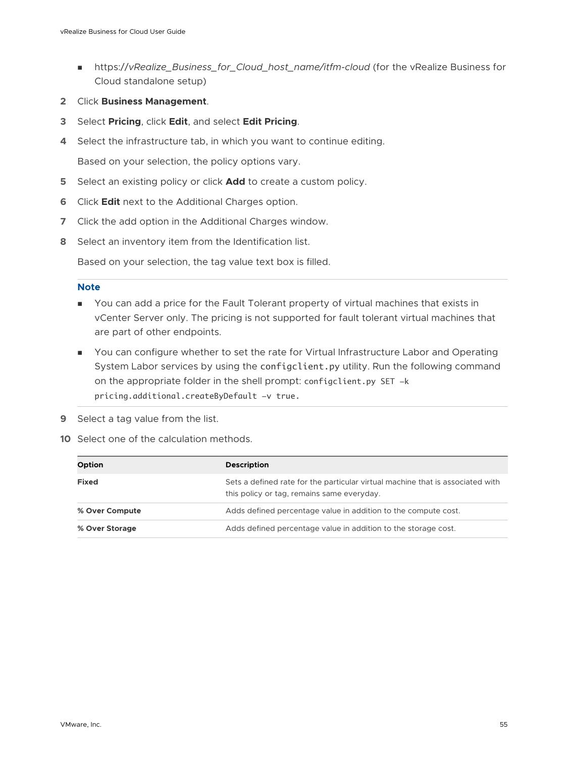- https://vRealize\_Business\_for\_Cloud\_host\_name/itfm-cloud (for the vRealize Business for Cloud standalone setup)
- **2** Click **Business Management**.
- **3** Select **Pricing**, click **Edit**, and select **Edit Pricing**.
- **4** Select the infrastructure tab, in which you want to continue editing.

Based on your selection, the policy options vary.

- **5** Select an existing policy or click **Add** to create a custom policy.
- **6** Click **Edit** next to the Additional Charges option.
- **7** Click the add option in the Additional Charges window.
- **8** Select an inventory item from the Identification list.

Based on your selection, the tag value text box is filled.

#### **Note**

- **n** You can add a price for the Fault Tolerant property of virtual machines that exists in vCenter Server only. The pricing is not supported for fault tolerant virtual machines that are part of other endpoints.
- **n** You can configure whether to set the rate for Virtual Infrastructure Labor and Operating System Labor services by using the configclient.py utility. Run the following command on the appropriate folder in the shell prompt: configclient.py SET -k pricing.additional.createByDefault -v true.
- **9** Select a tag value from the list.
- **10** Select one of the calculation methods.

| Option         | <b>Description</b>                                                                                                           |
|----------------|------------------------------------------------------------------------------------------------------------------------------|
| <b>Fixed</b>   | Sets a defined rate for the particular virtual machine that is associated with<br>this policy or tag, remains same everyday. |
| % Over Compute | Adds defined percentage value in addition to the compute cost.                                                               |
| % Over Storage | Adds defined percentage value in addition to the storage cost.                                                               |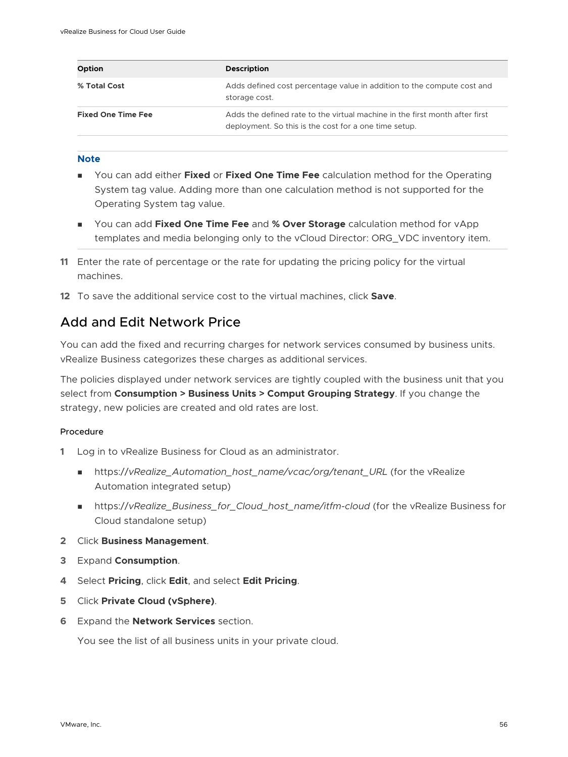| Option                    | <b>Description</b>                                                                                                                   |
|---------------------------|--------------------------------------------------------------------------------------------------------------------------------------|
| % Total Cost              | Adds defined cost percentage value in addition to the compute cost and<br>storage cost.                                              |
| <b>Fixed One Time Fee</b> | Adds the defined rate to the virtual machine in the first month after first<br>deployment. So this is the cost for a one time setup. |

### **Note**

- **n** You can add either **Fixed** or **Fixed One Time Fee** calculation method for the Operating System tag value. Adding more than one calculation method is not supported for the Operating System tag value.
- **n** You can add Fixed One Time Fee and % Over Storage calculation method for vApp templates and media belonging only to the vCloud Director: ORG\_VDC inventory item.
- **11** Enter the rate of percentage or the rate for updating the pricing policy for the virtual machines.
- **12** To save the additional service cost to the virtual machines, click **Save**.

## Add and Edit Network Price

You can add the fixed and recurring charges for network services consumed by business units. vRealize Business categorizes these charges as additional services.

The policies displayed under network services are tightly coupled with the business unit that you select from **Consumption > Business Units > Comput Grouping Strategy**. If you change the strategy, new policies are created and old rates are lost.

### Procedure

- **1** Log in to vRealize Business for Cloud as an administrator.
	- https://vRealize\_Automation\_host\_name/vcac/org/tenant\_URL (for the vRealize Automation integrated setup)
	- n https://vRealize\_Business\_for\_Cloud\_host\_name/itfm-cloud (for the vRealize Business for Cloud standalone setup)
- **2** Click **Business Management**.
- **3** Expand **Consumption**.
- **4** Select **Pricing**, click **Edit**, and select **Edit Pricing**.
- **5** Click **Private Cloud (vSphere)**.
- **6** Expand the **Network Services** section.

You see the list of all business units in your private cloud.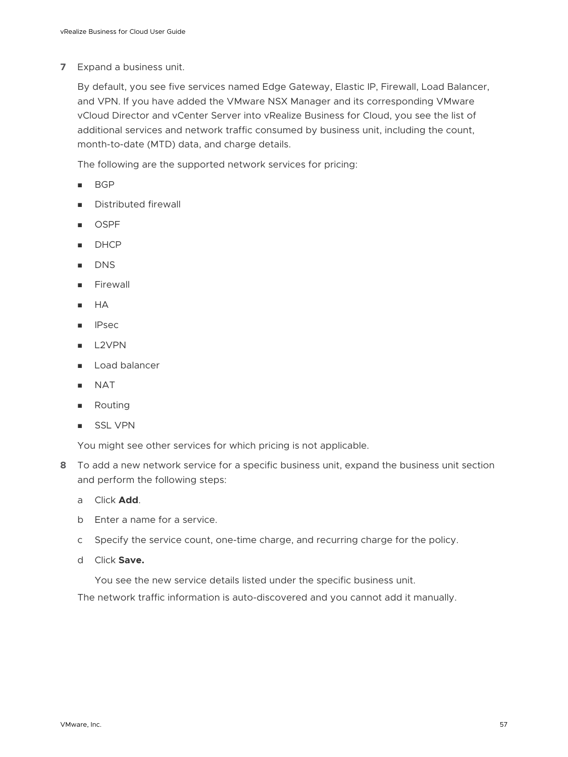### **7** Expand a business unit.

By default, you see five services named Edge Gateway, Elastic IP, Firewall, Load Balancer, and VPN. If you have added the VMware NSX Manager and its corresponding VMware vCloud Director and vCenter Server into vRealize Business for Cloud, you see the list of additional services and network traffic consumed by business unit, including the count, month-to-date (MTD) data, and charge details.

The following are the supported network services for pricing:

- <sup>n</sup> BGP
- Distributed firewall
- **OSPF**
- **DHCP**
- **DNS**
- **Firewall**
- <sup>n</sup> HA
- **IPsec**
- L<sub>2</sub>VPN
- Load balancer
- **NAT**
- **n** Routing
- **s** SSL VPN

You might see other services for which pricing is not applicable.

- **8** To add a new network service for a specific business unit, expand the business unit section and perform the following steps:
	- a Click **Add**.
	- b Enter a name for a service.
	- c Specify the service count, one-time charge, and recurring charge for the policy.
	- d Click **Save.**

You see the new service details listed under the specific business unit.

The network traffic information is auto-discovered and you cannot add it manually.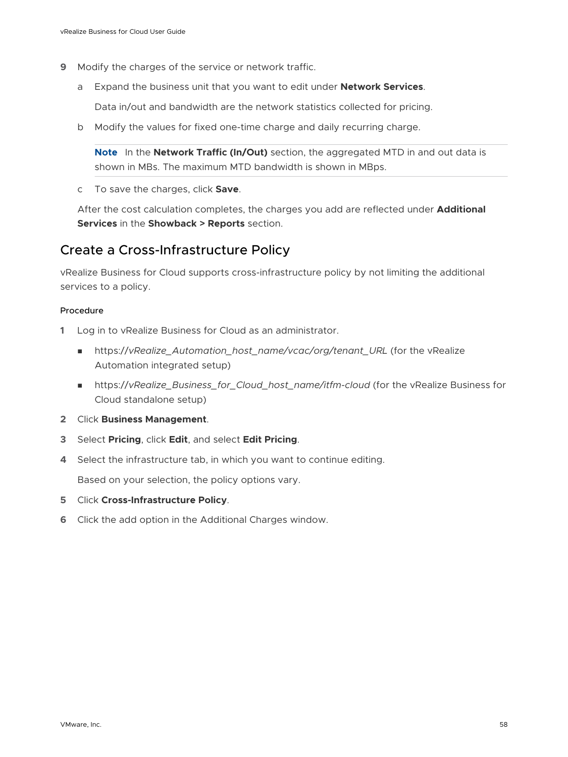- **9** Modify the charges of the service or network traffic.
	- a Expand the business unit that you want to edit under **Network Services**.

Data in/out and bandwidth are the network statistics collected for pricing.

b Modify the values for fixed one-time charge and daily recurring charge.

**Note** In the **Network Traffic (In/Out)** section, the aggregated MTD in and out data is shown in MBs. The maximum MTD bandwidth is shown in MBps.

c To save the charges, click **Save**.

After the cost calculation completes, the charges you add are reflected under **Additional Services** in the **Showback > Reports** section.

### Create a Cross-Infrastructure Policy

vRealize Business for Cloud supports cross-infrastructure policy by not limiting the additional services to a policy.

### Procedure

- **1** Log in to vRealize Business for Cloud as an administrator.
	- https://vRealize\_Automation\_host\_name/vcac/org/tenant\_URL (for the vRealize Automation integrated setup)
	- nttps://vRealize\_Business\_for\_Cloud\_host\_name/itfm-cloud (for the vRealize Business for Cloud standalone setup)
- **2** Click **Business Management**.
- **3** Select **Pricing**, click **Edit**, and select **Edit Pricing**.
- **4** Select the infrastructure tab, in which you want to continue editing.

Based on your selection, the policy options vary.

- **5** Click **Cross-Infrastructure Policy**.
- **6** Click the add option in the Additional Charges window.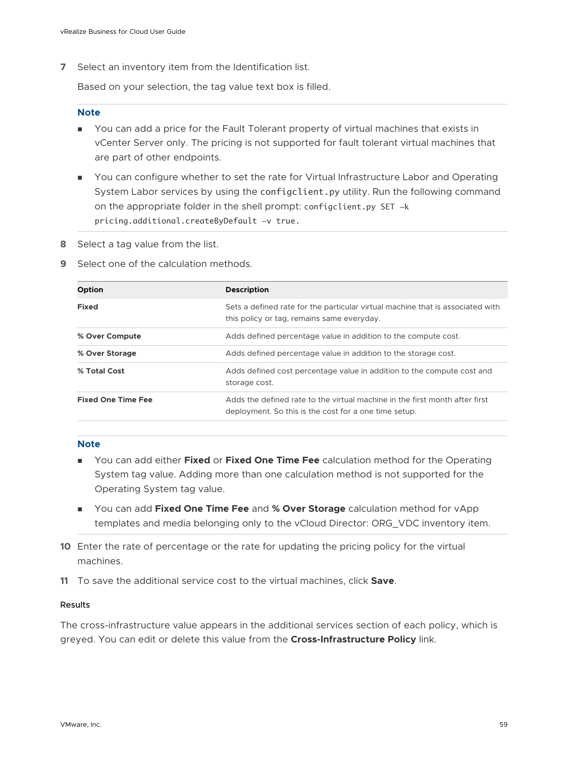**7** Select an inventory item from the Identification list.

Based on your selection, the tag value text box is filled.

#### **Note**

- **n** You can add a price for the Fault Tolerant property of virtual machines that exists in vCenter Server only. The pricing is not supported for fault tolerant virtual machines that are part of other endpoints.
- <sup>n</sup> You can configure whether to set the rate for Virtual Infrastructure Labor and Operating System Labor services by using the configclient.py utility. Run the following command on the appropriate folder in the shell prompt: configclient.py SET -k pricing.additional.createByDefault -v true.
- **8** Select a tag value from the list.
- **9** Select one of the calculation methods.

| <b>Option</b>             | <b>Description</b>                                                                                                                   |
|---------------------------|--------------------------------------------------------------------------------------------------------------------------------------|
| <b>Fixed</b>              | Sets a defined rate for the particular virtual machine that is associated with<br>this policy or tag, remains same everyday.         |
| % Over Compute            | Adds defined percentage value in addition to the compute cost.                                                                       |
| % Over Storage            | Adds defined percentage value in addition to the storage cost.                                                                       |
| % Total Cost              | Adds defined cost percentage value in addition to the compute cost and<br>storage cost.                                              |
| <b>Fixed One Time Fee</b> | Adds the defined rate to the virtual machine in the first month after first<br>deployment. So this is the cost for a one time setup. |

#### **Note**

- <sup>n</sup> You can add either **Fixed** or **Fixed One Time Fee** calculation method for the Operating System tag value. Adding more than one calculation method is not supported for the Operating System tag value.
- **n** You can add Fixed One Time Fee and % Over Storage calculation method for vApp templates and media belonging only to the vCloud Director: ORG\_VDC inventory item.
- **10** Enter the rate of percentage or the rate for updating the pricing policy for the virtual machines.
- **11** To save the additional service cost to the virtual machines, click **Save**.

#### Results

The cross-infrastructure value appears in the additional services section of each policy, which is greyed. You can edit or delete this value from the **Cross-Infrastructure Policy** link.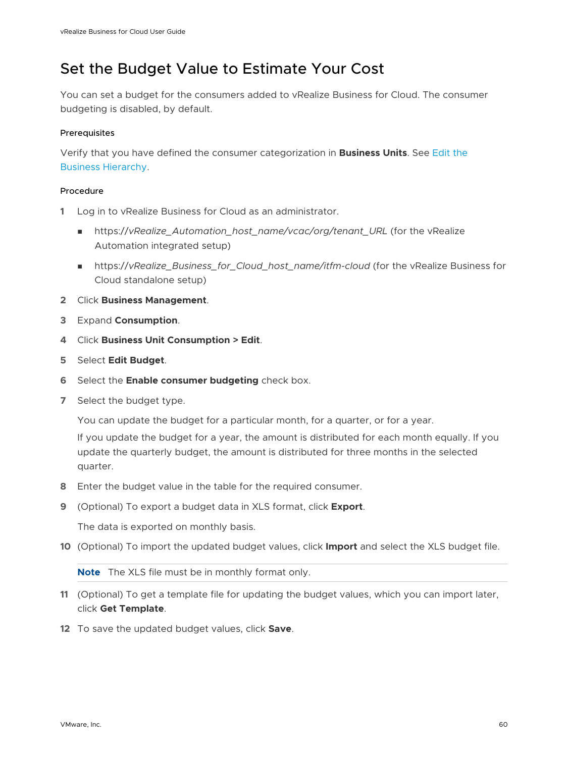# <span id="page-59-0"></span>Set the Budget Value to Estimate Your Cost

You can set a budget for the consumers added to vRealize Business for Cloud. The consumer budgeting is disabled, by default.

### **Prerequisites**

Verify that you have defined the consumer categorization in **Business Units**. See [Edit the](#page-61-0) [Business Hierarchy.](#page-61-0)

### Procedure

- **1** Log in to vRealize Business for Cloud as an administrator.
	- nttps://vRealize\_Automation\_host\_name/vcac/org/tenant\_URL (for the vRealize Automation integrated setup)
	- https://vRealize\_Business\_for\_Cloud\_host\_name/itfm-cloud (for the vRealize Business for Cloud standalone setup)
- **2** Click **Business Management**.
- **3** Expand **Consumption**.
- **4** Click **Business Unit Consumption > Edit**.
- **5** Select **Edit Budget**.
- **6** Select the **Enable consumer budgeting** check box.
- **7** Select the budget type.

You can update the budget for a particular month, for a quarter, or for a year.

If you update the budget for a year, the amount is distributed for each month equally. If you update the quarterly budget, the amount is distributed for three months in the selected quarter.

- **8** Enter the budget value in the table for the required consumer.
- **9** (Optional) To export a budget data in XLS format, click **Export**.

The data is exported on monthly basis.

**10** (Optional) To import the updated budget values, click **Import** and select the XLS budget file.

**Note** The XLS file must be in monthly format only.

- **11** (Optional) To get a template file for updating the budget values, which you can import later, click **Get Template**.
- **12** To save the updated budget values, click **Save**.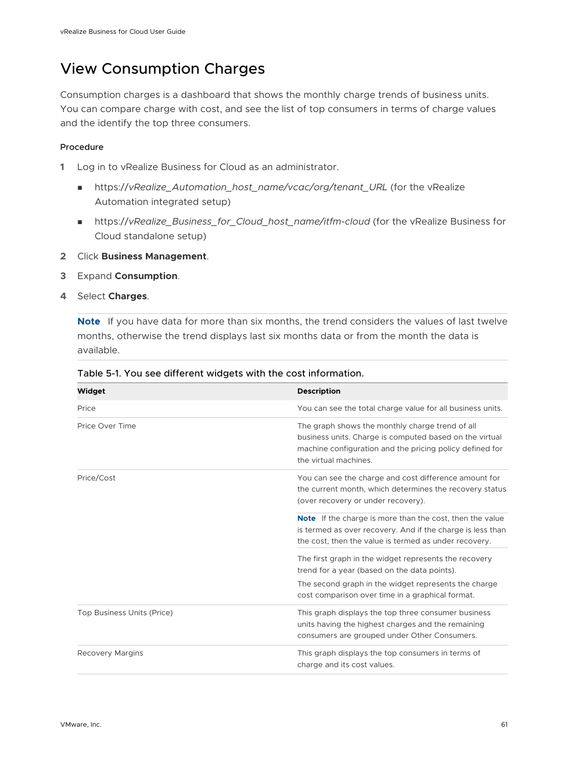# <span id="page-60-0"></span>View Consumption Charges

Consumption charges is a dashboard that shows the monthly charge trends of business units. You can compare charge with cost, and see the list of top consumers in terms of charge values and the identify the top three consumers.

### Procedure

- **1** Log in to vRealize Business for Cloud as an administrator.
	- https://vRealize\_Automation\_host\_name/vcac/org/tenant\_URL (for the vRealize Automation integrated setup)
	- n https://vRealize\_Business\_for\_Cloud\_host\_name/itfm-cloud (for the vRealize Business for Cloud standalone setup)
- **2** Click **Business Management**.
- **3** Expand **Consumption**.
- **4** Select **Charges**.

**Note** If you have data for more than six months, the trend considers the values of last twelve months, otherwise the trend displays last six months data or from the month the data is available.

| Widget                     | <b>Description</b>                                                                                                                                                                                                |
|----------------------------|-------------------------------------------------------------------------------------------------------------------------------------------------------------------------------------------------------------------|
| Price                      | You can see the total charge value for all business units.                                                                                                                                                        |
| Price Over Time            | The graph shows the monthly charge trend of all<br>business units. Charge is computed based on the virtual<br>machine configuration and the pricing policy defined for<br>the virtual machines.                   |
| Price/Cost                 | You can see the charge and cost difference amount for<br>the current month, which determines the recovery status<br>(over recovery or under recovery).                                                            |
|                            | <b>Note</b> If the charge is more than the cost, then the value<br>is termed as over recovery. And if the charge is less than<br>the cost, then the value is termed as under recovery.                            |
|                            | The first graph in the widget represents the recovery<br>trend for a year (based on the data points).<br>The second graph in the widget represents the charge<br>cost comparison over time in a graphical format. |
| Top Business Units (Price) | This graph displays the top three consumer business<br>units having the highest charges and the remaining<br>consumers are grouped under Other Consumers.                                                         |
| <b>Recovery Margins</b>    | This graph displays the top consumers in terms of<br>charge and its cost values.                                                                                                                                  |

### Table 5-1. You see different widgets with the cost information.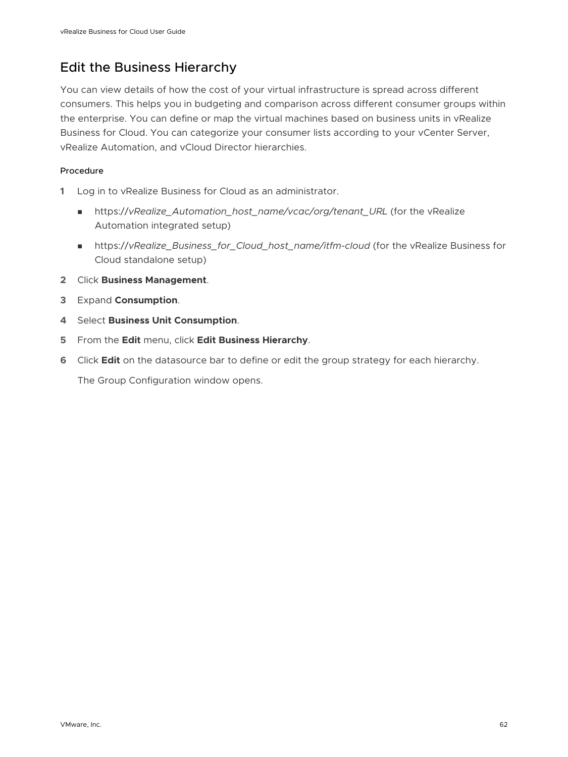# <span id="page-61-0"></span>Edit the Business Hierarchy

You can view details of how the cost of your virtual infrastructure is spread across different consumers. This helps you in budgeting and comparison across different consumer groups within the enterprise. You can define or map the virtual machines based on business units in vRealize Business for Cloud. You can categorize your consumer lists according to your vCenter Server, vRealize Automation, and vCloud Director hierarchies.

### Procedure

- **1** Log in to vRealize Business for Cloud as an administrator.
	- nttps://vRealize\_Automation\_host\_name/vcac/org/tenant\_URL (for the vRealize Automation integrated setup)
	- https://vRealize\_Business\_for\_Cloud\_host\_name/itfm-cloud (for the vRealize Business for Cloud standalone setup)
- **2** Click **Business Management**.
- **3** Expand **Consumption**.
- **4** Select **Business Unit Consumption**.
- **5** From the **Edit** menu, click **Edit Business Hierarchy**.
- **6** Click **Edit** on the datasource bar to define or edit the group strategy for each hierarchy.

The Group Configuration window opens.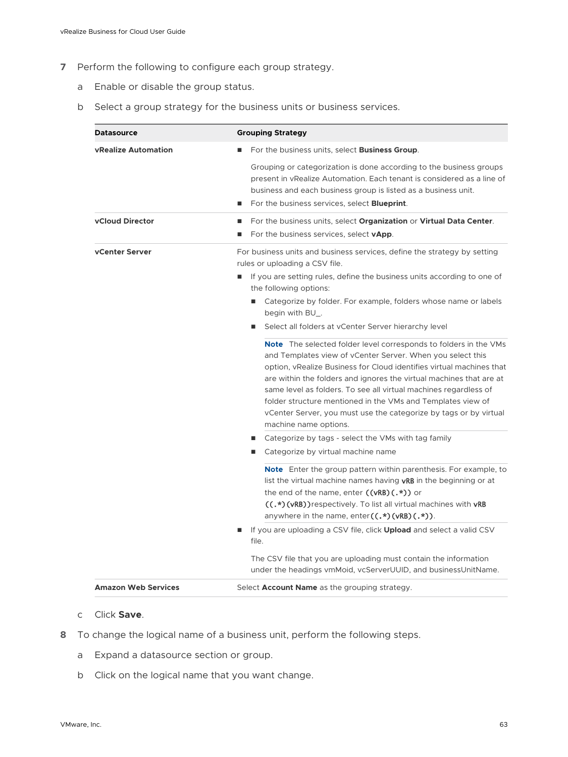- **7** Perform the following to configure each group strategy.
	- a Enable or disable the group status.
	- b Select a group strategy for the business units or business services.

| <b>Datasource</b>          | <b>Grouping Strategy</b>                                                                                                                                                                                                                                                                                                                                                                                                                                                                                              |
|----------------------------|-----------------------------------------------------------------------------------------------------------------------------------------------------------------------------------------------------------------------------------------------------------------------------------------------------------------------------------------------------------------------------------------------------------------------------------------------------------------------------------------------------------------------|
| <b>vRealize Automation</b> | For the business units, select <b>Business Group</b> .                                                                                                                                                                                                                                                                                                                                                                                                                                                                |
|                            | Grouping or categorization is done according to the business groups<br>present in vRealize Automation. Each tenant is considered as a line of<br>business and each business group is listed as a business unit.<br>For the business services, select <b>Blueprint</b> .                                                                                                                                                                                                                                               |
| <b>vCloud Director</b>     | For the business units, select Organization or Virtual Data Center.<br>For the business services, select vApp.<br>ш                                                                                                                                                                                                                                                                                                                                                                                                   |
| vCenter Server             | For business units and business services, define the strategy by setting<br>rules or uploading a CSV file.                                                                                                                                                                                                                                                                                                                                                                                                            |
|                            | If you are setting rules, define the business units according to one of<br>٠<br>the following options:                                                                                                                                                                                                                                                                                                                                                                                                                |
|                            | ■ Categorize by folder. For example, folders whose name or labels<br>begin with BU_.                                                                                                                                                                                                                                                                                                                                                                                                                                  |
|                            | Select all folders at vCenter Server hierarchy level                                                                                                                                                                                                                                                                                                                                                                                                                                                                  |
|                            | <b>Note</b> The selected folder level corresponds to folders in the VMs<br>and Templates view of vCenter Server. When you select this<br>option, vRealize Business for Cloud identifies virtual machines that<br>are within the folders and ignores the virtual machines that are at<br>same level as folders. To see all virtual machines regardless of<br>folder structure mentioned in the VMs and Templates view of<br>vCenter Server, you must use the categorize by tags or by virtual<br>machine name options. |
|                            | Categorize by tags - select the VMs with tag family<br>Categorize by virtual machine name                                                                                                                                                                                                                                                                                                                                                                                                                             |
|                            | <b>Note</b> Enter the group pattern within parenthesis. For example, to<br>list the virtual machine names having <b>vRB</b> in the beginning or at<br>the end of the name, enter $((vRB)(.*)$ or<br>((.*)(vRB)) respectively. To list all virtual machines with vRB<br>anywhere in the name, enter $((,*)$ (vRB) $(.*)$ ).                                                                                                                                                                                            |
|                            | If you are uploading a CSV file, click <b>Upload</b> and select a valid CSV<br>file.                                                                                                                                                                                                                                                                                                                                                                                                                                  |
|                            | The CSV file that you are uploading must contain the information<br>under the headings vmMoid, vcServerUUID, and businessUnitName.                                                                                                                                                                                                                                                                                                                                                                                    |
| <b>Amazon Web Services</b> | Select Account Name as the grouping strategy.                                                                                                                                                                                                                                                                                                                                                                                                                                                                         |

- c Click **Save**.
- **8** To change the logical name of a business unit, perform the following steps.
	- a Expand a datasource section or group.
	- b Click on the logical name that you want change.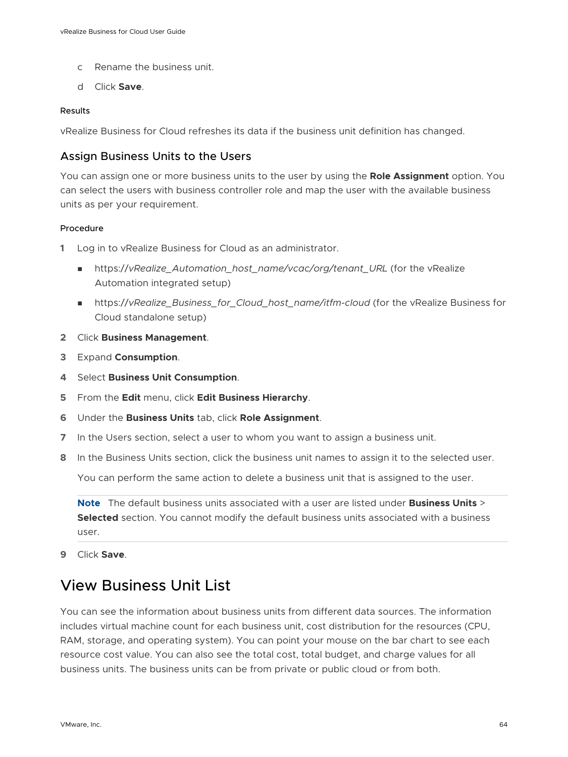- <span id="page-63-0"></span>c Rename the business unit.
- d Click **Save**.

#### Results

vRealize Business for Cloud refreshes its data if the business unit definition has changed.

### Assign Business Units to the Users

You can assign one or more business units to the user by using the **Role Assignment** option. You can select the users with business controller role and map the user with the available business units as per your requirement.

### Procedure

- **1** Log in to vRealize Business for Cloud as an administrator.
	- nttps://vRealize\_Automation\_host\_name/vcac/org/tenant\_URL (for the vRealize Automation integrated setup)
	- n https://vRealize\_Business\_for\_Cloud\_host\_name/itfm-cloud (for the vRealize Business for Cloud standalone setup)
- **2** Click **Business Management**.
- **3** Expand **Consumption**.
- **4** Select **Business Unit Consumption**.
- **5** From the **Edit** menu, click **Edit Business Hierarchy**.
- **6** Under the **Business Units** tab, click **Role Assignment**.
- **7** In the Users section, select a user to whom you want to assign a business unit.
- **8** In the Business Units section, click the business unit names to assign it to the selected user.

You can perform the same action to delete a business unit that is assigned to the user.

**Note** The default business units associated with a user are listed under **Business Units** > **Selected** section. You cannot modify the default business units associated with a business user.

**9** Click **Save**.

# View Business Unit List

You can see the information about business units from different data sources. The information includes virtual machine count for each business unit, cost distribution for the resources (CPU, RAM, storage, and operating system). You can point your mouse on the bar chart to see each resource cost value. You can also see the total cost, total budget, and charge values for all business units. The business units can be from private or public cloud or from both.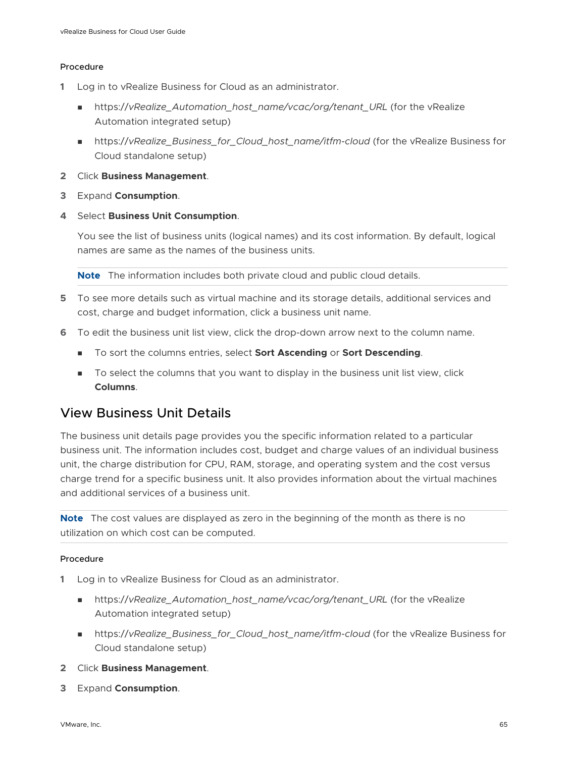### Procedure

- **1** Log in to vRealize Business for Cloud as an administrator.
	- n https://vRealize Automation host\_name/vcac/org/tenant\_URL (for the vRealize Automation integrated setup)
	- https://vRealize\_Business\_for\_Cloud\_host\_name/itfm-cloud (for the vRealize Business for Cloud standalone setup)
- **2** Click **Business Management**.
- **3** Expand **Consumption**.
- **4** Select **Business Unit Consumption**.

You see the list of business units (logical names) and its cost information. By default, logical names are same as the names of the business units.

**Note** The information includes both private cloud and public cloud details.

- **5** To see more details such as virtual machine and its storage details, additional services and cost, charge and budget information, click a business unit name.
- **6** To edit the business unit list view, click the drop-down arrow next to the column name.
	- <sup>n</sup> To sort the columns entries, select **Sort Ascending** or **Sort Descending**.
	- **n** To select the columns that you want to display in the business unit list view, click **Columns**.

### View Business Unit Details

The business unit details page provides you the specific information related to a particular business unit. The information includes cost, budget and charge values of an individual business unit, the charge distribution for CPU, RAM, storage, and operating system and the cost versus charge trend for a specific business unit. It also provides information about the virtual machines and additional services of a business unit.

**Note** The cost values are displayed as zero in the beginning of the month as there is no utilization on which cost can be computed.

### Procedure

- **1** Log in to vRealize Business for Cloud as an administrator.
	- <sup>n</sup> https://*vRealize\_Automation\_host\_name/vcac/org/tenant\_URL* (for the vRealize Automation integrated setup)
	- https://vRealize\_Business\_for\_Cloud\_host\_name/itfm-cloud (for the vRealize Business for Cloud standalone setup)
- **2** Click **Business Management**.
- **3** Expand **Consumption**.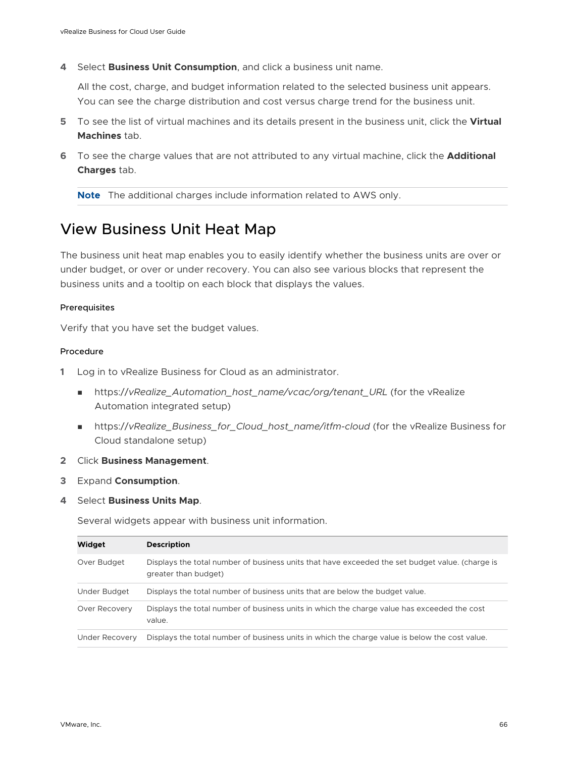<span id="page-65-0"></span>**4** Select **Business Unit Consumption**, and click a business unit name.

All the cost, charge, and budget information related to the selected business unit appears. You can see the charge distribution and cost versus charge trend for the business unit.

- **5** To see the list of virtual machines and its details present in the business unit, click the **Virtual Machines** tab.
- **6** To see the charge values that are not attributed to any virtual machine, click the **Additional Charges** tab.

**Note** The additional charges include information related to AWS only.

# View Business Unit Heat Map

The business unit heat map enables you to easily identify whether the business units are over or under budget, or over or under recovery. You can also see various blocks that represent the business units and a tooltip on each block that displays the values.

### Prerequisites

Verify that you have set the budget values.

### Procedure

- **1** Log in to vRealize Business for Cloud as an administrator.
	- nttps://vRealize\_Automation\_host\_name/vcac/org/tenant\_URL (for the vRealize Automation integrated setup)
	- https://vRealize\_Business\_for\_Cloud\_host\_name/itfm-cloud (for the vRealize Business for Cloud standalone setup)
- **2** Click **Business Management**.
- **3** Expand **Consumption**.
- **4** Select **Business Units Map**.

Several widgets appear with business unit information.

| Widget         | <b>Description</b>                                                                                                      |
|----------------|-------------------------------------------------------------------------------------------------------------------------|
| Over Budget    | Displays the total number of business units that have exceeded the set budget value. (charge is<br>greater than budget) |
| Under Budget   | Displays the total number of business units that are below the budget value.                                            |
| Over Recovery  | Displays the total number of business units in which the charge value has exceeded the cost<br>value.                   |
| Under Recovery | Displays the total number of business units in which the charge value is below the cost value.                          |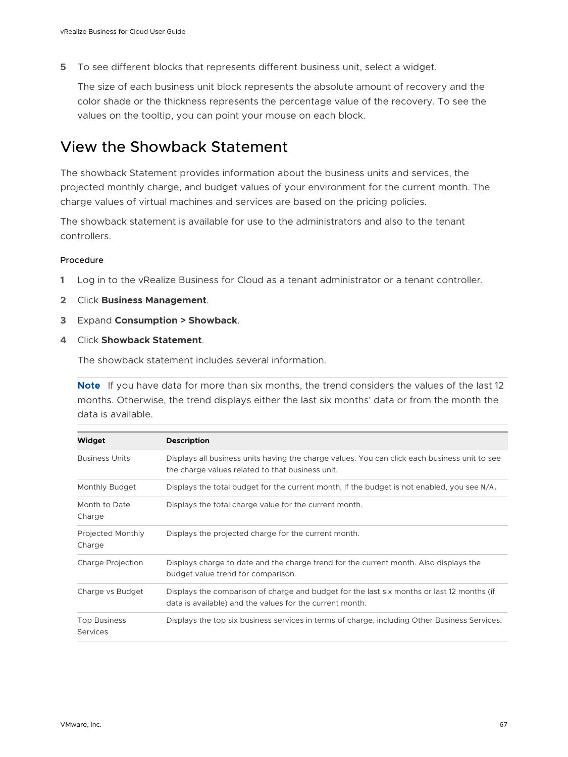<span id="page-66-0"></span>**5** To see different blocks that represents different business unit, select a widget.

The size of each business unit block represents the absolute amount of recovery and the color shade or the thickness represents the percentage value of the recovery. To see the values on the tooltip, you can point your mouse on each block.

# View the Showback Statement

The showback Statement provides information about the business units and services, the projected monthly charge, and budget values of your environment for the current month. The charge values of virtual machines and services are based on the pricing policies.

The showback statement is available for use to the administrators and also to the tenant controllers.

### Procedure

- **1** Log in to the vRealize Business for Cloud as a tenant administrator or a tenant controller.
- **2** Click **Business Management**.
- **3** Expand **Consumption > Showback**.
- **4** Click **Showback Statement**.

The showback statement includes several information.

**Note** If you have data for more than six months, the trend considers the values of the last 12 months. Otherwise, the trend displays either the last six months' data or from the month the data is available.

| Widget                                 | <b>Description</b>                                                                                                                                     |  |
|----------------------------------------|--------------------------------------------------------------------------------------------------------------------------------------------------------|--|
| <b>Business Units</b>                  | Displays all business units having the charge values. You can click each business unit to see<br>the charge values related to that business unit.      |  |
| Monthly Budget                         | Displays the total budget for the current month, If the budget is not enabled, you see N/A.                                                            |  |
| Month to Date<br>Charge                | Displays the total charge value for the current month.                                                                                                 |  |
| Projected Monthly<br>Charge            | Displays the projected charge for the current month.                                                                                                   |  |
| Charge Projection                      | Displays charge to date and the charge trend for the current month. Also displays the<br>budget value trend for comparison.                            |  |
| Charge vs Budget                       | Displays the comparison of charge and budget for the last six months or last 12 months (if<br>data is available) and the values for the current month. |  |
| <b>Top Business</b><br><b>Services</b> | Displays the top six business services in terms of charge, including Other Business Services.                                                          |  |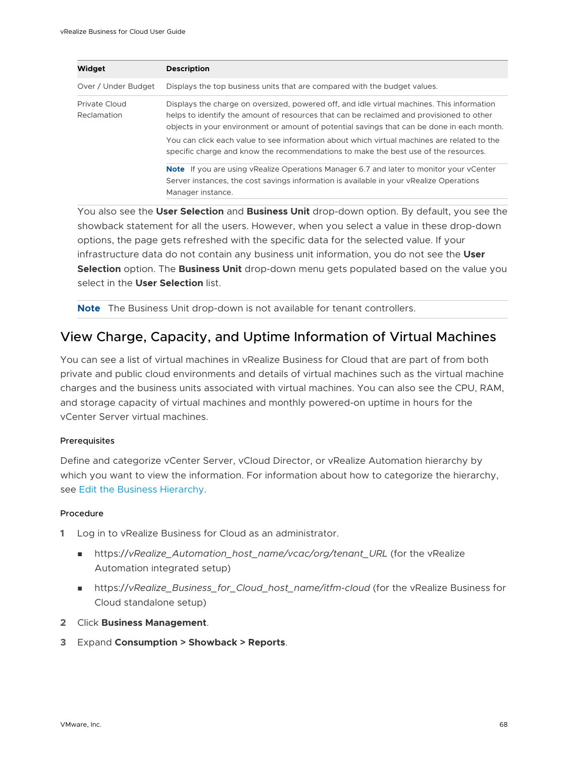| Widget                       | <b>Description</b>                                                                                                                                                                                                                                                                                                                                                                                                                                                         |
|------------------------------|----------------------------------------------------------------------------------------------------------------------------------------------------------------------------------------------------------------------------------------------------------------------------------------------------------------------------------------------------------------------------------------------------------------------------------------------------------------------------|
| Over / Under Budget          | Displays the top business units that are compared with the budget values.                                                                                                                                                                                                                                                                                                                                                                                                  |
| Private Cloud<br>Reclamation | Displays the charge on oversized, powered off, and idle virtual machines. This information<br>helps to identify the amount of resources that can be reclaimed and provisioned to other<br>objects in your environment or amount of potential savings that can be done in each month.<br>You can click each value to see information about which virtual machines are related to the<br>specific charge and know the recommendations to make the best use of the resources. |
|                              | <b>Note</b> If you are using vRealize Operations Manager 6.7 and later to monitor your vCenter<br>Server instances, the cost savings information is available in your vRealize Operations<br>Manager instance.                                                                                                                                                                                                                                                             |

You also see the **User Selection** and **Business Unit** drop-down option. By default, you see the showback statement for all the users. However, when you select a value in these drop-down options, the page gets refreshed with the specific data for the selected value. If your infrastructure data do not contain any business unit information, you do not see the **User Selection** option. The **Business Unit** drop-down menu gets populated based on the value you select in the **User Selection** list.

**Note** The Business Unit drop-down is not available for tenant controllers.

### View Charge, Capacity, and Uptime Information of Virtual Machines

You can see a list of virtual machines in vRealize Business for Cloud that are part of from both private and public cloud environments and details of virtual machines such as the virtual machine charges and the business units associated with virtual machines. You can also see the CPU, RAM, and storage capacity of virtual machines and monthly powered-on uptime in hours for the vCenter Server virtual machines.

### Prerequisites

Define and categorize vCenter Server, vCloud Director, or vRealize Automation hierarchy by which you want to view the information. For information about how to categorize the hierarchy, see [Edit the Business Hierarchy](#page-61-0).

### Procedure

- **1** Log in to vRealize Business for Cloud as an administrator.
	- n https://vRealize Automation host name/vcac/org/tenant\_URL (for the vRealize Automation integrated setup)
	- https://vRealize\_Business\_for\_Cloud\_host\_name/itfm-cloud (for the vRealize Business for Cloud standalone setup)
- **2** Click **Business Management**.
- **3** Expand **Consumption > Showback > Reports**.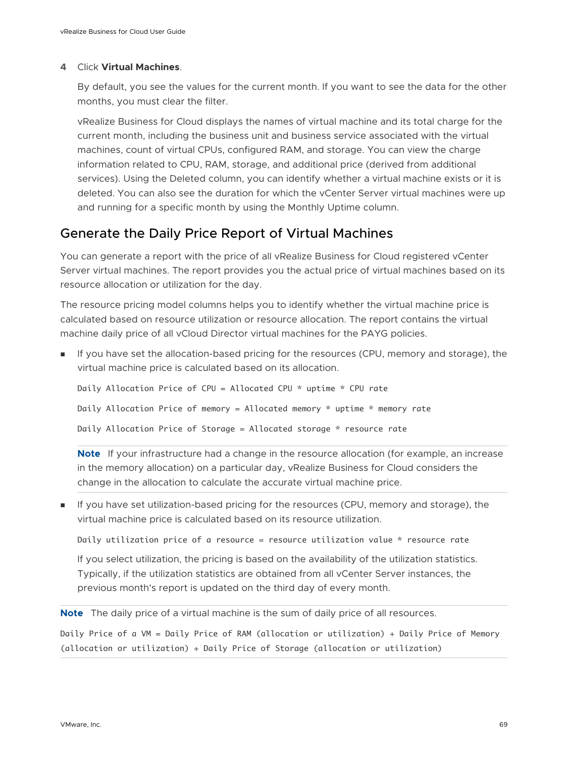### **4** Click **Virtual Machines**.

By default, you see the values for the current month. If you want to see the data for the other months, you must clear the filter.

vRealize Business for Cloud displays the names of virtual machine and its total charge for the current month, including the business unit and business service associated with the virtual machines, count of virtual CPUs, configured RAM, and storage. You can view the charge information related to CPU, RAM, storage, and additional price (derived from additional services). Using the Deleted column, you can identify whether a virtual machine exists or it is deleted. You can also see the duration for which the vCenter Server virtual machines were up and running for a specific month by using the Monthly Uptime column.

### Generate the Daily Price Report of Virtual Machines

You can generate a report with the price of all vRealize Business for Cloud registered vCenter Server virtual machines. The report provides you the actual price of virtual machines based on its resource allocation or utilization for the day.

The resource pricing model columns helps you to identify whether the virtual machine price is calculated based on resource utilization or resource allocation. The report contains the virtual machine daily price of all vCloud Director virtual machines for the PAYG policies.

<sup>n</sup> If you have set the allocation-based pricing for the resources (CPU, memory and storage), the virtual machine price is calculated based on its allocation.

Daily Allocation Price of CPU = Allocated CPU \* uptime \* CPU rate Daily Allocation Price of memory = Allocated memory \* uptime \* memory rate Daily Allocation Price of Storage = Allocated storage \* resource rate

**Note** If your infrastructure had a change in the resource allocation (for example, an increase in the memory allocation) on a particular day, vRealize Business for Cloud considers the change in the allocation to calculate the accurate virtual machine price.

**n** If you have set utilization-based pricing for the resources (CPU, memory and storage), the virtual machine price is calculated based on its resource utilization.

Daily utilization price of a resource = resource utilization value \* resource rate

If you select utilization, the pricing is based on the availability of the utilization statistics. Typically, if the utilization statistics are obtained from all vCenter Server instances, the previous month's report is updated on the third day of every month.

**Note** The daily price of a virtual machine is the sum of daily price of all resources.

Daily Price of a VM = Daily Price of RAM (allocation or utilization) + Daily Price of Memory (allocation or utilization) + Daily Price of Storage (allocation or utilization)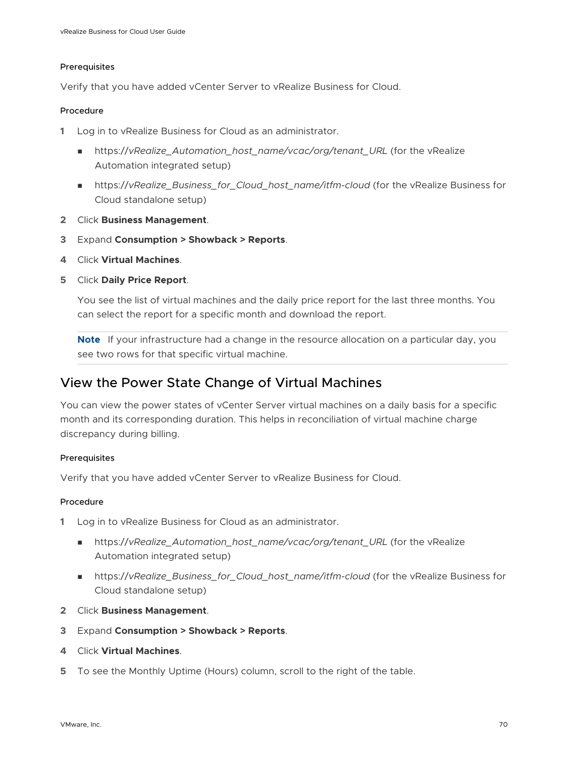### Prerequisites

Verify that you have added vCenter Server to vRealize Business for Cloud.

### Procedure

- **1** Log in to vRealize Business for Cloud as an administrator.
	- https://vRealize\_Automation\_host\_name/vcac/org/tenant\_URL (for the vRealize Automation integrated setup)
	- n https://vRealize\_Business\_for\_Cloud\_host\_name/itfm-cloud (for the vRealize Business for Cloud standalone setup)
- **2** Click **Business Management**.
- **3** Expand **Consumption > Showback > Reports**.
- **4** Click **Virtual Machines**.
- **5** Click **Daily Price Report**.

You see the list of virtual machines and the daily price report for the last three months. You can select the report for a specific month and download the report.

**Note** If your infrastructure had a change in the resource allocation on a particular day, you see two rows for that specific virtual machine.

### View the Power State Change of Virtual Machines

You can view the power states of vCenter Server virtual machines on a daily basis for a specific month and its corresponding duration. This helps in reconciliation of virtual machine charge discrepancy during billing.

### Prerequisites

Verify that you have added vCenter Server to vRealize Business for Cloud.

### Procedure

- **1** Log in to vRealize Business for Cloud as an administrator.
	- https://vRealize\_Automation\_host\_name/vcac/org/tenant\_URL (for the vRealize Automation integrated setup)
	- https://vRealize\_Business\_for\_Cloud\_host\_name/itfm-cloud (for the vRealize Business for Cloud standalone setup)
- **2** Click **Business Management**.
- **3** Expand **Consumption > Showback > Reports**.
- **4** Click **Virtual Machines**.
- **5** To see the Monthly Uptime (Hours) column, scroll to the right of the table.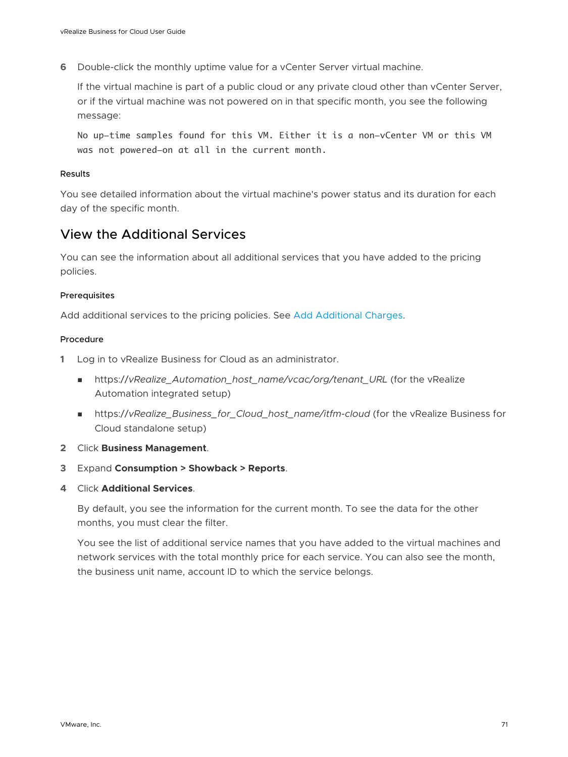**6** Double-click the monthly uptime value for a vCenter Server virtual machine.

If the virtual machine is part of a public cloud or any private cloud other than vCenter Server, or if the virtual machine was not powered on in that specific month, you see the following message:

No up-time samples found for this VM. Either it is a non-vCenter VM or this VM was not powered-on at all in the current month.

### Results

You see detailed information about the virtual machine's power status and its duration for each day of the specific month.

### View the Additional Services

You can see the information about all additional services that you have added to the pricing policies.

### Prerequisites

Add additional services to the pricing policies. See [Add Additional Charges](#page-53-0).

### Procedure

- **1** Log in to vRealize Business for Cloud as an administrator.
	- n https://vRealize Automation host\_name/vcac/org/tenant\_URL (for the vRealize Automation integrated setup)
	- https://vRealize\_Business\_for\_Cloud\_host\_name/itfm-cloud (for the vRealize Business for Cloud standalone setup)
- **2** Click **Business Management**.
- **3** Expand **Consumption > Showback > Reports**.
- **4** Click **Additional Services**.

By default, you see the information for the current month. To see the data for the other months, you must clear the filter.

You see the list of additional service names that you have added to the virtual machines and network services with the total monthly price for each service. You can also see the month, the business unit name, account ID to which the service belongs.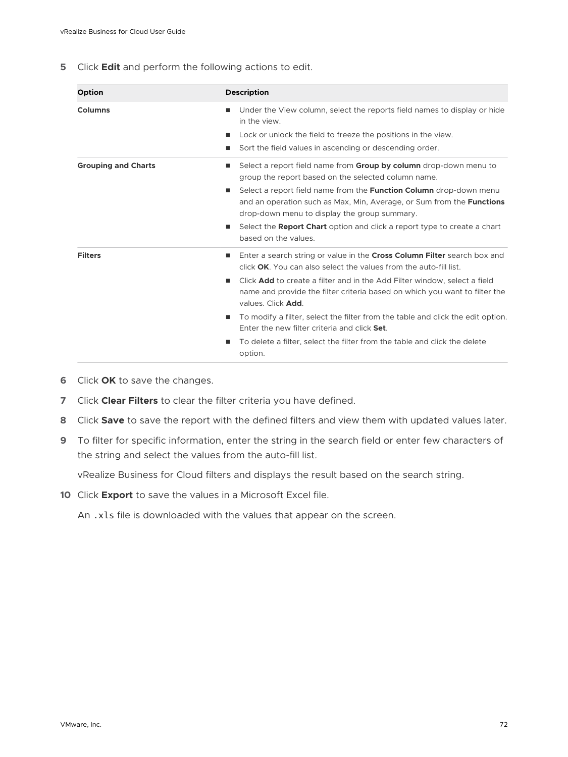**5** Click **Edit** and perform the following actions to edit.

| Option                     | <b>Description</b>                                                                                                                                                                                                                                                                                                                                                                                                                                                                                                                                                                   |
|----------------------------|--------------------------------------------------------------------------------------------------------------------------------------------------------------------------------------------------------------------------------------------------------------------------------------------------------------------------------------------------------------------------------------------------------------------------------------------------------------------------------------------------------------------------------------------------------------------------------------|
| <b>Columns</b>             | Under the View column, select the reports field names to display or hide<br>٠<br>in the view.<br>Lock or unlock the field to freeze the positions in the view.<br>Sort the field values in ascending or descending order.<br>ш                                                                                                                                                                                                                                                                                                                                                       |
| <b>Grouping and Charts</b> | Select a report field name from <b>Group by column</b> drop-down menu to<br>٠<br>group the report based on the selected column name.<br>Select a report field name from the <b>Function Column</b> drop-down menu<br>п<br>and an operation such as Max, Min, Average, or Sum from the <b>Functions</b><br>drop-down menu to display the group summary.<br>Select the Report Chart option and click a report type to create a chart<br>ш<br>based on the values.                                                                                                                      |
| <b>Filters</b>             | Enter a search string or value in the Cross Column Filter search box and<br>٠<br>click OK. You can also select the values from the auto-fill list.<br>Click <b>Add</b> to create a filter and in the Add Filter window, select a field<br>٠<br>name and provide the filter criteria based on which you want to filter the<br>values. Click Add.<br>To modify a filter, select the filter from the table and click the edit option.<br>п<br>Enter the new filter criteria and click Set.<br>To delete a filter, select the filter from the table and click the delete<br>п<br>option. |

- **6** Click **OK** to save the changes.
- **7** Click **Clear Filters** to clear the filter criteria you have defined.
- **8** Click **Save** to save the report with the defined filters and view them with updated values later.
- **9** To filter for specific information, enter the string in the search field or enter few characters of the string and select the values from the auto-fill list.

vRealize Business for Cloud filters and displays the result based on the search string.

**10** Click **Export** to save the values in a Microsoft Excel file.

An .xls file is downloaded with the values that appear on the screen.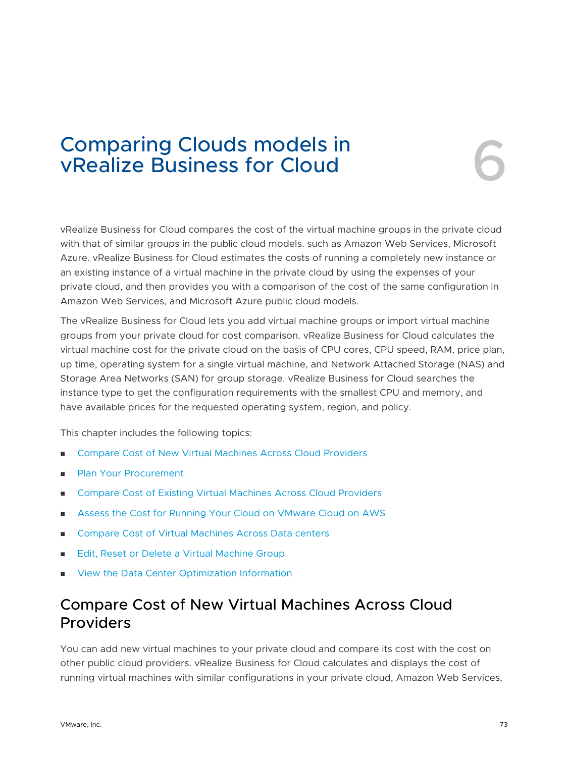## Comparing Clouds models in<br>
vRealize Business for Cloud<br>
6

vRealize Business for Cloud compares the cost of the virtual machine groups in the private cloud with that of similar groups in the public cloud models. such as Amazon Web Services, Microsoft Azure. vRealize Business for Cloud estimates the costs of running a completely new instance or an existing instance of a virtual machine in the private cloud by using the expenses of your private cloud, and then provides you with a comparison of the cost of the same configuration in Amazon Web Services, and Microsoft Azure public cloud models.

The vRealize Business for Cloud lets you add virtual machine groups or import virtual machine groups from your private cloud for cost comparison. vRealize Business for Cloud calculates the virtual machine cost for the private cloud on the basis of CPU cores, CPU speed, RAM, price plan, up time, operating system for a single virtual machine, and Network Attached Storage (NAS) and Storage Area Networks (SAN) for group storage. vRealize Business for Cloud searches the instance type to get the configuration requirements with the smallest CPU and memory, and have available prices for the requested operating system, region, and policy.

This chapter includes the following topics:

- Compare Cost of New Virtual Machines Across Cloud Providers
- [Plan Your Procurement](#page-74-0)
- **n** [Compare Cost of Existing Virtual Machines Across Cloud Providers](#page-75-0)
- <sup>n</sup> [Assess the Cost for Running Your Cloud on VMware Cloud on AWS](#page-75-0)
- [Compare Cost of Virtual Machines Across Data centers](#page-78-0)
- [Edit, Reset or Delete a Virtual Machine Group](#page-79-0)
- <sup>n</sup> [View the Data Center Optimization Information](#page-80-0)

## Compare Cost of New Virtual Machines Across Cloud Providers

You can add new virtual machines to your private cloud and compare its cost with the cost on other public cloud providers. vRealize Business for Cloud calculates and displays the cost of running virtual machines with similar configurations in your private cloud, Amazon Web Services,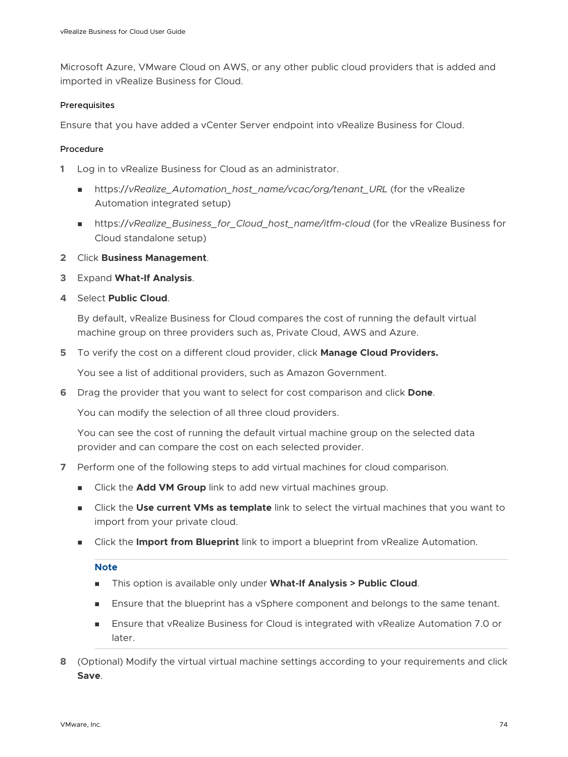Microsoft Azure, VMware Cloud on AWS, or any other public cloud providers that is added and imported in vRealize Business for Cloud.

#### Prerequisites

Ensure that you have added a vCenter Server endpoint into vRealize Business for Cloud.

#### Procedure

- **1** Log in to vRealize Business for Cloud as an administrator.
	- <sup>n</sup> https://*vRealize\_Automation\_host\_name/vcac/org/tenant\_URL* (for the vRealize Automation integrated setup)
	- https://vRealize\_Business\_for\_Cloud\_host\_name/itfm-cloud (for the vRealize Business for Cloud standalone setup)
- **2** Click **Business Management**.
- **3** Expand **What-If Analysis**.
- **4** Select **Public Cloud**.

By default, vRealize Business for Cloud compares the cost of running the default virtual machine group on three providers such as, Private Cloud, AWS and Azure.

**5** To verify the cost on a different cloud provider, click **Manage Cloud Providers.**

You see a list of additional providers, such as Amazon Government.

**6** Drag the provider that you want to select for cost comparison and click **Done**.

You can modify the selection of all three cloud providers.

You can see the cost of running the default virtual machine group on the selected data provider and can compare the cost on each selected provider.

- **7** Perform one of the following steps to add virtual machines for cloud comparison.
	- <sup>n</sup> Click the **Add VM Group** link to add new virtual machines group.
	- **n** Click the Use current VMs as template link to select the virtual machines that you want to import from your private cloud.
	- **n** Click the **Import from Blueprint** link to import a blueprint from vRealize Automation.

#### **Note**

- <sup>n</sup> This option is available only under **What-If Analysis > Public Cloud**.
- **n** Ensure that the blueprint has a vSphere component and belongs to the same tenant.
- **n** Ensure that vRealize Business for Cloud is integrated with vRealize Automation 7.0 or later.
- **8** (Optional) Modify the virtual virtual machine settings according to your requirements and click **Save**.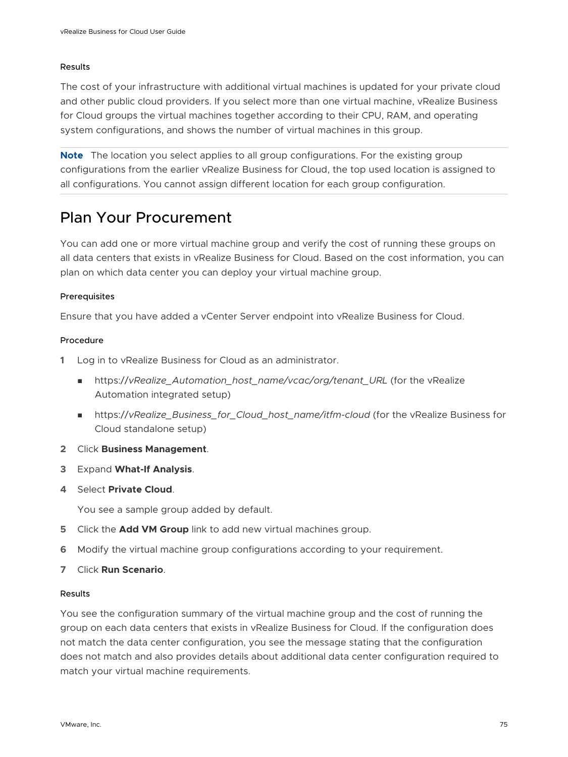#### <span id="page-74-0"></span>Results

The cost of your infrastructure with additional virtual machines is updated for your private cloud and other public cloud providers. If you select more than one virtual machine, vRealize Business for Cloud groups the virtual machines together according to their CPU, RAM, and operating system configurations, and shows the number of virtual machines in this group.

**Note** The location you select applies to all group configurations. For the existing group configurations from the earlier vRealize Business for Cloud, the top used location is assigned to all configurations. You cannot assign different location for each group configuration.

## Plan Your Procurement

You can add one or more virtual machine group and verify the cost of running these groups on all data centers that exists in vRealize Business for Cloud. Based on the cost information, you can plan on which data center you can deploy your virtual machine group.

#### Prerequisites

Ensure that you have added a vCenter Server endpoint into vRealize Business for Cloud.

#### Procedure

- **1** Log in to vRealize Business for Cloud as an administrator.
	- nttps://*vRealize* Automation host name/vcac/org/tenant URL (for the vRealize Automation integrated setup)
	- https://vRealize\_Business\_for\_Cloud\_host\_name/itfm-cloud (for the vRealize Business for Cloud standalone setup)
- **2** Click **Business Management**.
- **3** Expand **What-If Analysis**.
- **4** Select **Private Cloud**.

You see a sample group added by default.

- **5** Click the **Add VM Group** link to add new virtual machines group.
- **6** Modify the virtual machine group configurations according to your requirement.
- **7** Click **Run Scenario**.

#### Results

You see the configuration summary of the virtual machine group and the cost of running the group on each data centers that exists in vRealize Business for Cloud. If the configuration does not match the data center configuration, you see the message stating that the configuration does not match and also provides details about additional data center configuration required to match your virtual machine requirements.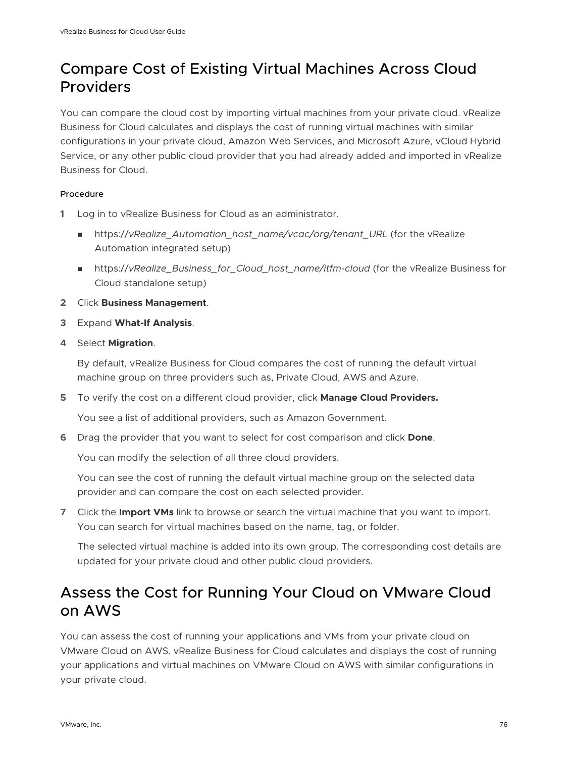## <span id="page-75-0"></span>Compare Cost of Existing Virtual Machines Across Cloud Providers

You can compare the cloud cost by importing virtual machines from your private cloud. vRealize Business for Cloud calculates and displays the cost of running virtual machines with similar configurations in your private cloud, Amazon Web Services, and Microsoft Azure, vCloud Hybrid Service, or any other public cloud provider that you had already added and imported in vRealize Business for Cloud.

### Procedure

- **1** Log in to vRealize Business for Cloud as an administrator.
	- nttps://vRealize\_Automation\_host\_name/vcac/org/tenant\_URL (for the vRealize Automation integrated setup)
	- https://vRealize\_Business\_for\_Cloud\_host\_name/itfm-cloud (for the vRealize Business for Cloud standalone setup)
- **2** Click **Business Management**.
- **3** Expand **What-If Analysis**.
- **4** Select **Migration**.

By default, vRealize Business for Cloud compares the cost of running the default virtual machine group on three providers such as, Private Cloud, AWS and Azure.

**5** To verify the cost on a different cloud provider, click **Manage Cloud Providers.**

You see a list of additional providers, such as Amazon Government.

**6** Drag the provider that you want to select for cost comparison and click **Done**.

You can modify the selection of all three cloud providers.

You can see the cost of running the default virtual machine group on the selected data provider and can compare the cost on each selected provider.

**7** Click the **Import VMs** link to browse or search the virtual machine that you want to import. You can search for virtual machines based on the name, tag, or folder.

The selected virtual machine is added into its own group. The corresponding cost details are updated for your private cloud and other public cloud providers.

## Assess the Cost for Running Your Cloud on VMware Cloud on AWS

You can assess the cost of running your applications and VMs from your private cloud on VMware Cloud on AWS. vRealize Business for Cloud calculates and displays the cost of running your applications and virtual machines on VMware Cloud on AWS with similar configurations in your private cloud.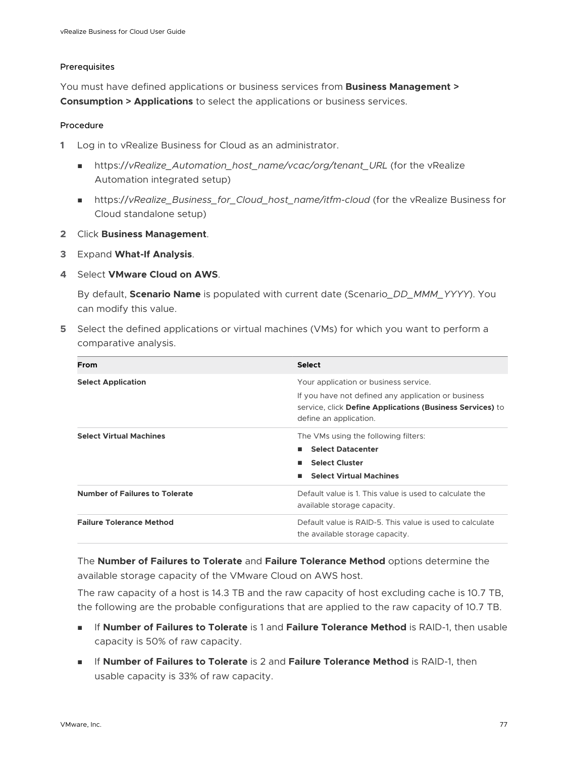#### Prerequisites

You must have defined applications or business services from **Business Management > Consumption > Applications** to select the applications or business services.

#### Procedure

- **1** Log in to vRealize Business for Cloud as an administrator.
	- nttps://vRealize\_Automation\_host\_name/vcac/org/tenant\_URL (for the vRealize Automation integrated setup)
	- <sup>n</sup> https://*vRealize\_Business\_for\_Cloud\_host\_name/itfm-cloud* (for the vRealize Business for Cloud standalone setup)
- **2** Click **Business Management**.
- **3** Expand **What-If Analysis**.
- **4** Select **VMware Cloud on AWS**.

By default, **Scenario Name** is populated with current date (Scenario*\_DD\_MMM\_YYYY*). You can modify this value.

**5** Select the defined applications or virtual machines (VMs) for which you want to perform a comparative analysis.

| From                                  | <b>Select</b>                                                                                                                              |
|---------------------------------------|--------------------------------------------------------------------------------------------------------------------------------------------|
| <b>Select Application</b>             | Your application or business service.                                                                                                      |
|                                       | If you have not defined any application or business<br>service, click Define Applications (Business Services) to<br>define an application. |
| <b>Select Virtual Machines</b>        | The VMs using the following filters:                                                                                                       |
|                                       | <b>Select Datacenter</b>                                                                                                                   |
|                                       | <b>Select Cluster</b>                                                                                                                      |
|                                       | <b>Select Virtual Machines</b>                                                                                                             |
| <b>Number of Failures to Tolerate</b> | Default value is 1. This value is used to calculate the<br>available storage capacity.                                                     |
| <b>Failure Tolerance Method</b>       | Default value is RAID-5. This value is used to calculate<br>the available storage capacity.                                                |

The **Number of Failures to Tolerate** and **Failure Tolerance Method** options determine the available storage capacity of the VMware Cloud on AWS host.

The raw capacity of a host is 14.3 TB and the raw capacity of host excluding cache is 10.7 TB, the following are the probable configurations that are applied to the raw capacity of 10.7 TB.

- **n** If **Number of Failures to Tolerate** is 1 and Failure Tolerance Method is RAID-1, then usable capacity is 50% of raw capacity.
- <sup>n</sup> If **Number of Failures to Tolerate** is 2 and **Failure Tolerance Method** is RAID-1, then usable capacity is 33% of raw capacity.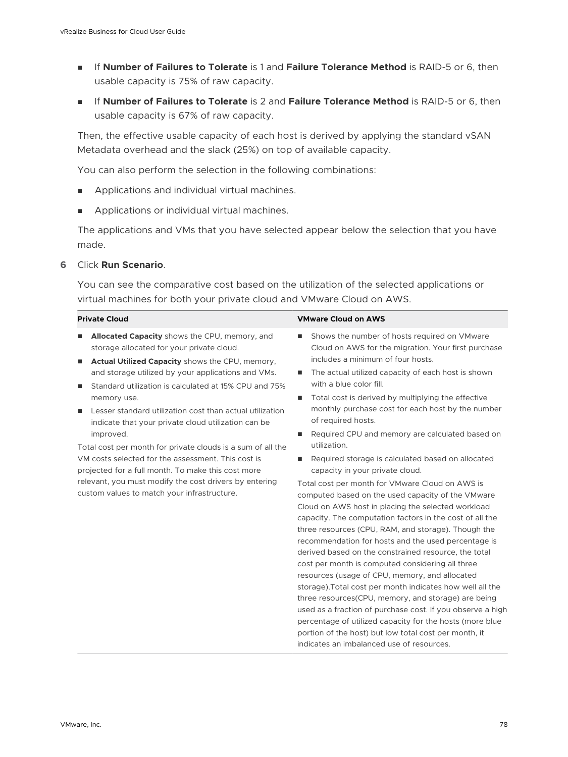- <sup>n</sup> If **Number of Failures to Tolerate** is 1 and **Failure Tolerance Method** is RAID-5 or 6, then usable capacity is 75% of raw capacity.
- <sup>n</sup> If **Number of Failures to Tolerate** is 2 and **Failure Tolerance Method** is RAID-5 or 6, then usable capacity is 67% of raw capacity.

Then, the effective usable capacity of each host is derived by applying the standard vSAN Metadata overhead and the slack (25%) on top of available capacity.

You can also perform the selection in the following combinations:

- **Applications and individual virtual machines.**
- Applications or individual virtual machines.

The applications and VMs that you have selected appear below the selection that you have made.

#### **6** Click **Run Scenario**.

You can see the comparative cost based on the utilization of the selected applications or virtual machines for both your private cloud and VMware Cloud on AWS.

#### **Private Cloud VMware Cloud on AWS**

- **n** Allocated Capacity shows the CPU, memory, and storage allocated for your private cloud.
- **n** Actual Utilized Capacity shows the CPU, memory, and storage utilized by your applications and VMs.
- Standard utilization is calculated at 15% CPU and 75% memory use.
- Lesser standard utilization cost than actual utilization indicate that your private cloud utilization can be improved.

Total cost per month for private clouds is a sum of all the VM costs selected for the assessment. This cost is projected for a full month. To make this cost more relevant, you must modify the cost drivers by entering custom values to match your infrastructure.

- Shows the number of hosts required on VMware Cloud on AWS for the migration. Your first purchase includes a minimum of four hosts.
- The actual utilized capacity of each host is shown with a blue color fill.
- $\blacksquare$  Total cost is derived by multiplying the effective monthly purchase cost for each host by the number of required hosts.
- Required CPU and memory are calculated based on utilization.
- Required storage is calculated based on allocated capacity in your private cloud.

Total cost per month for VMware Cloud on AWS is computed based on the used capacity of the VMware Cloud on AWS host in placing the selected workload capacity. The computation factors in the cost of all the three resources (CPU, RAM, and storage). Though the recommendation for hosts and the used percentage is derived based on the constrained resource, the total cost per month is computed considering all three resources (usage of CPU, memory, and allocated storage).Total cost per month indicates how well all the three resources(CPU, memory, and storage) are being used as a fraction of purchase cost. If you observe a high percentage of utilized capacity for the hosts (more blue portion of the host) but low total cost per month, it indicates an imbalanced use of resources.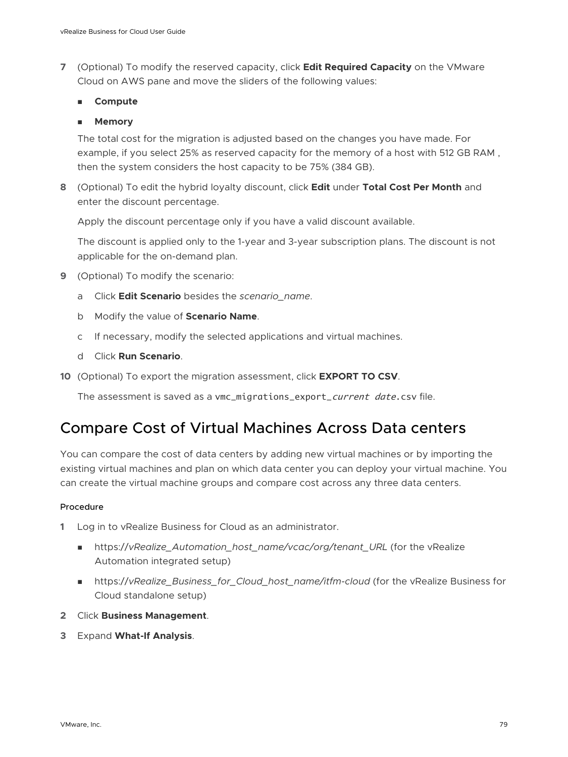<span id="page-78-0"></span>**7** (Optional) To modify the reserved capacity, click **Edit Required Capacity** on the VMware Cloud on AWS pane and move the sliders of the following values:

#### <sup>n</sup> **Compute**

### <sup>n</sup> **Memory**

The total cost for the migration is adjusted based on the changes you have made. For example, if you select 25% as reserved capacity for the memory of a host with 512 GB RAM , then the system considers the host capacity to be 75% (384 GB).

**8** (Optional) To edit the hybrid loyalty discount, click **Edit** under **Total Cost Per Month** and enter the discount percentage.

Apply the discount percentage only if you have a valid discount available.

The discount is applied only to the 1-year and 3-year subscription plans. The discount is not applicable for the on-demand plan.

- **9** (Optional) To modify the scenario:
	- a Click **Edit Scenario** besides the *scenario\_name*.
	- b Modify the value of **Scenario Name**.
	- c If necessary, modify the selected applications and virtual machines.
	- d Click **Run Scenario**.
- **10** (Optional) To export the migration assessment, click **EXPORT TO CSV**.

The assessment is saved as a vmc\_migrations\_export\_current date.csv file.

## Compare Cost of Virtual Machines Across Data centers

You can compare the cost of data centers by adding new virtual machines or by importing the existing virtual machines and plan on which data center you can deploy your virtual machine. You can create the virtual machine groups and compare cost across any three data centers.

- **1** Log in to vRealize Business for Cloud as an administrator.
	- https://vRealize\_Automation\_host\_name/vcac/org/tenant\_URL (for the vRealize Automation integrated setup)
	- https://vRealize\_Business\_for\_Cloud\_host\_name/itfm-cloud (for the vRealize Business for Cloud standalone setup)
- **2** Click **Business Management**.
- **3** Expand **What-If Analysis**.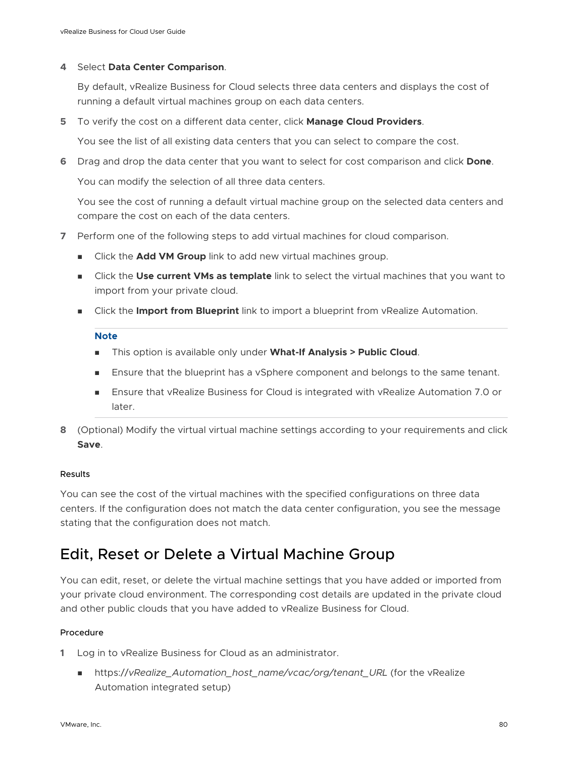#### <span id="page-79-0"></span>**4** Select **Data Center Comparison**.

By default, vRealize Business for Cloud selects three data centers and displays the cost of running a default virtual machines group on each data centers.

**5** To verify the cost on a different data center, click **Manage Cloud Providers**.

You see the list of all existing data centers that you can select to compare the cost.

**6** Drag and drop the data center that you want to select for cost comparison and click **Done**.

You can modify the selection of all three data centers.

You see the cost of running a default virtual machine group on the selected data centers and compare the cost on each of the data centers.

- **7** Perform one of the following steps to add virtual machines for cloud comparison.
	- <sup>n</sup> Click the **Add VM Group** link to add new virtual machines group.
	- **n** Click the Use current VMs as template link to select the virtual machines that you want to import from your private cloud.
	- **n** Click the **Import from Blueprint** link to import a blueprint from vRealize Automation.

#### **Note**

- **n** This option is available only under What-If Analysis > Public Cloud.
- Ensure that the blueprint has a vSphere component and belongs to the same tenant.
- **n** Ensure that vRealize Business for Cloud is integrated with vRealize Automation 7.0 or later.
- **8** (Optional) Modify the virtual virtual machine settings according to your requirements and click **Save**.

#### Results

You can see the cost of the virtual machines with the specified configurations on three data centers. If the configuration does not match the data center configuration, you see the message stating that the configuration does not match.

## Edit, Reset or Delete a Virtual Machine Group

You can edit, reset, or delete the virtual machine settings that you have added or imported from your private cloud environment. The corresponding cost details are updated in the private cloud and other public clouds that you have added to vRealize Business for Cloud.

- **1** Log in to vRealize Business for Cloud as an administrator.
	- nttps://vRealize\_Automation\_host\_name/vcac/org/tenant\_URL (for the vRealize Automation integrated setup)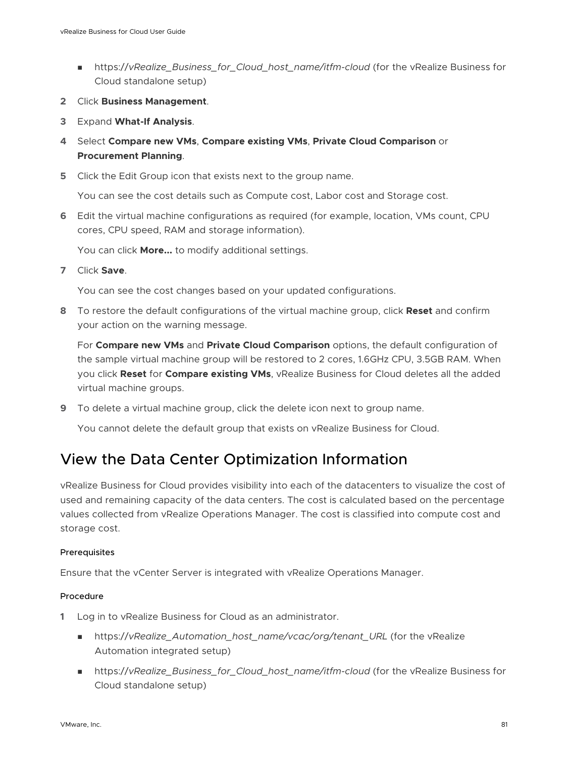- <span id="page-80-0"></span>■ https://vRealize\_Business\_for\_Cloud\_host\_name/itfm-cloud (for the vRealize Business for Cloud standalone setup)
- **2** Click **Business Management**.
- **3** Expand **What-If Analysis**.
- **4** Select **Compare new VMs**, **Compare existing VMs**, **Private Cloud Comparison** or **Procurement Planning**.
- **5** Click the Edit Group icon that exists next to the group name.

You can see the cost details such as Compute cost, Labor cost and Storage cost.

**6** Edit the virtual machine configurations as required (for example, location, VMs count, CPU cores, CPU speed, RAM and storage information).

You can click **More...** to modify additional settings.

**7** Click **Save**.

You can see the cost changes based on your updated configurations.

**8** To restore the default configurations of the virtual machine group, click **Reset** and confirm your action on the warning message.

For **Compare new VMs** and **Private Cloud Comparison** options, the default configuration of the sample virtual machine group will be restored to 2 cores, 1.6GHz CPU, 3.5GB RAM. When you click **Reset** for **Compare existing VMs**, vRealize Business for Cloud deletes all the added virtual machine groups.

**9** To delete a virtual machine group, click the delete icon next to group name.

You cannot delete the default group that exists on vRealize Business for Cloud.

## View the Data Center Optimization Information

vRealize Business for Cloud provides visibility into each of the datacenters to visualize the cost of used and remaining capacity of the data centers. The cost is calculated based on the percentage values collected from vRealize Operations Manager. The cost is classified into compute cost and storage cost.

#### Prerequisites

Ensure that the vCenter Server is integrated with vRealize Operations Manager.

- **1** Log in to vRealize Business for Cloud as an administrator.
	- nttps://vRealize\_Automation\_host\_name/vcac/org/tenant\_URL (for the vRealize Automation integrated setup)
	- https://vRealize\_Business\_for\_Cloud\_host\_name/itfm-cloud (for the vRealize Business for Cloud standalone setup)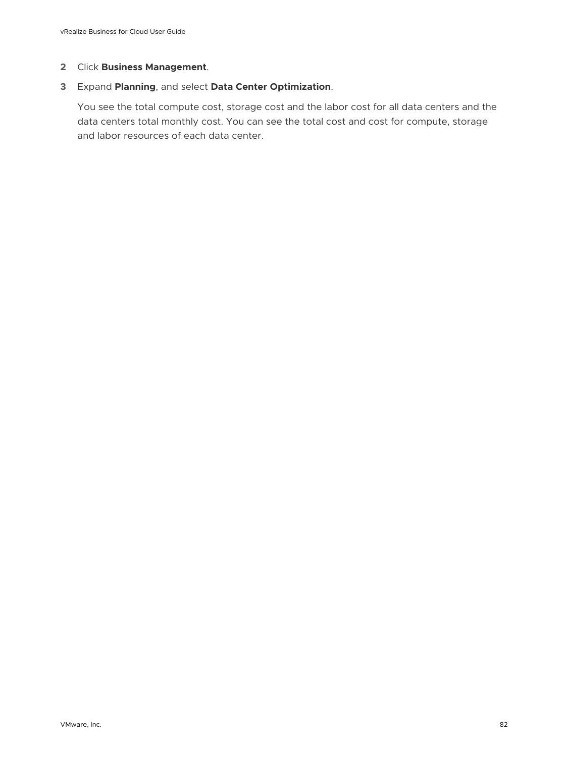#### **2** Click **Business Management**.

#### **3** Expand **Planning**, and select **Data Center Optimization**.

You see the total compute cost, storage cost and the labor cost for all data centers and the data centers total monthly cost. You can see the total cost and cost for compute, storage and labor resources of each data center.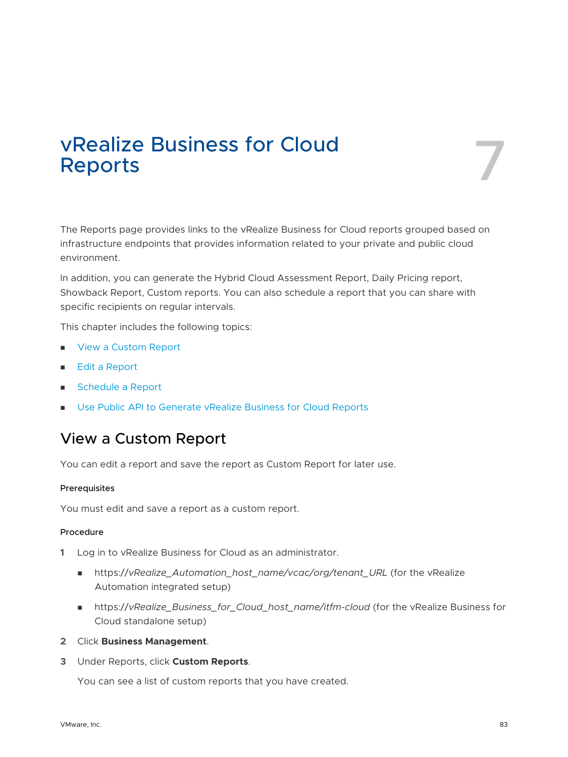# vRealize Business for Cloud<br>Reports

The Reports page provides links to the vRealize Business for Cloud reports grouped based on infrastructure endpoints that provides information related to your private and public cloud environment.

In addition, you can generate the Hybrid Cloud Assessment Report, Daily Pricing report, Showback Report, Custom reports. You can also schedule a report that you can share with specific recipients on regular intervals.

This chapter includes the following topics:

- **No. 2** View a Custom Report
- [Edit a Report](#page-83-0)
- **n** [Schedule a Report](#page-84-0)
- <sup>n</sup> [Use Public API to Generate vRealize Business for Cloud Reports](#page-87-0)

## View a Custom Report

You can edit a report and save the report as Custom Report for later use.

#### Prerequisites

You must edit and save a report as a custom report.

#### Procedure

- **1** Log in to vRealize Business for Cloud as an administrator.
	- nttps://vRealize\_Automation\_host\_name/vcac/org/tenant\_URL (for the vRealize Automation integrated setup)
	- <sup>n</sup> https://*vRealize\_Business\_for\_Cloud\_host\_name/itfm-cloud* (for the vRealize Business for Cloud standalone setup)
- **2** Click **Business Management**.
- **3** Under Reports, click **Custom Reports**.

You can see a list of custom reports that you have created.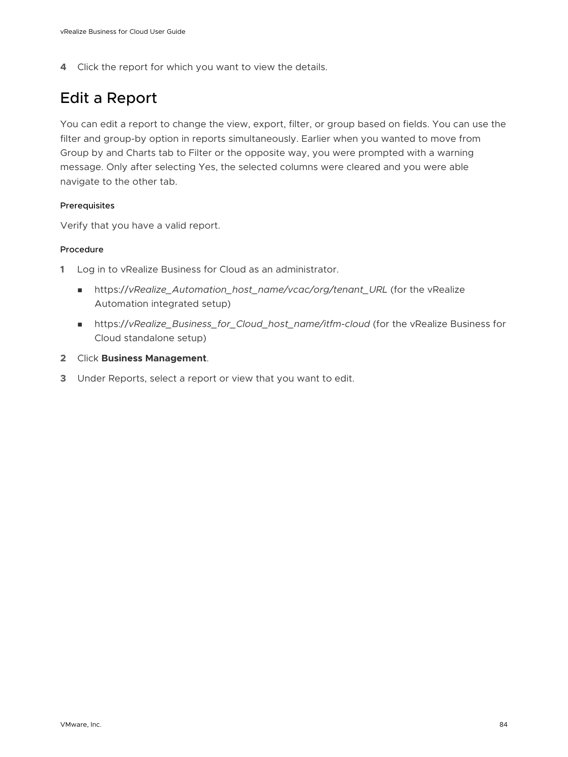<span id="page-83-0"></span>**4** Click the report for which you want to view the details.

## Edit a Report

You can edit a report to change the view, export, filter, or group based on fields. You can use the filter and group-by option in reports simultaneously. Earlier when you wanted to move from Group by and Charts tab to Filter or the opposite way, you were prompted with a warning message. Only after selecting Yes, the selected columns were cleared and you were able navigate to the other tab.

#### Prerequisites

Verify that you have a valid report.

- **1** Log in to vRealize Business for Cloud as an administrator.
	- https://vRealize\_Automation\_host\_name/vcac/org/tenant\_URL (for the vRealize Automation integrated setup)
	- <sup>n</sup> https://*vRealize\_Business\_for\_Cloud\_host\_name/itfm-cloud* (for the vRealize Business for Cloud standalone setup)
- **2** Click **Business Management**.
- **3** Under Reports, select a report or view that you want to edit.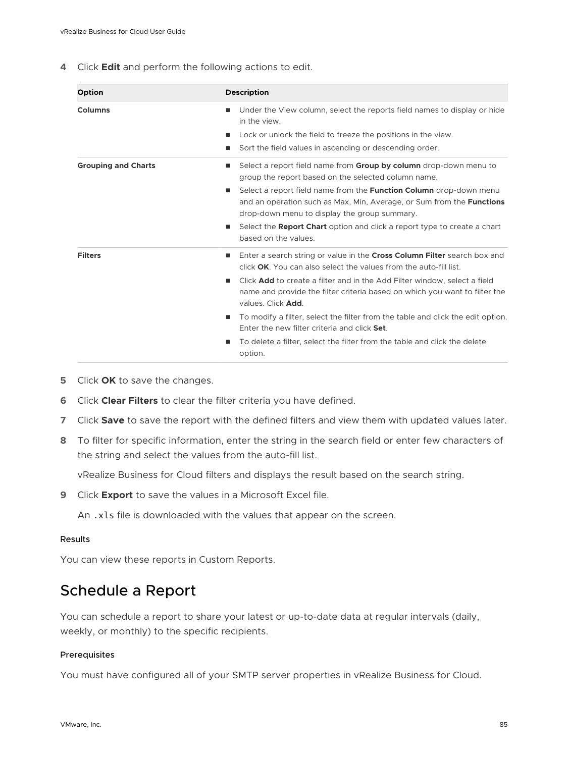<span id="page-84-0"></span>**4** Click **Edit** and perform the following actions to edit.

| Option                     | <b>Description</b>                                                                                                                                                                                                                                                                                                                                     |
|----------------------------|--------------------------------------------------------------------------------------------------------------------------------------------------------------------------------------------------------------------------------------------------------------------------------------------------------------------------------------------------------|
| Columns                    | Under the View column, select the reports field names to display or hide<br>٠<br>in the view.<br>Lock or unlock the field to freeze the positions in the view.<br>ш                                                                                                                                                                                    |
|                            | Sort the field values in ascending or descending order.<br>ш                                                                                                                                                                                                                                                                                           |
| <b>Grouping and Charts</b> | Select a report field name from <b>Group by column</b> drop-down menu to<br>■<br>group the report based on the selected column name.<br>Select a report field name from the <b>Function Column</b> drop-down menu<br>ш<br>and an operation such as Max, Min, Average, or Sum from the <b>Functions</b><br>drop-down menu to display the group summary. |
|                            | Select the <b>Report Chart</b> option and click a report type to create a chart<br>ш<br>based on the values.                                                                                                                                                                                                                                           |
| <b>Filters</b>             | Enter a search string or value in the Cross Column Filter search box and<br>۰<br>click OK. You can also select the values from the auto-fill list.                                                                                                                                                                                                     |
|                            | Click <b>Add</b> to create a filter and in the Add Filter window, select a field<br>п<br>name and provide the filter criteria based on which you want to filter the<br>values. Click Add.                                                                                                                                                              |
|                            | To modify a filter, select the filter from the table and click the edit option.<br>■<br>Enter the new filter criteria and click Set.                                                                                                                                                                                                                   |
|                            | To delete a filter, select the filter from the table and click the delete<br>ш<br>option.                                                                                                                                                                                                                                                              |

- **5** Click **OK** to save the changes.
- **6** Click **Clear Filters** to clear the filter criteria you have defined.
- **7** Click **Save** to save the report with the defined filters and view them with updated values later.
- **8** To filter for specific information, enter the string in the search field or enter few characters of the string and select the values from the auto-fill list.

vRealize Business for Cloud filters and displays the result based on the search string.

**9** Click **Export** to save the values in a Microsoft Excel file.

An .xls file is downloaded with the values that appear on the screen.

#### Results

You can view these reports in Custom Reports.

## Schedule a Report

You can schedule a report to share your latest or up-to-date data at regular intervals (daily, weekly, or monthly) to the specific recipients.

#### Prerequisites

You must have configured all of your SMTP server properties in vRealize Business for Cloud.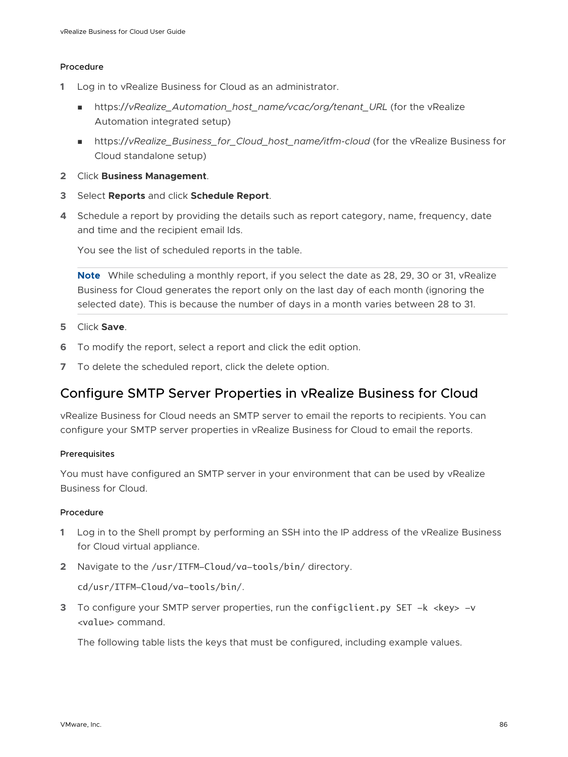#### Procedure

- **1** Log in to vRealize Business for Cloud as an administrator.
	- n https://vRealize Automation host name/vcac/org/tenant\_URL (for the vRealize Automation integrated setup)
	- https://vRealize\_Business\_for\_Cloud\_host\_name/itfm-cloud (for the vRealize Business for Cloud standalone setup)
- **2** Click **Business Management**.
- **3** Select **Reports** and click **Schedule Report**.
- **4** Schedule a report by providing the details such as report category, name, frequency, date and time and the recipient email Ids.

You see the list of scheduled reports in the table.

**Note** While scheduling a monthly report, if you select the date as 28, 29, 30 or 31, vRealize Business for Cloud generates the report only on the last day of each month (ignoring the selected date). This is because the number of days in a month varies between 28 to 31.

- **5** Click **Save**.
- **6** To modify the report, select a report and click the edit option.
- **7** To delete the scheduled report, click the delete option.

### Configure SMTP Server Properties in vRealize Business for Cloud

vRealize Business for Cloud needs an SMTP server to email the reports to recipients. You can configure your SMTP server properties in vRealize Business for Cloud to email the reports.

#### **Prerequisites**

You must have configured an SMTP server in your environment that can be used by vRealize Business for Cloud.

#### Procedure

- **1** Log in to the Shell prompt by performing an SSH into the IP address of the vRealize Business for Cloud virtual appliance.
- **2** Navigate to the /usr/ITFM-Cloud/va-tools/bin/ directory.

cd/usr/ITFM-Cloud/va-tools/bin/.

**3** To configure your SMTP server properties, run the configclient.py SET -k <key> -v <value> command.

The following table lists the keys that must be configured, including example values.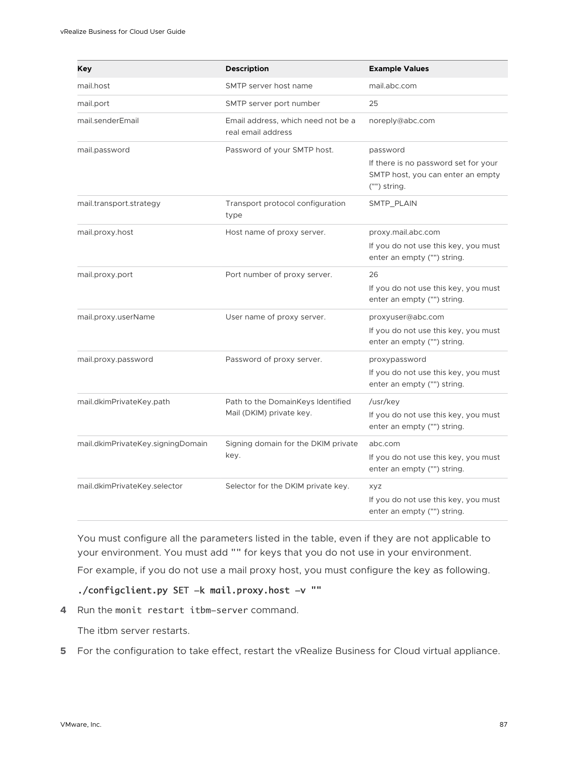| Key                               | <b>Description</b>                                            | <b>Example Values</b>                                                                                 |
|-----------------------------------|---------------------------------------------------------------|-------------------------------------------------------------------------------------------------------|
| mail.host                         | SMTP server host name                                         | mail.abc.com                                                                                          |
| mail.port                         | SMTP server port number                                       | 25                                                                                                    |
| mail.senderEmail                  | Email address, which need not be a<br>real email address      | noreply@abc.com                                                                                       |
| mail.password                     | Password of your SMTP host.                                   | password<br>If there is no password set for your<br>SMTP host, you can enter an empty<br>("") string. |
| mail.transport.strategy           | Transport protocol configuration<br>type                      | SMTP_PLAIN                                                                                            |
| mail.proxy.host                   | Host name of proxy server.                                    | proxy.mail.abc.com<br>If you do not use this key, you must<br>enter an empty ("") string.             |
| mail.proxy.port                   | Port number of proxy server.                                  | 26<br>If you do not use this key, you must<br>enter an empty ("") string.                             |
| mail.proxy.userName               | User name of proxy server.                                    | proxyuser@abc.com<br>If you do not use this key, you must<br>enter an empty ("") string.              |
| mail.proxy.password               | Password of proxy server.                                     | proxypassword<br>If you do not use this key, you must<br>enter an empty ("") string.                  |
| mail.dkimPrivateKey.path          | Path to the DomainKeys Identified<br>Mail (DKIM) private key. | /usr/key<br>If you do not use this key, you must<br>enter an empty ("") string.                       |
| mail.dkimPrivateKey.signingDomain | Signing domain for the DKIM private<br>key.                   | abc.com<br>If you do not use this key, you must<br>enter an empty ("") string.                        |
| mail.dkimPrivateKey.selector      | Selector for the DKIM private key.                            | <b>XYZ</b><br>If you do not use this key, you must<br>enter an empty ("") string.                     |

You must configure all the parameters listed in the table, even if they are not applicable to your environment. You must add "" for keys that you do not use in your environment.

For example, if you do not use a mail proxy host, you must configure the key as following.

### ./configclient.py SET -k mail.proxy.host -v ""

**4** Run the monit restart itbm-server command.

The itbm server restarts.

**5** For the configuration to take effect, restart the vRealize Business for Cloud virtual appliance.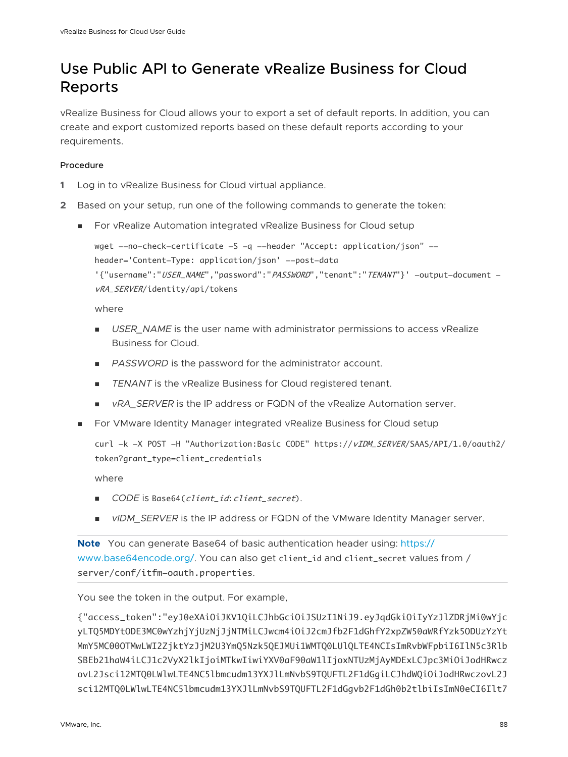## <span id="page-87-0"></span>Use Public API to Generate vRealize Business for Cloud Reports

vRealize Business for Cloud allows your to export a set of default reports. In addition, you can create and export customized reports based on these default reports according to your requirements.

#### Procedure

- **1** Log in to vRealize Business for Cloud virtual appliance.
- **2** Based on your setup, run one of the following commands to generate the token:
	- For vRealize Automation integrated vRealize Business for Cloud setup

wget --no-check-certificate -S -q --header "Accept: application/json" -header='Content-Type: application/json' --post-data

'{"username":"USER\_NAME","password":"PASSWORD","tenant":"TENANT"}' -output-document vRA\_SERVER/identity/api/tokens

where

- **DIGER\_NAME** is the user name with administrator permissions to access vRealize Business for Cloud.
- **PASSWORD** is the password for the administrator account.
- **n** *TENANT* is the vRealize Business for Cloud registered tenant.
- *vRA\_SERVER* is the IP address or FQDN of the vRealize Automation server.
- For VMware Identity Manager integrated vRealize Business for Cloud setup

curl -k -X POST -H "Authorization:Basic CODE" https://vIDM\_SERVER/SAAS/API/1.0/oauth2/ token?grant\_type=client\_credentials

where

- *CODE* is Base64(*client\_id:client\_secret*).
- **n** *vIDM\_SERVER* is the IP address or FQDN of the VMware Identity Manager server.

**Note** You can generate Base64 of basic authentication header using: [https://](https://www.base64encode.org/) [www.base64encode.org/](https://www.base64encode.org/). You can also get client\_id and client\_secret values from / server/conf/itfm-oauth.properties.

You see the token in the output. For example,

{"access\_token":"eyJ0eXAiOiJKV1QiLCJhbGciOiJSUzI1NiJ9.eyJqdGkiOiIyYzJlZDRjMi0wYjc yLTQ5MDYtODE3MC0wYzhjYjUzNjJjNTMiLCJwcm4iOiJ2cmJfb2F1dGhfY2xpZW50aWRfYzk5ODUzYzYt MmY5MC00OTMwLWI2ZjktYzJjM2U3YmQ5Nzk5QEJMUi1WMTQ0LUlQLTE4NCIsImRvbWFpbiI6IlN5c3Rlb SBEb21haW4iLCJ1c2VyX2lkIjoiMTkwIiwiYXV0aF90aW1lIjoxNTUzMjAyMDExLCJpc3MiOiJodHRwcz ovL2Jsci12MTQ0LWlwLTE4NC5lbmcudm13YXJlLmNvbS9TQUFTL2F1dGgiLCJhdWQiOiJodHRwczovL2J sci12MTQ0LWlwLTE4NC5lbmcudm13YXJlLmNvbS9TQUFTL2F1dGgvb2F1dGh0b2tlbiIsImN0eCI6Ilt7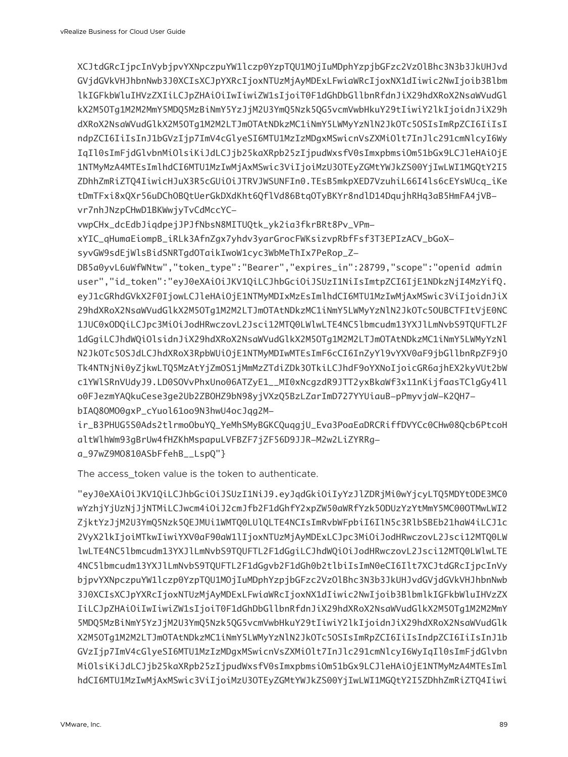XCJtdGRcIjpcInVybjpvYXNpczpuYW1lczp0YzpTQU1MOjIuMDphYzpjbGFzc2VzOlBhc3N3b3JkUHJvd GVjdGVkVHJhbnNwb3J0XCIsXCJpYXRcIjoxNTUzMjAyMDExLFwiaWRcIjoxNX1dIiwic2NwIjoib3Blbm lkIGFkbWluIHVzZXIiLCJpZHAiOiIwIiwiZW1sIjoiT0F1dGhDbGllbnRfdnJiX29hdXRoX2NsaWVudGl kX2M5OTg1M2M2MmY5MDQ5MzBiNmY5YzJjM2U3YmQ5Nzk5QG5vcmVwbHkuY29tIiwiY2lkIjoidnJiX29h dXRoX2NsaWVudGlkX2M5OTg1M2M2LTJmOTAtNDkzMC1iNmY5LWMyYzNlN2JkOTc5OSIsImRpZCI6IiIsI ndpZCI6IiIsInJ1bGVzIjp7ImV4cGlyeSI6MTU1MzIzMDgxMSwicnVsZXMiOlt7InJlc291cmNlcyI6Wy IqIl0sImFjdGlvbnMiOlsiKiJdLCJjb25kaXRpb25zIjpudWxsfV0sImxpbmsiOm51bGx9LCJleHAiOjE 1NTMyMzA4MTEsImlhdCI6MTU1MzIwMjAxMSwic3ViIjoiMzU3OTEyZGMtYWJkZS00YjIwLWI1MGQtY2I5 ZDhhZmRiZTQ4IiwicHJuX3R5cGUiOiJTRVJWSUNFIn0.TEsB5mkpXED7VzuhiL66I4ls6cEYsWUcq\_iKe tDmTFxi8xQXr56uDChOBQtUerGkDXdKht6QflVd86BtqOTyBKYr8ndlD14DqujhRHq3aB5HmFA4jVBvr7nhJNzpCHwD1BKWwjyTvCdMccYC-

vwpCHx\_dcEdbJiqdpejJPJfNbsN8MITUQtk\_yk2ia3fkrBRt8Pv\_VPm-

xYIC\_qHumaEiompB\_iRLk3AfnZgx7yhdv3yarGrocFWKsizvpRbfFsf3T3EPIzACV\_bGoX-

syvGW9sdEjWlsBidSNRTgdOTaikIwoW1cyc3WbMeThIx7PeRop\_Z-

DB5a0yvL6uWfWNtw","token\_type":"Bearer","expires\_in":28799,"scope":"openid admin user","id\_token":"eyJ0eXAiOiJKV1QiLCJhbGciOiJSUzI1NiIsImtpZCI6IjE1NDkzNjI4MzYifQ. eyJ1cGRhdGVkX2F0IjowLCJleHAiOjE1NTMyMDIxMzEsImlhdCI6MTU1MzIwMjAxMSwic3ViIjoidnJiX 29hdXRoX2NsaWVudGlkX2M5OTg1M2M2LTJmOTAtNDkzMC1iNmY5LWMyYzNlN2JkOTc5OUBCTFItVjE0NC 1JUC0xODQiLCJpc3MiOiJodHRwczovL2Jsci12MTQ0LWlwLTE4NC5lbmcudm13YXJlLmNvbS9TQUFTL2F 1dGgiLCJhdWQiOlsidnJiX29hdXRoX2NsaWVudGlkX2M5OTg1M2M2LTJmOTAtNDkzMC1iNmY5LWMyYzNl N2JkOTc5OSJdLCJhdXRoX3RpbWUiOjE1NTMyMDIwMTEsImF6cCI6InZyYl9vYXV0aF9jbGllbnRpZF9jO Tk4NTNjNi0yZjkwLTQ5MzAtYjZmOS1jMmMzZTdiZDk3OTkiLCJhdF9oYXNoIjoicGR6ajhEX2kyVUt2bW c1YWlSRnVUdyJ9.LD0SOVvPhxUno06ATZyE1\_\_MI0xNcgzdR9JTT2yxBkaWf3x11nKijfaasTClgGy4ll o0FJezmYAQkuCese3ge2Ub2ZBOHZ9bN98yjVXzQ5BzLZarImD727YYUiauB-pPmyvjaW-K2QH7 bIAQ8OMO0gxP\_cYuol61oo9N3hwU4ocJqg2M-

ir\_B3PHUG5S0Ads2tlrmoObuYQ\_YeMhSMyBGKCQuqgjU\_Eva3PoaEaDRCRiffDVYCc0CHw08Qcb6PtcoH altWlhWm93gBrUw4fHZKhMspapuLVFBZF7jZF56D9JJR-M2w2LiZYRRg-

a\_97wZ9MO810ASbFfehB\_\_LspQ"}

The access token value is the token to authenticate.

"eyJ0eXAiOiJKV1QiLCJhbGciOiJSUzI1NiJ9.eyJqdGkiOiIyYzJlZDRjMi0wYjcyLTQ5MDYtODE3MC0 wYzhjYjUzNjJjNTMiLCJwcm4iOiJ2cmJfb2F1dGhfY2xpZW50aWRfYzk5ODUzYzYtMmY5MC00OTMwLWI2 ZjktYzJjM2U3YmQ5Nzk5QEJMUi1WMTQ0LUlQLTE4NCIsImRvbWFpbiI6IlN5c3RlbSBEb21haW4iLCJ1c 2VyX2lkIjoiMTkwIiwiYXV0aF90aW1lIjoxNTUzMjAyMDExLCJpc3MiOiJodHRwczovL2Jsci12MTQ0LW lwLTE4NC5lbmcudm13YXJlLmNvbS9TQUFTL2F1dGgiLCJhdWQiOiJodHRwczovL2Jsci12MTQ0LWlwLTE 4NC5lbmcudm13YXJlLmNvbS9TQUFTL2F1dGgvb2F1dGh0b2tlbiIsImN0eCI6Ilt7XCJtdGRcIjpcInVy bjpvYXNpczpuYW1lczp0YzpTQU1MOjIuMDphYzpjbGFzc2VzOlBhc3N3b3JkUHJvdGVjdGVkVHJhbnNwb 3J0XCIsXCJpYXRcIjoxNTUzMjAyMDExLFwiaWRcIjoxNX1dIiwic2NwIjoib3BlbmlkIGFkbWluIHVzZX IiLCJpZHAiOiIwIiwiZW1sIjoiT0F1dGhDbGllbnRfdnJiX29hdXRoX2NsaWVudGlkX2M5OTg1M2M2MmY 5MDQ5MzBiNmY5YzJjM2U3YmQ5Nzk5QG5vcmVwbHkuY29tIiwiY2lkIjoidnJiX29hdXRoX2NsaWVudGlk X2M5OTg1M2M2LTJmOTAtNDkzMC1iNmY5LWMyYzNlN2JkOTc5OSIsImRpZCI6IiIsIndpZCI6IiIsInJ1b GVzIjp7ImV4cGlyeSI6MTU1MzIzMDgxMSwicnVsZXMiOlt7InJlc291cmNlcyI6WyIqIl0sImFjdGlvbn MiOlsiKiJdLCJjb25kaXRpb25zIjpudWxsfV0sImxpbmsiOm51bGx9LCJleHAiOjE1NTMyMzA4MTEsIml hdCI6MTU1MzIwMjAxMSwic3ViIjoiMzU3OTEyZGMtYWJkZS00YjIwLWI1MGQtY2I5ZDhhZmRiZTQ4Iiwi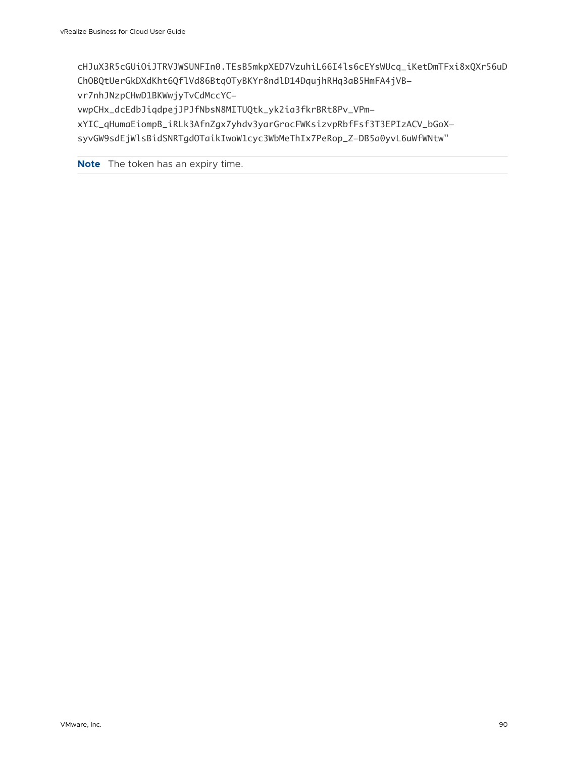cHJuX3R5cGUiOiJTRVJWSUNFIn0.TEsB5mkpXED7VzuhiL66I4ls6cEYsWUcq\_iKetDmTFxi8xQXr56uD ChOBQtUerGkDXdKht6QflVd86BtqOTyBKYr8ndlD14DqujhRHq3aB5HmFA4jVBvr7nhJNzpCHwD1BKWwjyTvCdMccYC-

vwpCHx\_dcEdbJiqdpejJPJfNbsN8MITUQtk\_yk2ia3fkrBRt8Pv\_VPm-

xYIC\_qHumaEiompB\_iRLk3AfnZgx7yhdv3yarGrocFWKsizvpRbfFsf3T3EPIzACV\_bGoXsyvGW9sdEjWlsBidSNRTgdOTaikIwoW1cyc3WbMeThIx7PeRop\_Z-DB5a0yvL6uWfWNtw"

**Note** The token has an expiry time.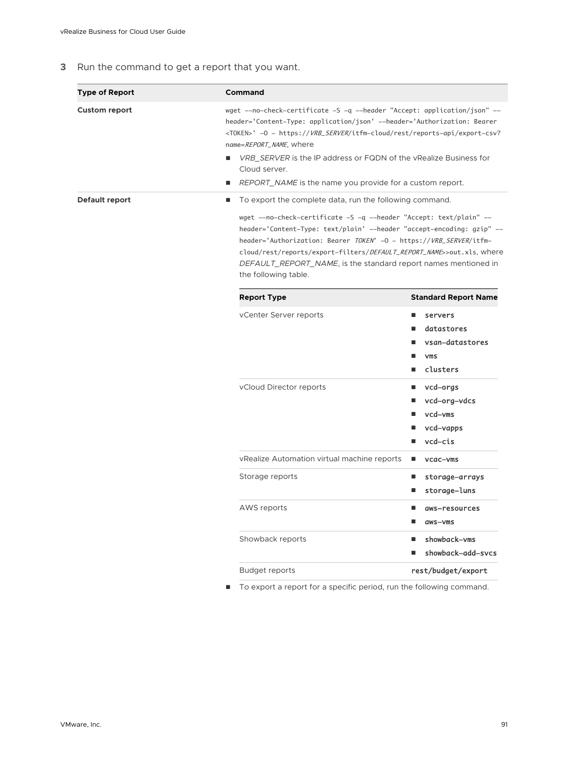#### **3** Run the command to get a report that you want.

| <b>Type of Report</b> | <b>Command</b>                                                                                                                                                                                                                                                                                                                                                                                                                                       |                                                                                             |
|-----------------------|------------------------------------------------------------------------------------------------------------------------------------------------------------------------------------------------------------------------------------------------------------------------------------------------------------------------------------------------------------------------------------------------------------------------------------------------------|---------------------------------------------------------------------------------------------|
| <b>Custom report</b>  | wget --no-check-certificate -S -q --header "Accept: application/json" --<br>header='Content-Type: application/json' --header='Authorization: Bearer<br><token>' -0 - https://VRB_SERVER/itfm-cloud/rest/reports-api/export-csv?<br/>name=REPORT_NAME, where<br/><i>VRB_SERVER</i> is the IP address or FQDN of the vRealize Business for<br/>Cloud server.<br/>REPORT_NAME is the name you provide for a custom report.<br/>ш</token>                |                                                                                             |
| Default report        | To export the complete data, run the following command.<br>٠<br>wget --no-check-certificate -S -q --header "Accept: text/plain" --<br>header='Content-Type: text/plain' --header "accept-encoding: gzip" --<br>header='Authorization: Bearer TOKEN' -0 - https://VRB_SERVER/itfm-<br>cloud/rest/reports/export-filters/DEFAULT_REPORT_NAME>>out.xls, where<br>DEFAULT_REPORT_NAME, is the standard report names mentioned in<br>the following table. |                                                                                             |
|                       | <b>Report Type</b>                                                                                                                                                                                                                                                                                                                                                                                                                                   | <b>Standard Report Name</b>                                                                 |
|                       | vCenter Server reports                                                                                                                                                                                                                                                                                                                                                                                                                               | ٠<br>servers<br>datastores<br>ш<br>vsan-datastores<br>٠<br><b>VMS</b><br>ш<br>clusters<br>ш |
|                       | vCloud Director reports                                                                                                                                                                                                                                                                                                                                                                                                                              | vcd-orgs<br>ш<br>vcd-org-vdcs<br>vcd-vms<br>vcd-vapps<br>vcd-cis                            |
|                       | vRealize Automation virtual machine reports                                                                                                                                                                                                                                                                                                                                                                                                          | п<br>vcac-vms                                                                               |
|                       | Storage reports                                                                                                                                                                                                                                                                                                                                                                                                                                      | storage-arrays<br>п<br>storage-luns<br>п                                                    |
|                       | AWS reports                                                                                                                                                                                                                                                                                                                                                                                                                                          | aws-resources<br>aws-yms                                                                    |
|                       | Showback reports                                                                                                                                                                                                                                                                                                                                                                                                                                     | showback-vms<br>п<br>showback-add-svcs                                                      |
|                       | <b>Budget reports</b>                                                                                                                                                                                                                                                                                                                                                                                                                                | rest/budget/export                                                                          |
|                       |                                                                                                                                                                                                                                                                                                                                                                                                                                                      |                                                                                             |

 $\blacksquare$  To export a report for a specific period, run the following command.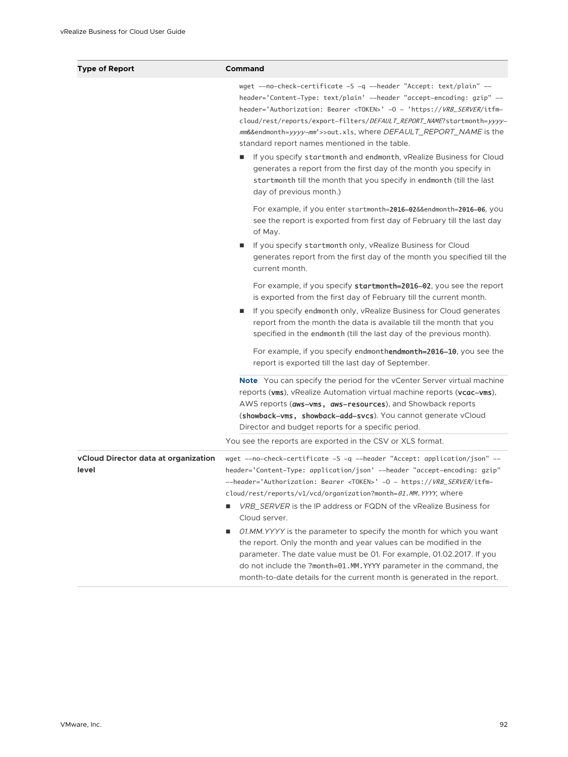| <b>Type of Report</b>                         | Command                                                                                                                                                                                                                                                                                                                                                                                                                                                                                                                                                                                                                                                                                                                                                                              |
|-----------------------------------------------|--------------------------------------------------------------------------------------------------------------------------------------------------------------------------------------------------------------------------------------------------------------------------------------------------------------------------------------------------------------------------------------------------------------------------------------------------------------------------------------------------------------------------------------------------------------------------------------------------------------------------------------------------------------------------------------------------------------------------------------------------------------------------------------|
|                                               | wget --no-check-certificate -S -q --header "Accept: text/plain" --<br>header='Content-Type: text/plain' --header "accept-encoding: gzip" --<br>header='Authorization: Bearer <token>' -0 - 'https://VRB_SERVER/itfm-<br/>cloud/rest/reports/export-filters/DEFAULT_REPORT_NAME?startmonth=yyyy-<br/>mm&amp;&amp;endmonth=yyyy-mm'&gt;&gt;out.xls, where DEFAULT_REPORT_NAME is the<br/>standard report names mentioned in the table.<br/>If you specify startmonth and endmonth, vRealize Business for Cloud<br/>generates a report from the first day of the month you specify in<br/>startmonth till the month that you specify in endmonth (till the last<br/>day of previous month.)</token>                                                                                     |
|                                               | For example, if you enter startmonth=2016-02&&endmonth=2016-06, you<br>see the report is exported from first day of February till the last day<br>of May.                                                                                                                                                                                                                                                                                                                                                                                                                                                                                                                                                                                                                            |
|                                               | If you specify startmonth only, vRealize Business for Cloud<br>generates report from the first day of the month you specified till the<br>current month.                                                                                                                                                                                                                                                                                                                                                                                                                                                                                                                                                                                                                             |
|                                               | For example, if you specify startmonth=2016-02, you see the report<br>is exported from the first day of February till the current month.                                                                                                                                                                                                                                                                                                                                                                                                                                                                                                                                                                                                                                             |
|                                               | If you specify endmonth only, vRealize Business for Cloud generates<br>٠<br>report from the month the data is available till the month that you<br>specified in the endmonth (till the last day of the previous month).                                                                                                                                                                                                                                                                                                                                                                                                                                                                                                                                                              |
|                                               | For example, if you specify endmonthendmonth=2016-10, you see the<br>report is exported till the last day of September.                                                                                                                                                                                                                                                                                                                                                                                                                                                                                                                                                                                                                                                              |
|                                               | <b>Note</b> You can specify the period for the vCenter Server virtual machine<br>reports (vms), vRealize Automation virtual machine reports (vcac-vms),<br>AWS reports (aws-vms, aws-resources), and Showback reports<br>(showback-vms, showback-add-svcs). You cannot generate vCloud<br>Director and budget reports for a specific period.                                                                                                                                                                                                                                                                                                                                                                                                                                         |
|                                               | You see the reports are exported in the CSV or XLS format.                                                                                                                                                                                                                                                                                                                                                                                                                                                                                                                                                                                                                                                                                                                           |
| vCloud Director data at organization<br>level | wget --no-check-certificate -S -q --header "Accept: application/json" --<br>header='Content-Type: application/json' --header "accept-encoding: gzip"<br>--header='Authorization: Bearer <token>' -0 - https://VRB_SERVER/itfm-<br/>cloud/rest/reports/v1/vcd/organization?month=01.MM.YYYY, where<br/>VRB_SERVER is the IP address or FQDN of the vRealize Business for<br/>Cloud server.<br/>01.MM. YYYY is the parameter to specify the month for which you want<br/>ш<br/>the report. Only the month and year values can be modified in the<br/>parameter. The date value must be 01. For example, 01.02.2017. If you<br/>do not include the ?month=01.MM. YYYY parameter in the command, the<br/>month-to-date details for the current month is generated in the report.</token> |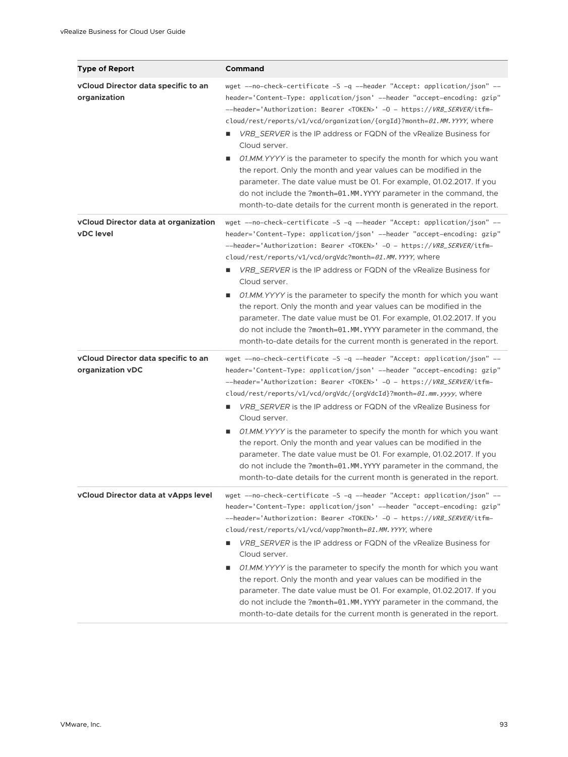| <b>Type of Report</b>                                    | Command                                                                                                                                                                                                                                                                                                                                                                                                                                                                                                                                                                                                                                                                                                                                                                                            |
|----------------------------------------------------------|----------------------------------------------------------------------------------------------------------------------------------------------------------------------------------------------------------------------------------------------------------------------------------------------------------------------------------------------------------------------------------------------------------------------------------------------------------------------------------------------------------------------------------------------------------------------------------------------------------------------------------------------------------------------------------------------------------------------------------------------------------------------------------------------------|
| vCloud Director data specific to an<br>organization      | wget --no-check-certificate -S -q --header "Accept: application/json" --<br>header='Content-Type: application/json' --header "accept-encoding: gzip"<br>--header='Authorization: Bearer <token>' -0 - https://VRB_SERVER/itfm-<br/>cloud/rest/reports/v1/vcd/organization/{orgId}?month=01.MM.YYYY, where<br/>VRB_SERVER is the IP address or FQDN of the vRealize Business for<br/>ш<br/>Cloud server.<br/>01.MM. YYYY is the parameter to specify the month for which you want<br/>ш<br/>the report. Only the month and year values can be modified in the<br/>parameter. The date value must be 01. For example, 01.02.2017. If you<br/>do not include the ?month=01.MM. YYYY parameter in the command, the<br/>month-to-date details for the current month is generated in the report.</token> |
| vCloud Director data at organization<br><b>vDC</b> level | wget --no-check-certificate -S -q --header "Accept: application/json" --<br>header='Content-Type: application/json' --header "accept-encoding: gzip"<br>--header='Authorization: Bearer <token>' -0 - https://VRB_SERVER/itfm-<br/>cloud/rest/reports/v1/vcd/orgVdc?month=01.MM.YYYY, where<br/><i>VRB_SERVER</i> is the IP address or FQDN of the vRealize Business for<br/>ш<br/>Cloud server.<br/>01.MM. YYYY is the parameter to specify the month for which you want<br/>ш<br/>the report. Only the month and year values can be modified in the<br/>parameter. The date value must be 01. For example, 01.02.2017. If you<br/>do not include the ?month=01.MM. YYYY parameter in the command, the<br/>month-to-date details for the current month is generated in the report.</token>        |
| vCloud Director data specific to an<br>organization vDC  | wget --no-check-certificate -S -q --header "Accept: application/json" --<br>header='Content-Type: application/json' --header "accept-encoding: gzip"<br>--header='Authorization: Bearer <token>' -0 - https://VRB_SERVER/itfm-<br/>cloud/rest/reports/v1/vcd/orgVdc/{orgVdcId}?month=01.mm.yyyy, where<br/>VRB SERVER is the IP address or FQDN of the vRealize Business for<br/>ш<br/>Cloud server.<br/>01.MM. YYYY is the parameter to specify the month for which you want<br/>ш<br/>the report. Only the month and year values can be modified in the<br/>parameter. The date value must be 01. For example, 01.02.2017. If you<br/>do not include the ?month=01.MM. YYYY parameter in the command, the<br/>month-to-date details for the current month is generated in the report.</token>    |
| vCloud Director data at vApps level                      | wget --no-check-certificate -S -q --header "Accept: application/json" --<br>header='Content-Type: application/json' --header "accept-encoding: gzip"<br>--header='Authorization: Bearer <token>' -0 - https://VRB_SERVER/itfm-<br/>cloud/rest/reports/v1/vcd/vapp?month=01.MM.YYYY, where<br/>VRB_SERVER is the IP address or FQDN of the vRealize Business for<br/>ш<br/>Cloud server.<br/>01.MM. YYYY is the parameter to specify the month for which you want<br/>the report. Only the month and year values can be modified in the<br/>parameter. The date value must be 01. For example, 01.02.2017. If you<br/>do not include the ?month=01.MM. YYYY parameter in the command, the<br/>month-to-date details for the current month is generated in the report.</token>                       |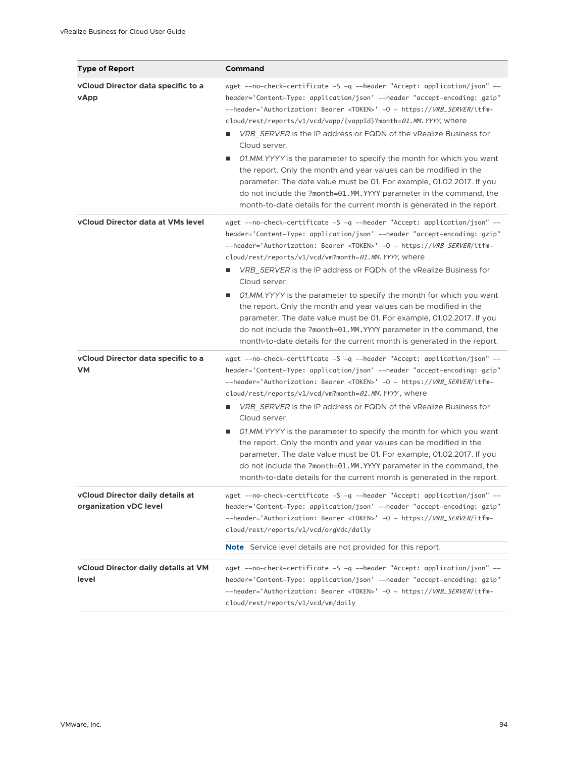| <b>Type of Report</b>                                      | Command                                                                                                                                                                                                                                                                                                                                                                                                                                                                                                                                                                                                                                                                                                                                                                               |
|------------------------------------------------------------|---------------------------------------------------------------------------------------------------------------------------------------------------------------------------------------------------------------------------------------------------------------------------------------------------------------------------------------------------------------------------------------------------------------------------------------------------------------------------------------------------------------------------------------------------------------------------------------------------------------------------------------------------------------------------------------------------------------------------------------------------------------------------------------|
| vCloud Director data specific to a<br><b>vApp</b>          | wget --no-check-certificate -S -q --header "Accept: application/json" --<br>header='Content-Type: application/json' --header "accept-encoding: gzip"<br>--header='Authorization: Bearer <token>' -0 - https://VRB_SERVER/itfm-<br/>cloud/rest/reports/v1/vcd/vapp/{vappId}?month=01.MM.YYYY, where<br/>VRB_SERVER is the IP address or FQDN of the vRealize Business for<br/>Cloud server.<br/>01.MM. YYYY is the parameter to specify the month for which you want<br/>ш<br/>the report. Only the month and year values can be modified in the<br/>parameter. The date value must be 01. For example, 01.02.2017. If you<br/>do not include the ?month=01.MM. YYYY parameter in the command, the<br/>month-to-date details for the current month is generated in the report.</token> |
| vCloud Director data at VMs level                          | wget --no-check-certificate -S -q --header "Accept: application/json" --<br>header='Content-Type: application/json' --header "accept-encoding: gzip"<br>--header='Authorization: Bearer <token>' -0 - https://VRB_SERVER/itfm-<br/>cloud/rest/reports/v1/vcd/vm?month=01.MM.YYYY, where<br/><i>VRB_SERVER</i> is the IP address or FQDN of the vRealize Business for<br/>Cloud server.<br/>O1.MM. YYYY is the parameter to specify the month for which you want<br/>п<br/>the report. Only the month and year values can be modified in the<br/>parameter. The date value must be 01. For example, 01.02.2017. If you<br/>do not include the ?month=01.MM. YYYY parameter in the command, the<br/>month-to-date details for the current month is generated in the report.</token>     |
| vCloud Director data specific to a<br><b>VM</b>            | wget --no-check-certificate -S -q --header "Accept: application/json" --<br>header='Content-Type: application/json' --header "accept-encoding: gzip"<br>--header='Authorization: Bearer <token>' -0 - https://VRB_SERVER/itfm-<br/>cloud/rest/reports/v1/vcd/vm?month=01.MM.YYYY, where<br/>VRB_SERVER is the IP address or FQDN of the vRealize Business for<br/>ш<br/>Cloud server.<br/>01.MM. YYYY is the parameter to specify the month for which you want<br/>ш<br/>the report. Only the month and year values can be modified in the<br/>parameter. The date value must be 01. For example, 01.02.2017. If you<br/>do not include the ?month=01.MM. YYYY parameter in the command, the<br/>month-to-date details for the current month is generated in the report.</token>      |
| vCloud Director daily details at<br>organization vDC level | wget -—no—check—certificate -S -q -—header "Accept: application/json" -—<br>header='Content-Type: application/json' --header "accept-encoding: gzip"<br>--header='Authorization: Bearer <token>' -0 - https://VRB_SERVER/itfm-<br/>cloud/rest/reports/v1/vcd/orgVdc/daily</token>                                                                                                                                                                                                                                                                                                                                                                                                                                                                                                     |
|                                                            | <b>Note</b> Service level details are not provided for this report.                                                                                                                                                                                                                                                                                                                                                                                                                                                                                                                                                                                                                                                                                                                   |
| <b>vCloud Director daily details at VM</b><br>level        | wget --no-check-certificate -S -q --header "Accept: application/json" --<br>header='Content-Type: application/json' --header "accept-encoding: gzip"<br>--header='Authorization: Bearer <token>' -0 - https://VRB_SERVER/itfm-<br/>cloud/rest/reports/v1/vcd/vm/daily</token>                                                                                                                                                                                                                                                                                                                                                                                                                                                                                                         |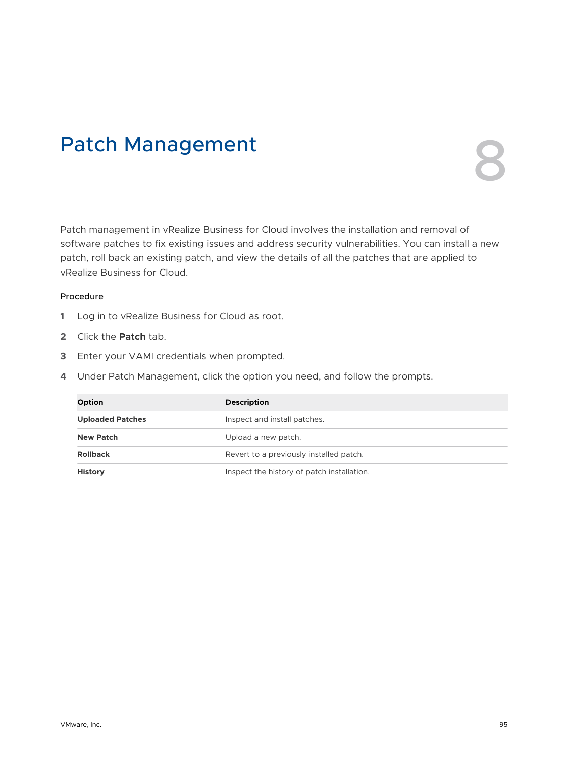## Patch Management



Patch management in vRealize Business for Cloud involves the installation and removal of software patches to fix existing issues and address security vulnerabilities. You can install a new patch, roll back an existing patch, and view the details of all the patches that are applied to vRealize Business for Cloud.

- **1** Log in to vRealize Business for Cloud as root.
- **2** Click the **Patch** tab.
- **3** Enter your VAMI credentials when prompted.
- **4** Under Patch Management, click the option you need, and follow the prompts.

| Option                  | <b>Description</b>                         |
|-------------------------|--------------------------------------------|
| <b>Uploaded Patches</b> | Inspect and install patches.               |
| <b>New Patch</b>        | Upload a new patch.                        |
| <b>Rollback</b>         | Revert to a previously installed patch.    |
| <b>History</b>          | Inspect the history of patch installation. |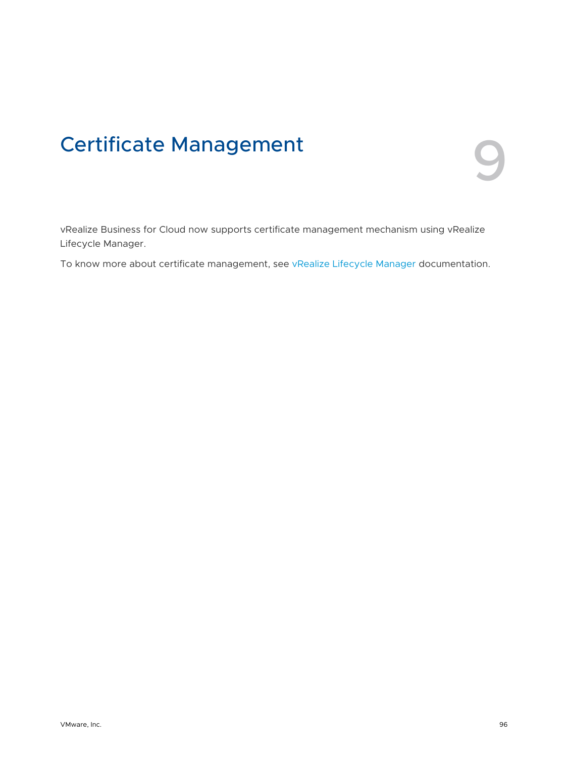## **Certificate Management**

vRealize Business for Cloud now supports certificate management mechanism using vRealize Lifecycle Manager.

To know more about certificate management, see [vRealize Lifecycle Manager](https://docs.vmware.com/en/VMware-vRealize-Suite-Lifecycle-Manager/index.html) documentation.